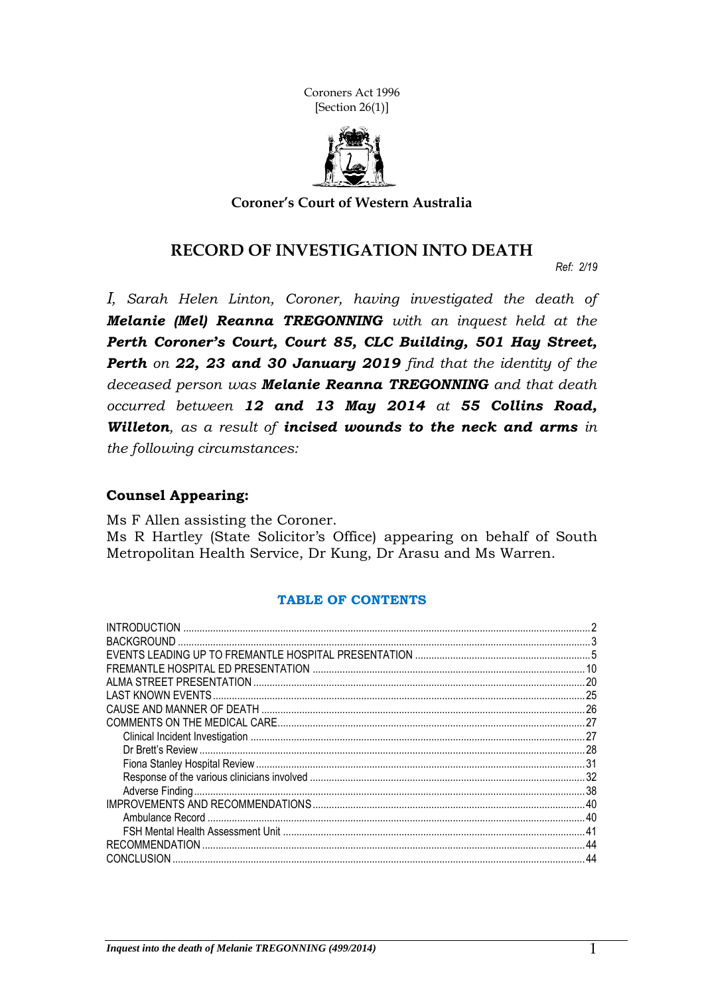Coroners Act 1996 [Section 26(1)]



**Coroner's Court of Western Australia**

#### **RECORD OF INVESTIGATION INTO DEATH**

*Ref: 2/19*

*I, Sarah Helen Linton, Coroner, having investigated the death of Melanie (Mel) Reanna TREGONNING with an inquest held at the Perth Coroner's Court, Court 85, CLC Building, 501 Hay Street, Perth on 22, 23 and 30 January 2019 find that the identity of the deceased person was Melanie Reanna TREGONNING and that death occurred between 12 and 13 May 2014 at 55 Collins Road, Willeton, as a result of incised wounds to the neck and arms in the following circumstances:*

#### **Counsel Appearing:**

Ms F Allen assisting the Coroner. Ms R Hartley (State Solicitor's Office) appearing on behalf of South Metropolitan Health Service, Dr Kung, Dr Arasu and Ms Warren.

#### **TABLE OF CONTENTS**

| <b>BACKGROUND</b>     |     |
|-----------------------|-----|
|                       |     |
|                       |     |
|                       | .20 |
|                       |     |
|                       |     |
|                       | 27  |
|                       |     |
|                       |     |
|                       |     |
|                       |     |
|                       |     |
|                       |     |
|                       | .40 |
|                       | 41  |
| <b>RECOMMENDATION</b> | 44  |
| <b>CONCLUSION</b>     | 44  |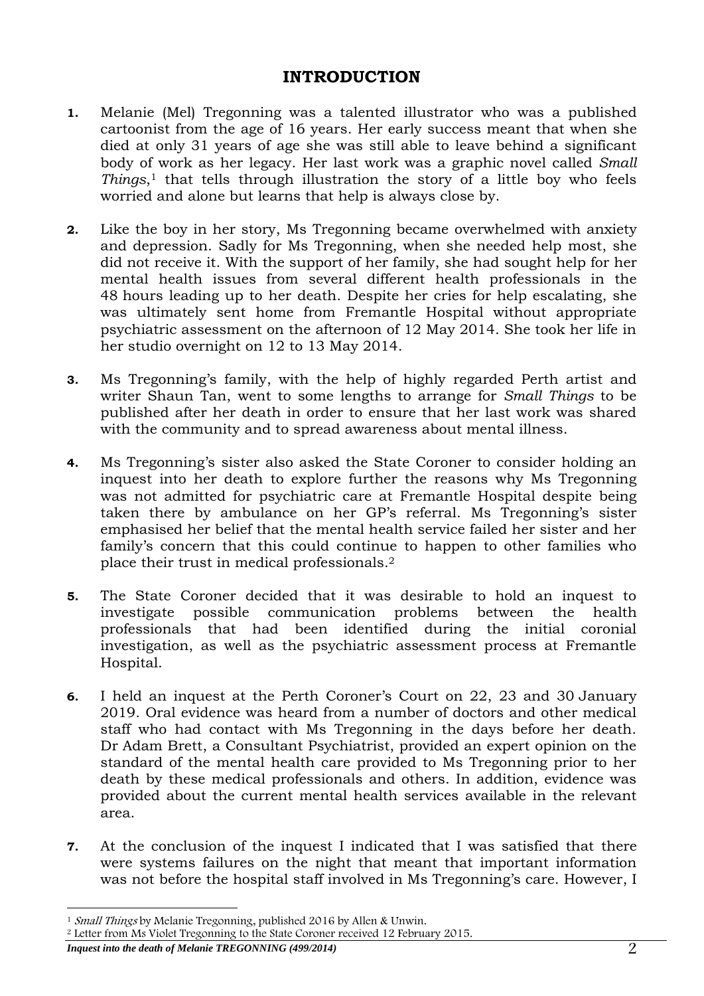## **INTRODUCTION**

- <span id="page-1-0"></span>**1.** Melanie (Mel) Tregonning was a talented illustrator who was a published cartoonist from the age of 16 years. Her early success meant that when she died at only 31 years of age she was still able to leave behind a significant body of work as her legacy. Her last work was a graphic novel called *Small Things*, <sup>1</sup> that tells through illustration the story of a little boy who feels worried and alone but learns that help is always close by.
- **2.** Like the boy in her story, Ms Tregonning became overwhelmed with anxiety and depression. Sadly for Ms Tregonning, when she needed help most, she did not receive it. With the support of her family, she had sought help for her mental health issues from several different health professionals in the 48 hours leading up to her death. Despite her cries for help escalating, she was ultimately sent home from Fremantle Hospital without appropriate psychiatric assessment on the afternoon of 12 May 2014. She took her life in her studio overnight on 12 to 13 May 2014.
- **3.** Ms Tregonning's family, with the help of highly regarded Perth artist and writer Shaun Tan, went to some lengths to arrange for *Small Things* to be published after her death in order to ensure that her last work was shared with the community and to spread awareness about mental illness.
- **4.** Ms Tregonning's sister also asked the State Coroner to consider holding an inquest into her death to explore further the reasons why Ms Tregonning was not admitted for psychiatric care at Fremantle Hospital despite being taken there by ambulance on her GP's referral. Ms Tregonning's sister emphasised her belief that the mental health service failed her sister and her family's concern that this could continue to happen to other families who place their trust in medical professionals.<sup>2</sup>
- **5.** The State Coroner decided that it was desirable to hold an inquest to investigate possible communication problems between the health professionals that had been identified during the initial coronial investigation, as well as the psychiatric assessment process at Fremantle Hospital.
- **6.** I held an inquest at the Perth Coroner's Court on 22, 23 and 30 January 2019. Oral evidence was heard from a number of doctors and other medical staff who had contact with Ms Tregonning in the days before her death. Dr Adam Brett, a Consultant Psychiatrist, provided an expert opinion on the standard of the mental health care provided to Ms Tregonning prior to her death by these medical professionals and others. In addition, evidence was provided about the current mental health services available in the relevant area.
- **7.** At the conclusion of the inquest I indicated that I was satisfied that there were systems failures on the night that meant that important information was not before the hospital staff involved in Ms Tregonning's care. However, I

<sup>-</sup><sup>1</sup> Small Things by Melanie Tregonning, published 2016 by Allen & Unwin.

<sup>2</sup> Letter from Ms Violet Tregonning to the State Coroner received 12 February 2015.

*Inquest into the death of Melanie TREGONNING (499/2014)* 2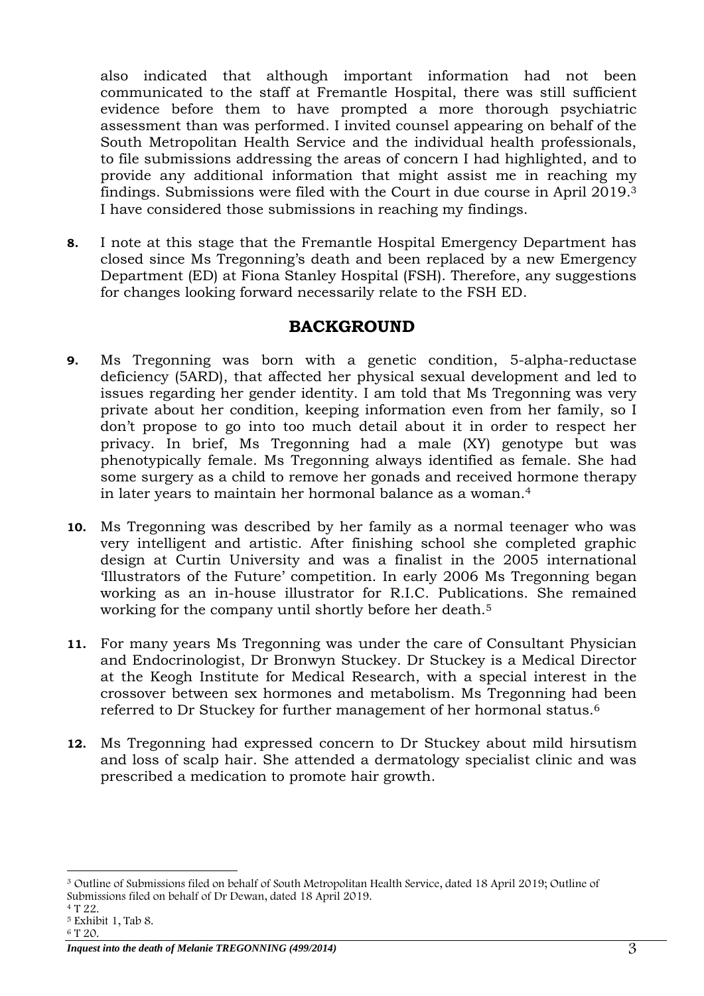also indicated that although important information had not been communicated to the staff at Fremantle Hospital, there was still sufficient evidence before them to have prompted a more thorough psychiatric assessment than was performed. I invited counsel appearing on behalf of the South Metropolitan Health Service and the individual health professionals, to file submissions addressing the areas of concern I had highlighted, and to provide any additional information that might assist me in reaching my findings. Submissions were filed with the Court in due course in April 2019.<sup>3</sup> I have considered those submissions in reaching my findings.

**8.** I note at this stage that the Fremantle Hospital Emergency Department has closed since Ms Tregonning's death and been replaced by a new Emergency Department (ED) at Fiona Stanley Hospital (FSH). Therefore, any suggestions for changes looking forward necessarily relate to the FSH ED.

## **BACKGROUND**

- <span id="page-2-0"></span>**9.** Ms Tregonning was born with a genetic condition, 5-alpha-reductase deficiency (5ARD), that affected her physical sexual development and led to issues regarding her gender identity. I am told that Ms Tregonning was very private about her condition, keeping information even from her family, so I don't propose to go into too much detail about it in order to respect her privacy. In brief, Ms Tregonning had a male (XY) genotype but was phenotypically female. Ms Tregonning always identified as female. She had some surgery as a child to remove her gonads and received hormone therapy in later years to maintain her hormonal balance as a woman.<sup>4</sup>
- **10.** Ms Tregonning was described by her family as a normal teenager who was very intelligent and artistic. After finishing school she completed graphic design at Curtin University and was a finalist in the 2005 international 'Illustrators of the Future' competition. In early 2006 Ms Tregonning began working as an in-house illustrator for R.I.C. Publications. She remained working for the company until shortly before her death.<sup>5</sup>
- **11.** For many years Ms Tregonning was under the care of Consultant Physician and Endocrinologist, Dr Bronwyn Stuckey. Dr Stuckey is a Medical Director at the Keogh Institute for Medical Research, with a special interest in the crossover between sex hormones and metabolism. Ms Tregonning had been referred to Dr Stuckey for further management of her hormonal status.<sup>6</sup>
- **12.** Ms Tregonning had expressed concern to Dr Stuckey about mild hirsutism and loss of scalp hair. She attended a dermatology specialist clinic and was prescribed a medication to promote hair growth.

<sup>-</sup><sup>3</sup> Outline of Submissions filed on behalf of South Metropolitan Health Service, dated 18 April 2019; Outline of Submissions filed on behalf of Dr Dewan, dated 18 April 2019.

<sup>4</sup> T 22.

<sup>5</sup> Exhibit 1, Tab 8.

<sup>6</sup> T 20.

*Inquest into the death of Melanie TREGONNING (499/2014)* 3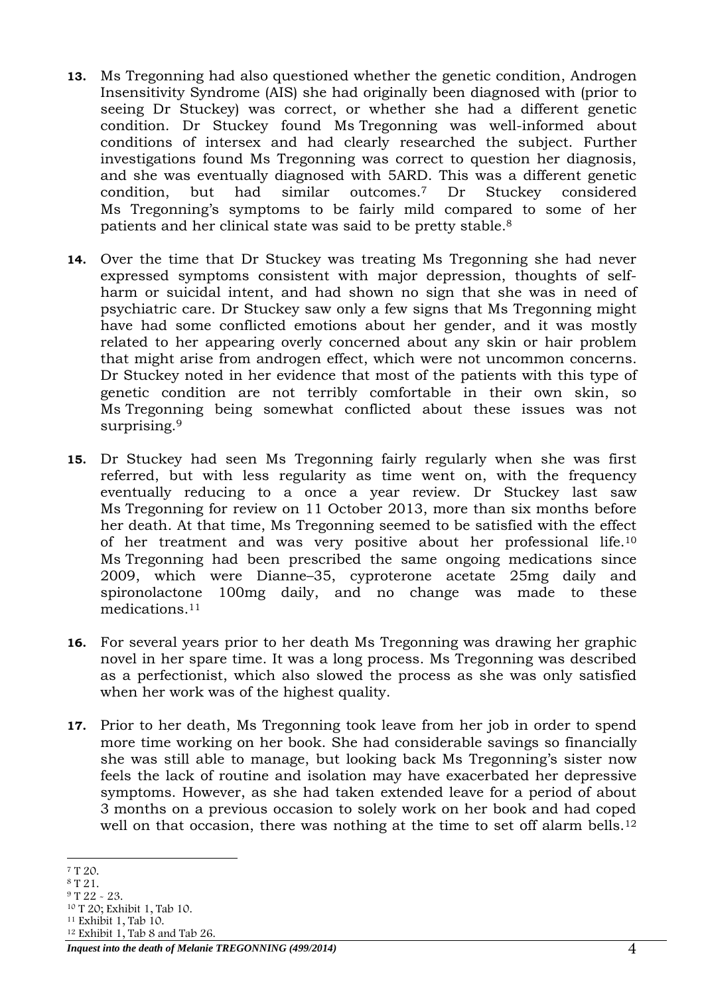- **13.** Ms Tregonning had also questioned whether the genetic condition, Androgen Insensitivity Syndrome (AIS) she had originally been diagnosed with (prior to seeing Dr Stuckey) was correct, or whether she had a different genetic condition. Dr Stuckey found Ms Tregonning was well-informed about conditions of intersex and had clearly researched the subject. Further investigations found Ms Tregonning was correct to question her diagnosis, and she was eventually diagnosed with 5ARD. This was a different genetic condition, but had similar outcomes.<sup>7</sup> Dr Stuckey considered Ms Tregonning's symptoms to be fairly mild compared to some of her patients and her clinical state was said to be pretty stable.<sup>8</sup>
- **14.** Over the time that Dr Stuckey was treating Ms Tregonning she had never expressed symptoms consistent with major depression, thoughts of selfharm or suicidal intent, and had shown no sign that she was in need of psychiatric care. Dr Stuckey saw only a few signs that Ms Tregonning might have had some conflicted emotions about her gender, and it was mostly related to her appearing overly concerned about any skin or hair problem that might arise from androgen effect, which were not uncommon concerns. Dr Stuckey noted in her evidence that most of the patients with this type of genetic condition are not terribly comfortable in their own skin, so Ms Tregonning being somewhat conflicted about these issues was not surprising. 9
- **15.** Dr Stuckey had seen Ms Tregonning fairly regularly when she was first referred, but with less regularity as time went on, with the frequency eventually reducing to a once a year review. Dr Stuckey last saw Ms Tregonning for review on 11 October 2013, more than six months before her death. At that time, Ms Tregonning seemed to be satisfied with the effect of her treatment and was very positive about her professional life.<sup>10</sup> Ms Tregonning had been prescribed the same ongoing medications since 2009, which were Dianne–35, cyproterone acetate 25mg daily and spironolactone 100mg daily, and no change was made to these medications. 11
- **16.** For several years prior to her death Ms Tregonning was drawing her graphic novel in her spare time. It was a long process. Ms Tregonning was described as a perfectionist, which also slowed the process as she was only satisfied when her work was of the highest quality.
- **17.** Prior to her death, Ms Tregonning took leave from her job in order to spend more time working on her book. She had considerable savings so financially she was still able to manage, but looking back Ms Tregonning's sister now feels the lack of routine and isolation may have exacerbated her depressive symptoms. However, as she had taken extended leave for a period of about 3 months on a previous occasion to solely work on her book and had coped well on that occasion, there was nothing at the time to set off alarm bells.<sup>12</sup>

<sup>12</sup> Exhibit 1, Tab 8 and Tab 26.

<sup>-</sup><sup>7</sup> T 20.

<sup>8</sup> T 21.

<sup>9</sup> T 22 - 23.

<sup>10</sup> T 20; Exhibit 1, Tab 10. <sup>11</sup> Exhibit 1, Tab 10.

*Inquest into the death of Melanie TREGONNING (499/2014)* 4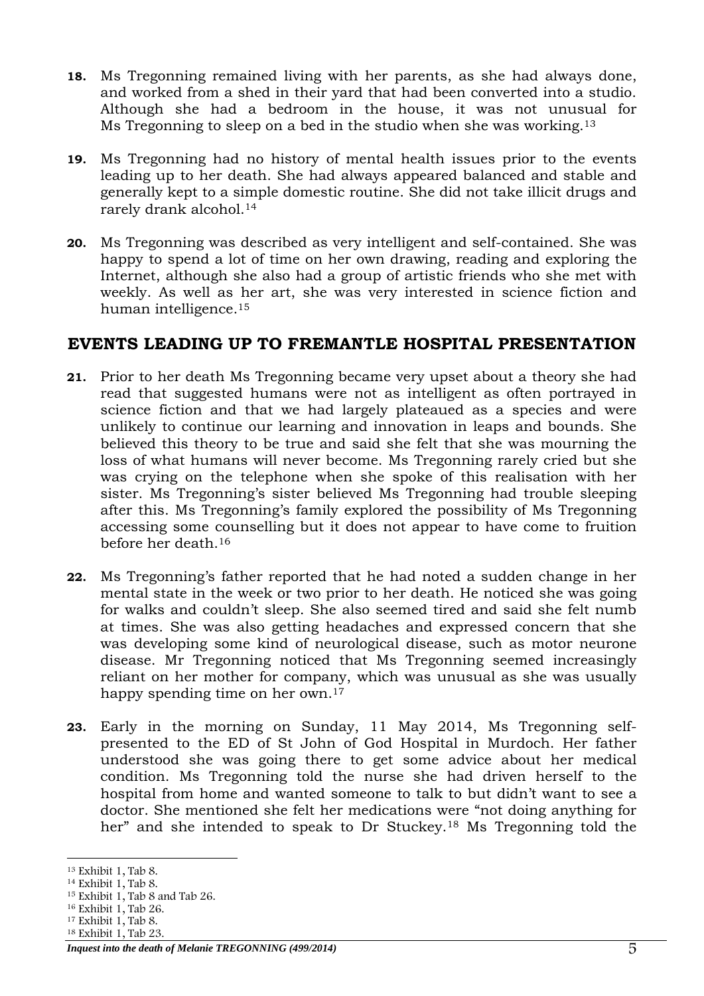- **18.** Ms Tregonning remained living with her parents, as she had always done, and worked from a shed in their yard that had been converted into a studio. Although she had a bedroom in the house, it was not unusual for Ms Tregonning to sleep on a bed in the studio when she was working.<sup>13</sup>
- **19.** Ms Tregonning had no history of mental health issues prior to the events leading up to her death. She had always appeared balanced and stable and generally kept to a simple domestic routine. She did not take illicit drugs and rarely drank alcohol.<sup>14</sup>
- **20.** Ms Tregonning was described as very intelligent and self-contained. She was happy to spend a lot of time on her own drawing, reading and exploring the Internet, although she also had a group of artistic friends who she met with weekly. As well as her art, she was very interested in science fiction and human intelligence.<sup>15</sup>

#### <span id="page-4-0"></span>**EVENTS LEADING UP TO FREMANTLE HOSPITAL PRESENTATION**

- **21.** Prior to her death Ms Tregonning became very upset about a theory she had read that suggested humans were not as intelligent as often portrayed in science fiction and that we had largely plateaued as a species and were unlikely to continue our learning and innovation in leaps and bounds. She believed this theory to be true and said she felt that she was mourning the loss of what humans will never become. Ms Tregonning rarely cried but she was crying on the telephone when she spoke of this realisation with her sister. Ms Tregonning's sister believed Ms Tregonning had trouble sleeping after this. Ms Tregonning's family explored the possibility of Ms Tregonning accessing some counselling but it does not appear to have come to fruition before her death.<sup>16</sup>
- **22.** Ms Tregonning's father reported that he had noted a sudden change in her mental state in the week or two prior to her death. He noticed she was going for walks and couldn't sleep. She also seemed tired and said she felt numb at times. She was also getting headaches and expressed concern that she was developing some kind of neurological disease, such as motor neurone disease. Mr Tregonning noticed that Ms Tregonning seemed increasingly reliant on her mother for company, which was unusual as she was usually happy spending time on her own.<sup>17</sup>
- **23.** Early in the morning on Sunday, 11 May 2014, Ms Tregonning selfpresented to the ED of St John of God Hospital in Murdoch. Her father understood she was going there to get some advice about her medical condition. Ms Tregonning told the nurse she had driven herself to the hospital from home and wanted someone to talk to but didn't want to see a doctor. She mentioned she felt her medications were "not doing anything for her" and she intended to speak to Dr Stuckey.<sup>18</sup> Ms Tregonning told the

<sup>-</sup><sup>13</sup> Exhibit 1, Tab 8.

<sup>14</sup> Exhibit 1, Tab 8.

<sup>15</sup> Exhibit 1, Tab 8 and Tab 26.

<sup>16</sup> Exhibit 1, Tab 26.

<sup>17</sup> Exhibit 1, Tab 8.

<sup>18</sup> Exhibit 1, Tab 23.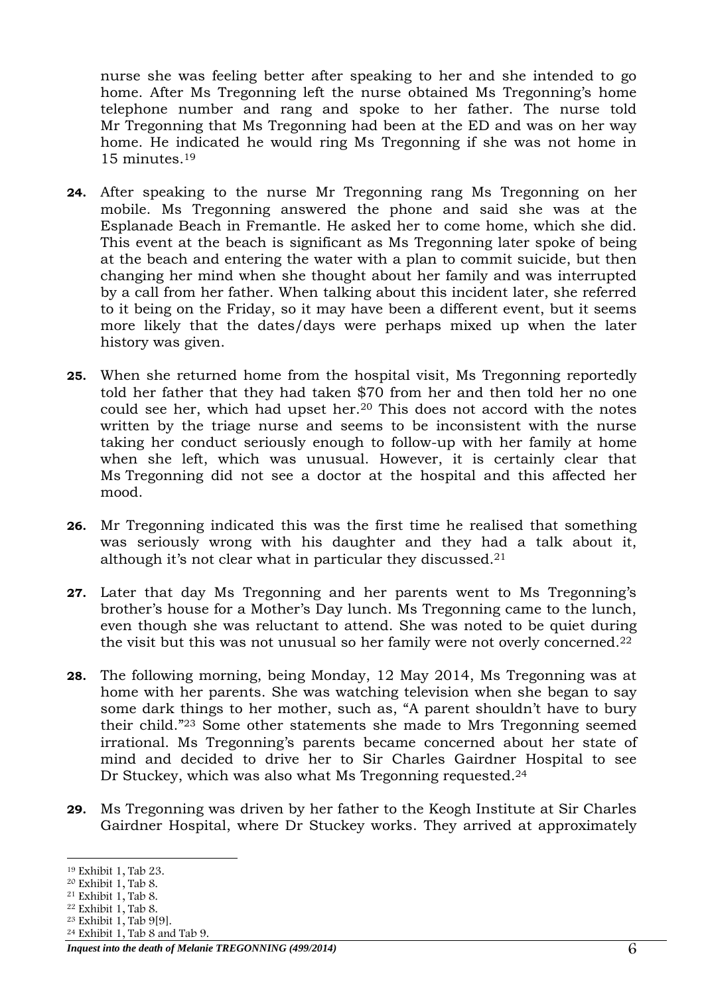nurse she was feeling better after speaking to her and she intended to go home. After Ms Tregonning left the nurse obtained Ms Tregonning's home telephone number and rang and spoke to her father. The nurse told Mr Tregonning that Ms Tregonning had been at the ED and was on her way home. He indicated he would ring Ms Tregonning if she was not home in 15 minutes.<sup>19</sup>

- **24.** After speaking to the nurse Mr Tregonning rang Ms Tregonning on her mobile. Ms Tregonning answered the phone and said she was at the Esplanade Beach in Fremantle. He asked her to come home, which she did. This event at the beach is significant as Ms Tregonning later spoke of being at the beach and entering the water with a plan to commit suicide, but then changing her mind when she thought about her family and was interrupted by a call from her father. When talking about this incident later, she referred to it being on the Friday, so it may have been a different event, but it seems more likely that the dates/days were perhaps mixed up when the later history was given.
- **25.** When she returned home from the hospital visit, Ms Tregonning reportedly told her father that they had taken \$70 from her and then told her no one could see her, which had upset her.<sup>20</sup> This does not accord with the notes written by the triage nurse and seems to be inconsistent with the nurse taking her conduct seriously enough to follow-up with her family at home when she left, which was unusual. However, it is certainly clear that Ms Tregonning did not see a doctor at the hospital and this affected her mood.
- **26.** Mr Tregonning indicated this was the first time he realised that something was seriously wrong with his daughter and they had a talk about it, although it's not clear what in particular they discussed. 21
- **27.** Later that day Ms Tregonning and her parents went to Ms Tregonning's brother's house for a Mother's Day lunch. Ms Tregonning came to the lunch, even though she was reluctant to attend. She was noted to be quiet during the visit but this was not unusual so her family were not overly concerned.<sup>22</sup>
- **28.** The following morning, being Monday, 12 May 2014, Ms Tregonning was at home with her parents. She was watching television when she began to say some dark things to her mother, such as, "A parent shouldn't have to bury their child." <sup>23</sup> Some other statements she made to Mrs Tregonning seemed irrational. Ms Tregonning's parents became concerned about her state of mind and decided to drive her to Sir Charles Gairdner Hospital to see Dr Stuckey, which was also what Ms Tregonning requested. 24
- **29.** Ms Tregonning was driven by her father to the Keogh Institute at Sir Charles Gairdner Hospital, where Dr Stuckey works. They arrived at approximately

<sup>24</sup> Exhibit 1, Tab 8 and Tab 9.

<sup>-</sup><sup>19</sup> Exhibit 1, Tab 23.

<sup>20</sup> Exhibit 1, Tab 8.

<sup>21</sup> Exhibit 1, Tab 8.  $22$  Exhibit 1, Tab 8.

<sup>23</sup> Exhibit 1, Tab 9[9].

*Inquest into the death of Melanie TREGONNING (499/2014)* 6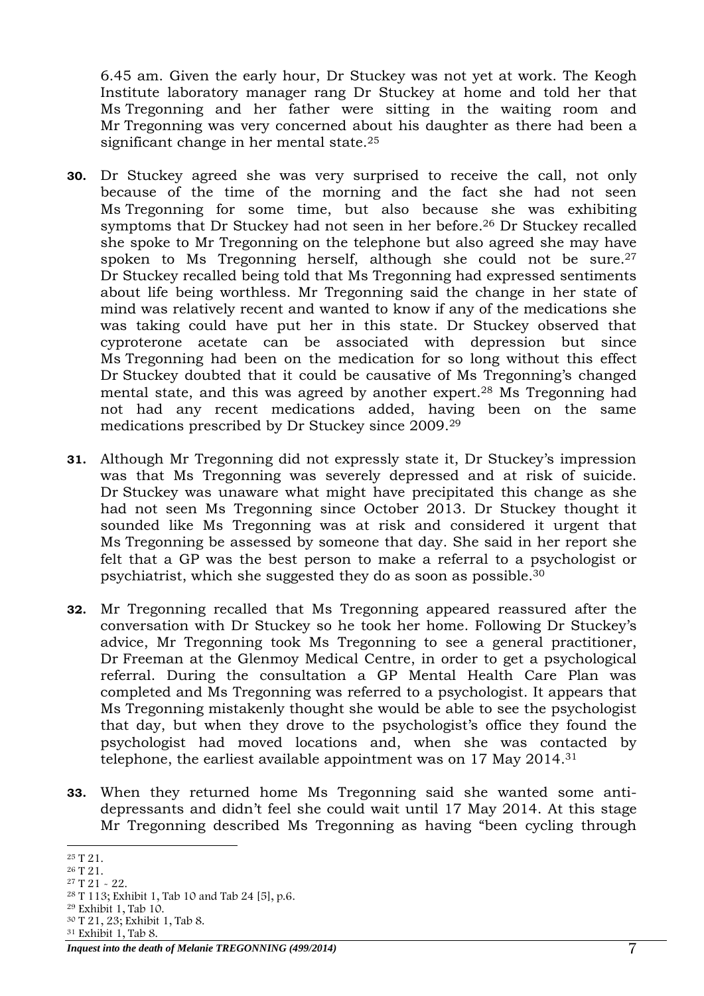6.45 am. Given the early hour, Dr Stuckey was not yet at work. The Keogh Institute laboratory manager rang Dr Stuckey at home and told her that Ms Tregonning and her father were sitting in the waiting room and Mr Tregonning was very concerned about his daughter as there had been a significant change in her mental state. 25

- **30.** Dr Stuckey agreed she was very surprised to receive the call, not only because of the time of the morning and the fact she had not seen Ms Tregonning for some time, but also because she was exhibiting symptoms that Dr Stuckey had not seen in her before. <sup>26</sup> Dr Stuckey recalled she spoke to Mr Tregonning on the telephone but also agreed she may have spoken to Ms Tregonning herself, although she could not be sure. 27 Dr Stuckey recalled being told that Ms Tregonning had expressed sentiments about life being worthless. Mr Tregonning said the change in her state of mind was relatively recent and wanted to know if any of the medications she was taking could have put her in this state. Dr Stuckey observed that cyproterone acetate can be associated with depression but since Ms Tregonning had been on the medication for so long without this effect Dr Stuckey doubted that it could be causative of Ms Tregonning's changed mental state, and this was agreed by another expert. <sup>28</sup> Ms Tregonning had not had any recent medications added, having been on the same medications prescribed by Dr Stuckey since 2009.<sup>29</sup>
- **31.** Although Mr Tregonning did not expressly state it, Dr Stuckey's impression was that Ms Tregonning was severely depressed and at risk of suicide. Dr Stuckey was unaware what might have precipitated this change as she had not seen Ms Tregonning since October 2013. Dr Stuckey thought it sounded like Ms Tregonning was at risk and considered it urgent that Ms Tregonning be assessed by someone that day. She said in her report she felt that a GP was the best person to make a referral to a psychologist or psychiatrist, which she suggested they do as soon as possible. 30
- **32.** Mr Tregonning recalled that Ms Tregonning appeared reassured after the conversation with Dr Stuckey so he took her home. Following Dr Stuckey's advice, Mr Tregonning took Ms Tregonning to see a general practitioner, Dr Freeman at the Glenmoy Medical Centre, in order to get a psychological referral. During the consultation a GP Mental Health Care Plan was completed and Ms Tregonning was referred to a psychologist. It appears that Ms Tregonning mistakenly thought she would be able to see the psychologist that day, but when they drove to the psychologist's office they found the psychologist had moved locations and, when she was contacted by telephone, the earliest available appointment was on 17 May 2014.<sup>31</sup>
- **33.** When they returned home Ms Tregonning said she wanted some antidepressants and didn't feel she could wait until 17 May 2014. At this stage Mr Tregonning described Ms Tregonning as having "been cycling through

<sup>31</sup> Exhibit 1, Tab 8.

<sup>-</sup><sup>25</sup> T 21.

<sup>26</sup> T 21.

<sup>27</sup> T 21 - 22.

<sup>28</sup> T 113; Exhibit 1, Tab 10 and Tab 24 [5], p.6.

<sup>29</sup> Exhibit 1, Tab 10. <sup>30</sup> T 21, 23; Exhibit 1, Tab 8.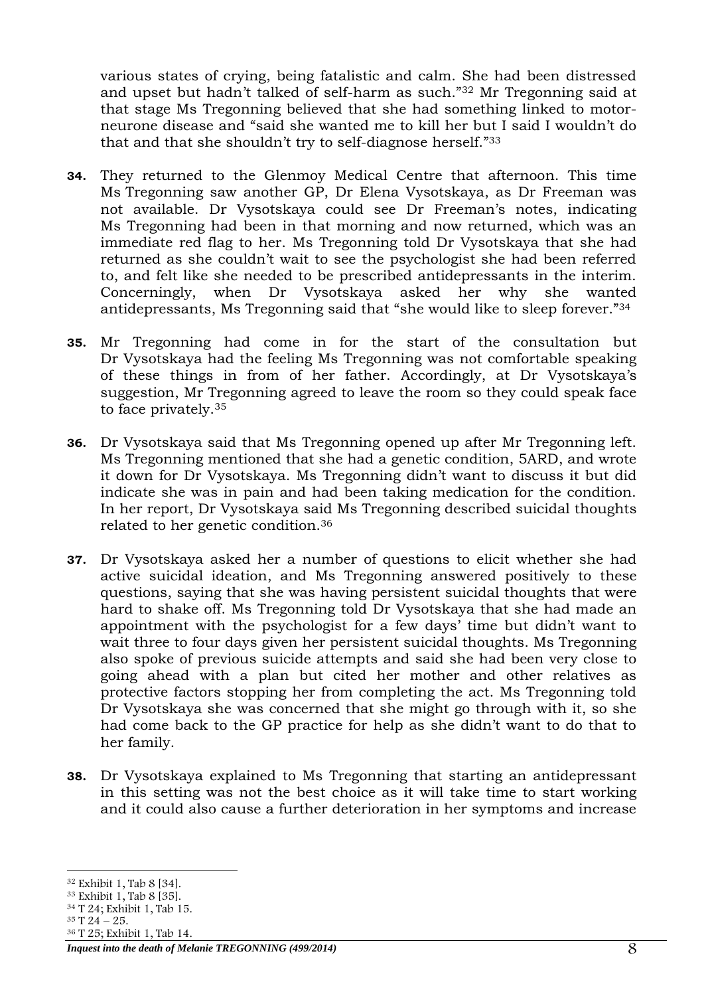various states of crying, being fatalistic and calm. She had been distressed and upset but hadn't talked of self-harm as such."<sup>32</sup> Mr Tregonning said at that stage Ms Tregonning believed that she had something linked to motorneurone disease and "said she wanted me to kill her but I said I wouldn't do that and that she shouldn't try to self-diagnose herself."<sup>33</sup>

- **34.** They returned to the Glenmoy Medical Centre that afternoon. This time Ms Tregonning saw another GP, Dr Elena Vysotskaya, as Dr Freeman was not available. Dr Vysotskaya could see Dr Freeman's notes, indicating Ms Tregonning had been in that morning and now returned, which was an immediate red flag to her. Ms Tregonning told Dr Vysotskaya that she had returned as she couldn't wait to see the psychologist she had been referred to, and felt like she needed to be prescribed antidepressants in the interim. Concerningly, when Dr Vysotskaya asked her why she wanted antidepressants, Ms Tregonning said that "she would like to sleep forever."<sup>34</sup>
- **35.** Mr Tregonning had come in for the start of the consultation but Dr Vysotskaya had the feeling Ms Tregonning was not comfortable speaking of these things in from of her father. Accordingly, at Dr Vysotskaya's suggestion, Mr Tregonning agreed to leave the room so they could speak face to face privately.<sup>35</sup>
- **36.** Dr Vysotskaya said that Ms Tregonning opened up after Mr Tregonning left. Ms Tregonning mentioned that she had a genetic condition, 5ARD, and wrote it down for Dr Vysotskaya. Ms Tregonning didn't want to discuss it but did indicate she was in pain and had been taking medication for the condition. In her report, Dr Vysotskaya said Ms Tregonning described suicidal thoughts related to her genetic condition.<sup>36</sup>
- **37.** Dr Vysotskaya asked her a number of questions to elicit whether she had active suicidal ideation, and Ms Tregonning answered positively to these questions, saying that she was having persistent suicidal thoughts that were hard to shake off. Ms Tregonning told Dr Vysotskaya that she had made an appointment with the psychologist for a few days' time but didn't want to wait three to four days given her persistent suicidal thoughts. Ms Tregonning also spoke of previous suicide attempts and said she had been very close to going ahead with a plan but cited her mother and other relatives as protective factors stopping her from completing the act. Ms Tregonning told Dr Vysotskaya she was concerned that she might go through with it, so she had come back to the GP practice for help as she didn't want to do that to her family.
- **38.** Dr Vysotskaya explained to Ms Tregonning that starting an antidepressant in this setting was not the best choice as it will take time to start working and it could also cause a further deterioration in her symptoms and increase

-

<sup>32</sup> Exhibit 1, Tab 8 [34].

<sup>33</sup> Exhibit 1, Tab 8 [35].

<sup>34</sup> T 24; Exhibit 1, Tab 15.  $35$  T  $24 - 25$ .

<sup>36</sup> T 25; Exhibit 1, Tab 14.

*Inquest into the death of Melanie TREGONNING (499/2014)* 8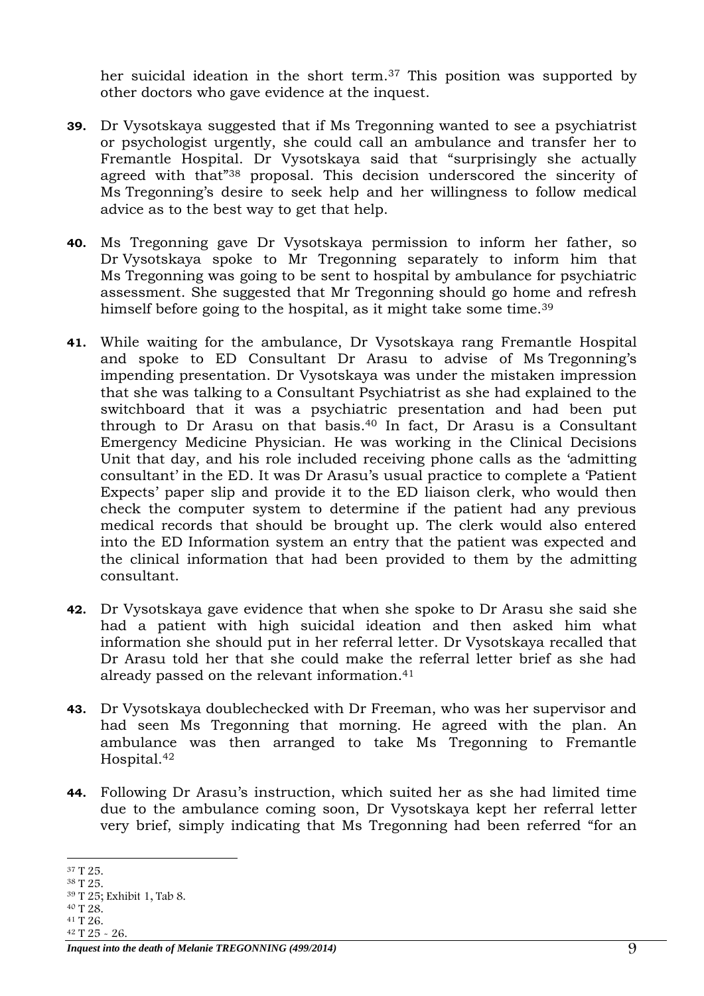her suicidal ideation in the short term.<sup>37</sup> This position was supported by other doctors who gave evidence at the inquest.

- **39.** Dr Vysotskaya suggested that if Ms Tregonning wanted to see a psychiatrist or psychologist urgently, she could call an ambulance and transfer her to Fremantle Hospital. Dr Vysotskaya said that "surprisingly she actually agreed with that"<sup>38</sup> proposal. This decision underscored the sincerity of Ms Tregonning's desire to seek help and her willingness to follow medical advice as to the best way to get that help.
- **40.** Ms Tregonning gave Dr Vysotskaya permission to inform her father, so Dr Vysotskaya spoke to Mr Tregonning separately to inform him that Ms Tregonning was going to be sent to hospital by ambulance for psychiatric assessment. She suggested that Mr Tregonning should go home and refresh himself before going to the hospital, as it might take some time.<sup>39</sup>
- **41.** While waiting for the ambulance, Dr Vysotskaya rang Fremantle Hospital and spoke to ED Consultant Dr Arasu to advise of Ms Tregonning's impending presentation. Dr Vysotskaya was under the mistaken impression that she was talking to a Consultant Psychiatrist as she had explained to the switchboard that it was a psychiatric presentation and had been put through to Dr Arasu on that basis. $40$  In fact, Dr Arasu is a Consultant Emergency Medicine Physician. He was working in the Clinical Decisions Unit that day, and his role included receiving phone calls as the 'admitting consultant' in the ED. It was Dr Arasu's usual practice to complete a 'Patient Expects' paper slip and provide it to the ED liaison clerk, who would then check the computer system to determine if the patient had any previous medical records that should be brought up. The clerk would also entered into the ED Information system an entry that the patient was expected and the clinical information that had been provided to them by the admitting consultant.
- **42.** Dr Vysotskaya gave evidence that when she spoke to Dr Arasu she said she had a patient with high suicidal ideation and then asked him what information she should put in her referral letter. Dr Vysotskaya recalled that Dr Arasu told her that she could make the referral letter brief as she had already passed on the relevant information.<sup>41</sup>
- **43.** Dr Vysotskaya doublechecked with Dr Freeman, who was her supervisor and had seen Ms Tregonning that morning. He agreed with the plan. An ambulance was then arranged to take Ms Tregonning to Fremantle Hospital.<sup>42</sup>
- **44.** Following Dr Arasu's instruction, which suited her as she had limited time due to the ambulance coming soon, Dr Vysotskaya kept her referral letter very brief, simply indicating that Ms Tregonning had been referred "for an

<sup>-</sup><sup>37</sup> T 25.

<sup>38</sup> T 25.

<sup>39</sup> T 25; Exhibit 1, Tab 8.

<sup>40</sup> T 28.

<sup>41</sup> T 26. <sup>42</sup> T 25 - 26.

*Inquest into the death of Melanie TREGONNING (499/2014)* 9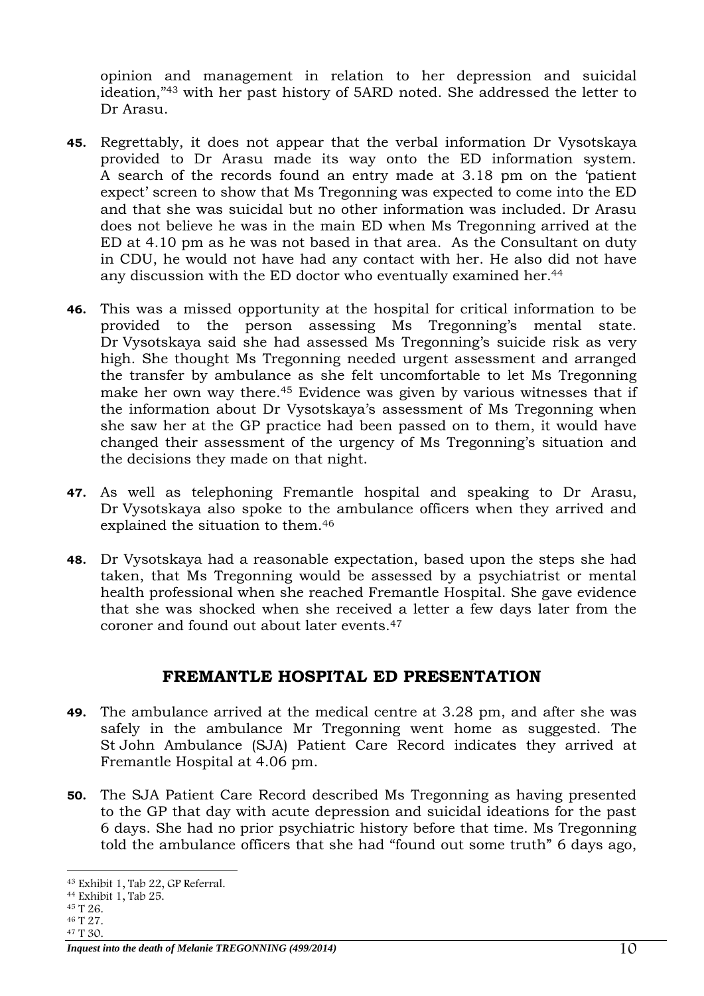opinion and management in relation to her depression and suicidal ideation," <sup>43</sup> with her past history of 5ARD noted. She addressed the letter to Dr Arasu.

- **45.** Regrettably, it does not appear that the verbal information Dr Vysotskaya provided to Dr Arasu made its way onto the ED information system. A search of the records found an entry made at 3.18 pm on the 'patient expect' screen to show that Ms Tregonning was expected to come into the ED and that she was suicidal but no other information was included. Dr Arasu does not believe he was in the main ED when Ms Tregonning arrived at the ED at 4.10 pm as he was not based in that area. As the Consultant on duty in CDU, he would not have had any contact with her. He also did not have any discussion with the ED doctor who eventually examined her.<sup>44</sup>
- **46.** This was a missed opportunity at the hospital for critical information to be provided to the person assessing Ms Tregonning's mental state. Dr Vysotskaya said she had assessed Ms Tregonning's suicide risk as very high. She thought Ms Tregonning needed urgent assessment and arranged the transfer by ambulance as she felt uncomfortable to let Ms Tregonning make her own way there.<sup>45</sup> Evidence was given by various witnesses that if the information about Dr Vysotskaya's assessment of Ms Tregonning when she saw her at the GP practice had been passed on to them, it would have changed their assessment of the urgency of Ms Tregonning's situation and the decisions they made on that night.
- **47.** As well as telephoning Fremantle hospital and speaking to Dr Arasu, Dr Vysotskaya also spoke to the ambulance officers when they arrived and explained the situation to them.<sup>46</sup>
- **48.** Dr Vysotskaya had a reasonable expectation, based upon the steps she had taken, that Ms Tregonning would be assessed by a psychiatrist or mental health professional when she reached Fremantle Hospital. She gave evidence that she was shocked when she received a letter a few days later from the coroner and found out about later events.<sup>47</sup>

## **FREMANTLE HOSPITAL ED PRESENTATION**

- <span id="page-9-0"></span>**49.** The ambulance arrived at the medical centre at 3.28 pm, and after she was safely in the ambulance Mr Tregonning went home as suggested. The St John Ambulance (SJA) Patient Care Record indicates they arrived at Fremantle Hospital at 4.06 pm.
- **50.** The SJA Patient Care Record described Ms Tregonning as having presented to the GP that day with acute depression and suicidal ideations for the past 6 days. She had no prior psychiatric history before that time. Ms Tregonning told the ambulance officers that she had "found out some truth" 6 days ago,

<sup>-</sup><sup>43</sup> Exhibit 1, Tab 22, GP Referral.

<sup>44</sup> Exhibit 1, Tab 25.

<sup>45</sup> T 26.

<sup>46</sup> T 27. <sup>47</sup> T 30.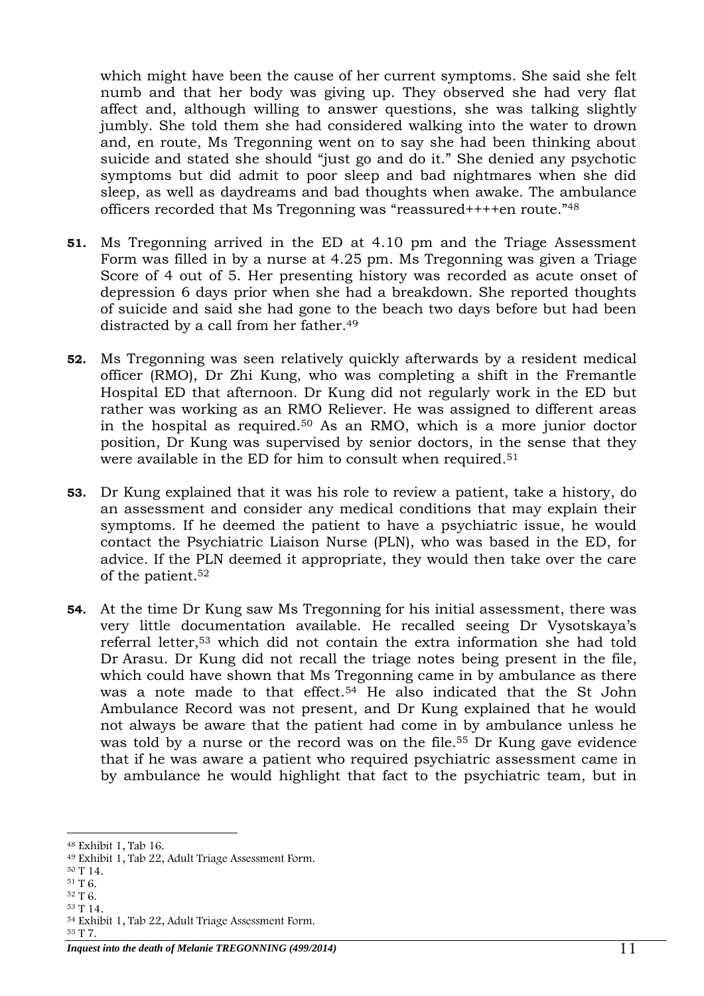which might have been the cause of her current symptoms. She said she felt numb and that her body was giving up. They observed she had very flat affect and, although willing to answer questions, she was talking slightly jumbly. She told them she had considered walking into the water to drown and, en route, Ms Tregonning went on to say she had been thinking about suicide and stated she should "just go and do it." She denied any psychotic symptoms but did admit to poor sleep and bad nightmares when she did sleep, as well as daydreams and bad thoughts when awake. The ambulance officers recorded that Ms Tregonning was "reassured++++en route."<sup>48</sup>

- **51.** Ms Tregonning arrived in the ED at 4.10 pm and the Triage Assessment Form was filled in by a nurse at 4.25 pm. Ms Tregonning was given a Triage Score of 4 out of 5. Her presenting history was recorded as acute onset of depression 6 days prior when she had a breakdown. She reported thoughts of suicide and said she had gone to the beach two days before but had been distracted by a call from her father.<sup>49</sup>
- **52.** Ms Tregonning was seen relatively quickly afterwards by a resident medical officer (RMO), Dr Zhi Kung, who was completing a shift in the Fremantle Hospital ED that afternoon. Dr Kung did not regularly work in the ED but rather was working as an RMO Reliever. He was assigned to different areas in the hospital as required. <sup>50</sup> As an RMO, which is a more junior doctor position, Dr Kung was supervised by senior doctors, in the sense that they were available in the ED for him to consult when required. 51
- **53.** Dr Kung explained that it was his role to review a patient, take a history, do an assessment and consider any medical conditions that may explain their symptoms. If he deemed the patient to have a psychiatric issue, he would contact the Psychiatric Liaison Nurse (PLN), who was based in the ED, for advice. If the PLN deemed it appropriate, they would then take over the care of the patient.<sup>52</sup>
- **54.** At the time Dr Kung saw Ms Tregonning for his initial assessment, there was very little documentation available. He recalled seeing Dr Vysotskaya's referral letter,<sup>53</sup> which did not contain the extra information she had told Dr Arasu. Dr Kung did not recall the triage notes being present in the file, which could have shown that Ms Tregonning came in by ambulance as there was a note made to that effect. <sup>54</sup> He also indicated that the St John Ambulance Record was not present, and Dr Kung explained that he would not always be aware that the patient had come in by ambulance unless he was told by a nurse or the record was on the file.<sup>55</sup> Dr Kung gave evidence that if he was aware a patient who required psychiatric assessment came in by ambulance he would highlight that fact to the psychiatric team, but in

- <sup>50</sup> T 14.
- <sup>51</sup> T 6.
- <sup>52</sup> T 6. <sup>53</sup> T 14.

<sup>-</sup><sup>48</sup> Exhibit 1, Tab 16.

<sup>49</sup> Exhibit 1, Tab 22, Adult Triage Assessment Form.

<sup>54</sup> Exhibit 1, Tab 22, Adult Triage Assessment Form.

<sup>55</sup> T 7.

*Inquest into the death of Melanie TREGONNING (499/2014)* 1 1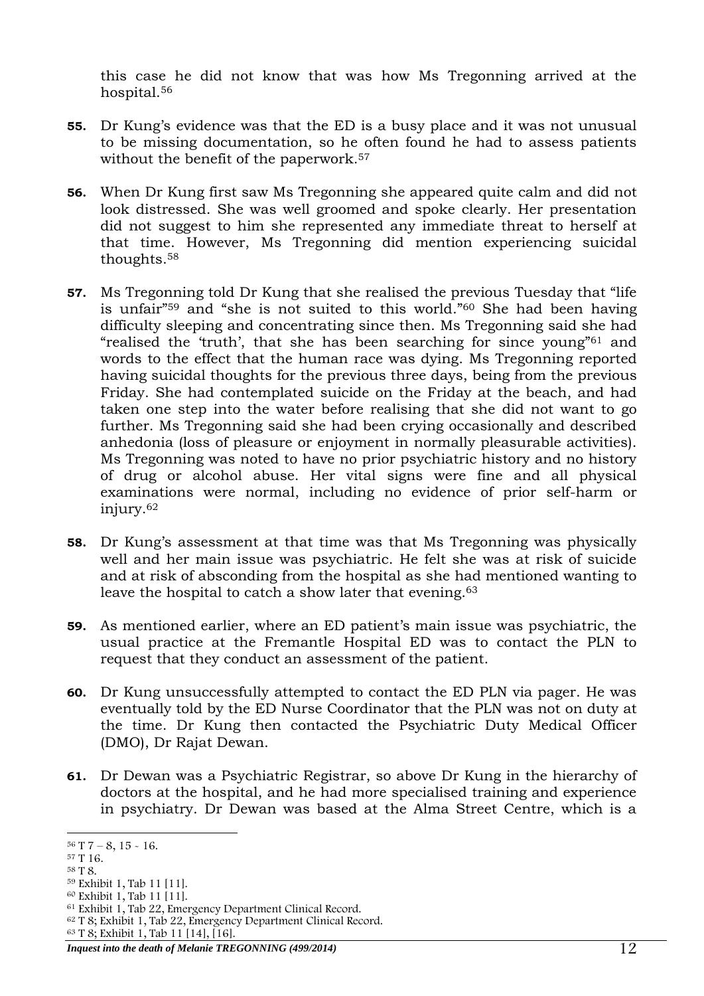this case he did not know that was how Ms Tregonning arrived at the hospital. 56

- **55.** Dr Kung's evidence was that the ED is a busy place and it was not unusual to be missing documentation, so he often found he had to assess patients without the benefit of the paperwork.<sup>57</sup>
- **56.** When Dr Kung first saw Ms Tregonning she appeared quite calm and did not look distressed. She was well groomed and spoke clearly. Her presentation did not suggest to him she represented any immediate threat to herself at that time. However, Ms Tregonning did mention experiencing suicidal thoughts.<sup>58</sup>
- **57.** Ms Tregonning told Dr Kung that she realised the previous Tuesday that "life is unfair"<sup>59</sup> and "she is not suited to this world." <sup>60</sup> She had been having difficulty sleeping and concentrating since then. Ms Tregonning said she had "realised the 'truth', that she has been searching for since young" <sup>61</sup> and words to the effect that the human race was dying. Ms Tregonning reported having suicidal thoughts for the previous three days, being from the previous Friday. She had contemplated suicide on the Friday at the beach, and had taken one step into the water before realising that she did not want to go further. Ms Tregonning said she had been crying occasionally and described anhedonia (loss of pleasure or enjoyment in normally pleasurable activities). Ms Tregonning was noted to have no prior psychiatric history and no history of drug or alcohol abuse. Her vital signs were fine and all physical examinations were normal, including no evidence of prior self-harm or injury. 62
- **58.** Dr Kung's assessment at that time was that Ms Tregonning was physically well and her main issue was psychiatric. He felt she was at risk of suicide and at risk of absconding from the hospital as she had mentioned wanting to leave the hospital to catch a show later that evening. 63
- **59.** As mentioned earlier, where an ED patient's main issue was psychiatric, the usual practice at the Fremantle Hospital ED was to contact the PLN to request that they conduct an assessment of the patient.
- **60.** Dr Kung unsuccessfully attempted to contact the ED PLN via pager. He was eventually told by the ED Nurse Coordinator that the PLN was not on duty at the time. Dr Kung then contacted the Psychiatric Duty Medical Officer (DMO), Dr Rajat Dewan.
- **61.** Dr Dewan was a Psychiatric Registrar, so above Dr Kung in the hierarchy of doctors at the hospital, and he had more specialised training and experience in psychiatry. Dr Dewan was based at the Alma Street Centre, which is a

<sup>-</sup> $56$  T  $7 - 8$ ,  $15 - 16$ .

<sup>57</sup> T 16.

<sup>58</sup> T 8.

<sup>59</sup> Exhibit 1, Tab 11 [11].

<sup>60</sup> Exhibit 1, Tab 11 [11].

<sup>61</sup> Exhibit 1, Tab 22, Emergency Department Clinical Record.

<sup>62</sup> T 8; Exhibit 1, Tab 22, Emergency Department Clinical Record.

<sup>63</sup> T 8; Exhibit 1, Tab 11 [14], [16].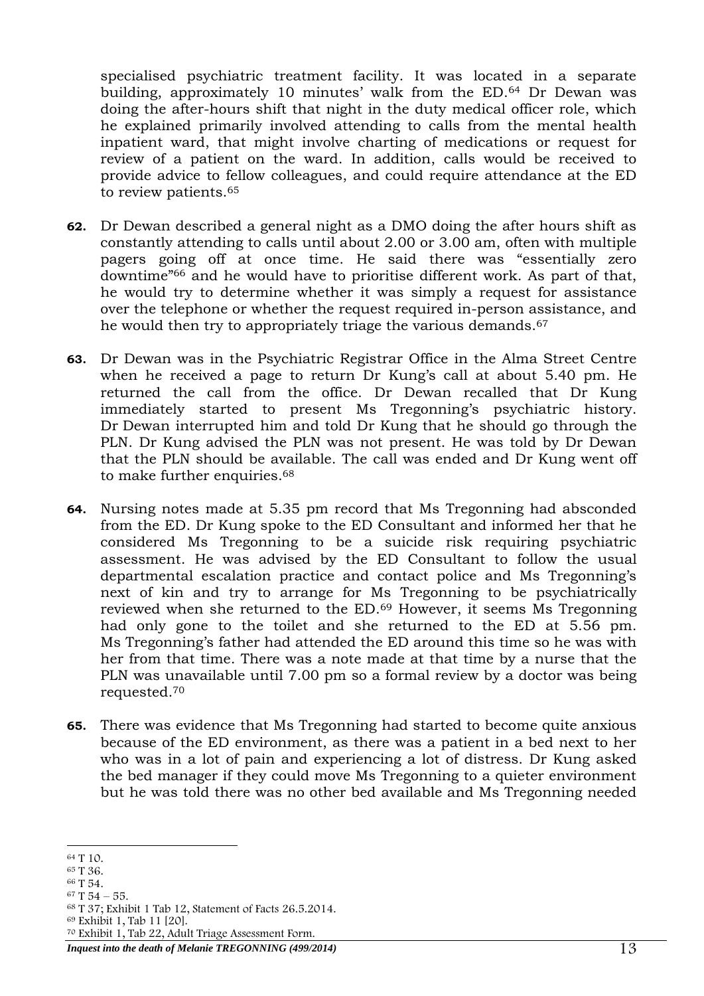specialised psychiatric treatment facility. It was located in a separate building, approximately 10 minutes' walk from the ED.<sup>64</sup> Dr Dewan was doing the after-hours shift that night in the duty medical officer role, which he explained primarily involved attending to calls from the mental health inpatient ward, that might involve charting of medications or request for review of a patient on the ward. In addition, calls would be received to provide advice to fellow colleagues, and could require attendance at the ED to review patients. 65

- **62.** Dr Dewan described a general night as a DMO doing the after hours shift as constantly attending to calls until about 2.00 or 3.00 am, often with multiple pagers going off at once time. He said there was "essentially zero downtime"<sup>66</sup> and he would have to prioritise different work. As part of that, he would try to determine whether it was simply a request for assistance over the telephone or whether the request required in-person assistance, and he would then try to appropriately triage the various demands.<sup>67</sup>
- **63.** Dr Dewan was in the Psychiatric Registrar Office in the Alma Street Centre when he received a page to return Dr Kung's call at about 5.40 pm. He returned the call from the office. Dr Dewan recalled that Dr Kung immediately started to present Ms Tregonning's psychiatric history. Dr Dewan interrupted him and told Dr Kung that he should go through the PLN. Dr Kung advised the PLN was not present. He was told by Dr Dewan that the PLN should be available. The call was ended and Dr Kung went off to make further enquiries.<sup>68</sup>
- **64.** Nursing notes made at 5.35 pm record that Ms Tregonning had absconded from the ED. Dr Kung spoke to the ED Consultant and informed her that he considered Ms Tregonning to be a suicide risk requiring psychiatric assessment. He was advised by the ED Consultant to follow the usual departmental escalation practice and contact police and Ms Tregonning's next of kin and try to arrange for Ms Tregonning to be psychiatrically reviewed when she returned to the ED. <sup>69</sup> However, it seems Ms Tregonning had only gone to the toilet and she returned to the ED at 5.56 pm. Ms Tregonning's father had attended the ED around this time so he was with her from that time. There was a note made at that time by a nurse that the PLN was unavailable until 7.00 pm so a formal review by a doctor was being requested.<sup>70</sup>
- **65.** There was evidence that Ms Tregonning had started to become quite anxious because of the ED environment, as there was a patient in a bed next to her who was in a lot of pain and experiencing a lot of distress. Dr Kung asked the bed manager if they could move Ms Tregonning to a quieter environment but he was told there was no other bed available and Ms Tregonning needed

<sup>66</sup> T 54.

<sup>69</sup> Exhibit 1, Tab 11 [20].

<sup>70</sup> Exhibit 1, Tab 22, Adult Triage Assessment Form.

*Inquest into the death of Melanie TREGONNING (499/2014)* 13

<sup>-</sup><sup>64</sup> T 10.

<sup>65</sup> T 36.

 $67$  T 54 – 55.

<sup>68</sup> T 37; Exhibit 1 Tab 12, Statement of Facts 26.5.2014.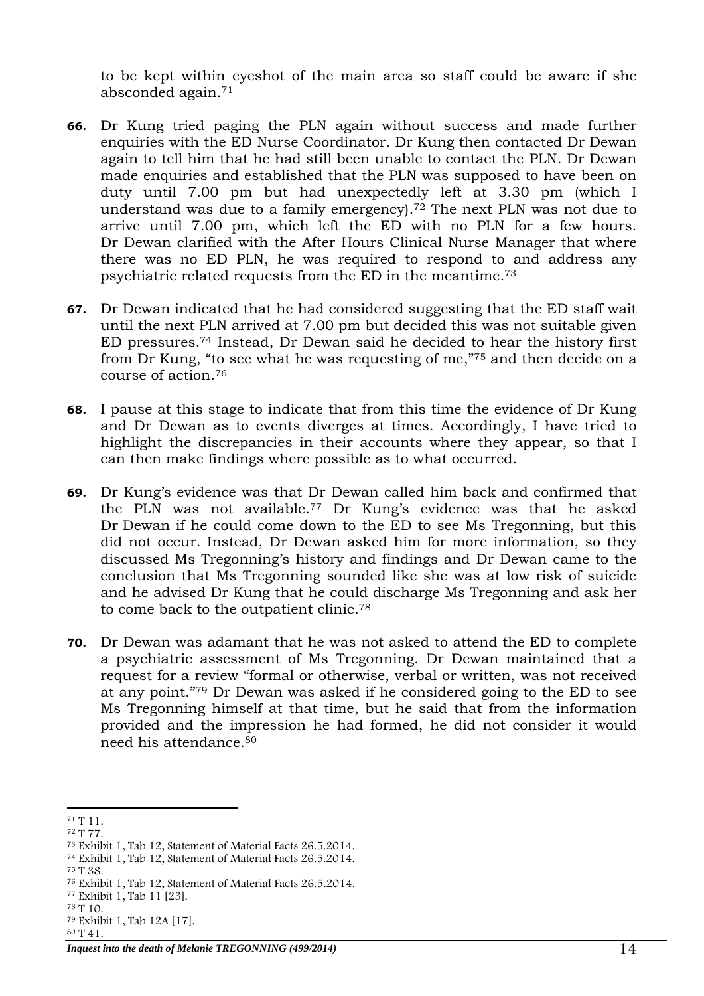to be kept within eyeshot of the main area so staff could be aware if she absconded again.<sup>71</sup>

- **66.** Dr Kung tried paging the PLN again without success and made further enquiries with the ED Nurse Coordinator. Dr Kung then contacted Dr Dewan again to tell him that he had still been unable to contact the PLN. Dr Dewan made enquiries and established that the PLN was supposed to have been on duty until 7.00 pm but had unexpectedly left at 3.30 pm (which I understand was due to a family emergency). <sup>72</sup> The next PLN was not due to arrive until 7.00 pm, which left the ED with no PLN for a few hours. Dr Dewan clarified with the After Hours Clinical Nurse Manager that where there was no ED PLN, he was required to respond to and address any psychiatric related requests from the ED in the meantime.<sup>73</sup>
- **67.** Dr Dewan indicated that he had considered suggesting that the ED staff wait until the next PLN arrived at 7.00 pm but decided this was not suitable given ED pressures.<sup>74</sup> Instead, Dr Dewan said he decided to hear the history first from Dr Kung, "to see what he was requesting of me," <sup>75</sup> and then decide on a course of action.<sup>76</sup>
- **68.** I pause at this stage to indicate that from this time the evidence of Dr Kung and Dr Dewan as to events diverges at times. Accordingly, I have tried to highlight the discrepancies in their accounts where they appear, so that I can then make findings where possible as to what occurred.
- **69.** Dr Kung's evidence was that Dr Dewan called him back and confirmed that the PLN was not available.<sup>77</sup> Dr Kung's evidence was that he asked Dr Dewan if he could come down to the ED to see Ms Tregonning, but this did not occur. Instead, Dr Dewan asked him for more information, so they discussed Ms Tregonning's history and findings and Dr Dewan came to the conclusion that Ms Tregonning sounded like she was at low risk of suicide and he advised Dr Kung that he could discharge Ms Tregonning and ask her to come back to the outpatient clinic.<sup>78</sup>
- **70.** Dr Dewan was adamant that he was not asked to attend the ED to complete a psychiatric assessment of Ms Tregonning. Dr Dewan maintained that a request for a review "formal or otherwise, verbal or written, was not received at any point."<sup>79</sup> Dr Dewan was asked if he considered going to the ED to see Ms Tregonning himself at that time, but he said that from the information provided and the impression he had formed, he did not consider it would need his attendance.<sup>80</sup>

<sup>72</sup> T 77.

<sup>75</sup> T 38.

<sup>-</sup><sup>71</sup> T 11.

<sup>73</sup> Exhibit 1, Tab 12, Statement of Material Facts 26.5.2014.

<sup>74</sup> Exhibit 1, Tab 12, Statement of Material Facts 26.5.2014.

<sup>76</sup> Exhibit 1, Tab 12, Statement of Material Facts 26.5.2014.

<sup>77</sup> Exhibit 1, Tab 11 [23].

<sup>78</sup> T 10.

<sup>79</sup> Exhibit 1, Tab 12A [17].

<sup>80</sup> T 41.

*Inquest into the death of Melanie TREGONNING (499/2014)* 14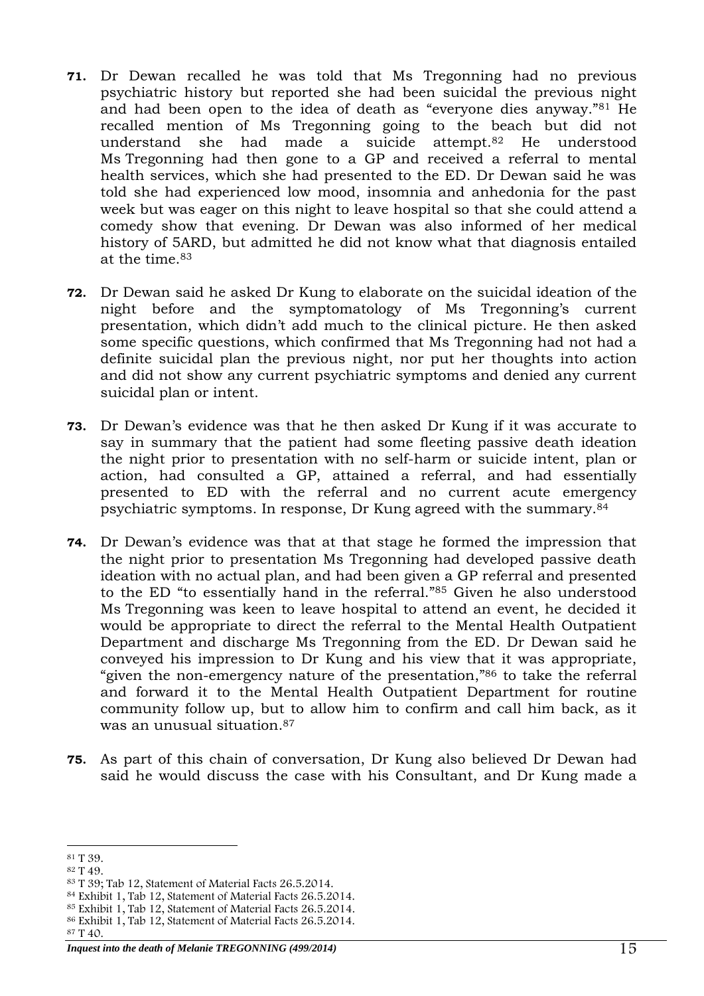- **71.** Dr Dewan recalled he was told that Ms Tregonning had no previous psychiatric history but reported she had been suicidal the previous night and had been open to the idea of death as "everyone dies anyway."<sup>81</sup> He recalled mention of Ms Tregonning going to the beach but did not understand she had made a suicide attempt.<sup>82</sup> He understood Ms Tregonning had then gone to a GP and received a referral to mental health services, which she had presented to the ED. Dr Dewan said he was told she had experienced low mood, insomnia and anhedonia for the past week but was eager on this night to leave hospital so that she could attend a comedy show that evening. Dr Dewan was also informed of her medical history of 5ARD, but admitted he did not know what that diagnosis entailed at the time. 83
- **72.** Dr Dewan said he asked Dr Kung to elaborate on the suicidal ideation of the night before and the symptomatology of Ms Tregonning's current presentation, which didn't add much to the clinical picture. He then asked some specific questions, which confirmed that Ms Tregonning had not had a definite suicidal plan the previous night, nor put her thoughts into action and did not show any current psychiatric symptoms and denied any current suicidal plan or intent.
- **73.** Dr Dewan's evidence was that he then asked Dr Kung if it was accurate to say in summary that the patient had some fleeting passive death ideation the night prior to presentation with no self-harm or suicide intent, plan or action, had consulted a GP, attained a referral, and had essentially presented to ED with the referral and no current acute emergency psychiatric symptoms. In response, Dr Kung agreed with the summary.<sup>84</sup>
- **74.** Dr Dewan's evidence was that at that stage he formed the impression that the night prior to presentation Ms Tregonning had developed passive death ideation with no actual plan, and had been given a GP referral and presented to the ED "to essentially hand in the referral."<sup>85</sup> Given he also understood Ms Tregonning was keen to leave hospital to attend an event, he decided it would be appropriate to direct the referral to the Mental Health Outpatient Department and discharge Ms Tregonning from the ED. Dr Dewan said he conveyed his impression to Dr Kung and his view that it was appropriate, "given the non-emergency nature of the presentation," <sup>86</sup> to take the referral and forward it to the Mental Health Outpatient Department for routine community follow up, but to allow him to confirm and call him back, as it was an unusual situation.<sup>87</sup>
- **75.** As part of this chain of conversation, Dr Kung also believed Dr Dewan had said he would discuss the case with his Consultant, and Dr Kung made a

<sup>-</sup><sup>81</sup> T 39.

<sup>82</sup> T 49.

<sup>83</sup> T 39; Tab 12, Statement of Material Facts 26.5.2014.

<sup>84</sup> Exhibit 1, Tab 12, Statement of Material Facts 26.5.2014.

<sup>85</sup> Exhibit 1, Tab 12, Statement of Material Facts 26.5.2014.

<sup>86</sup> Exhibit 1, Tab 12, Statement of Material Facts 26.5.2014.

<sup>87</sup> T 40.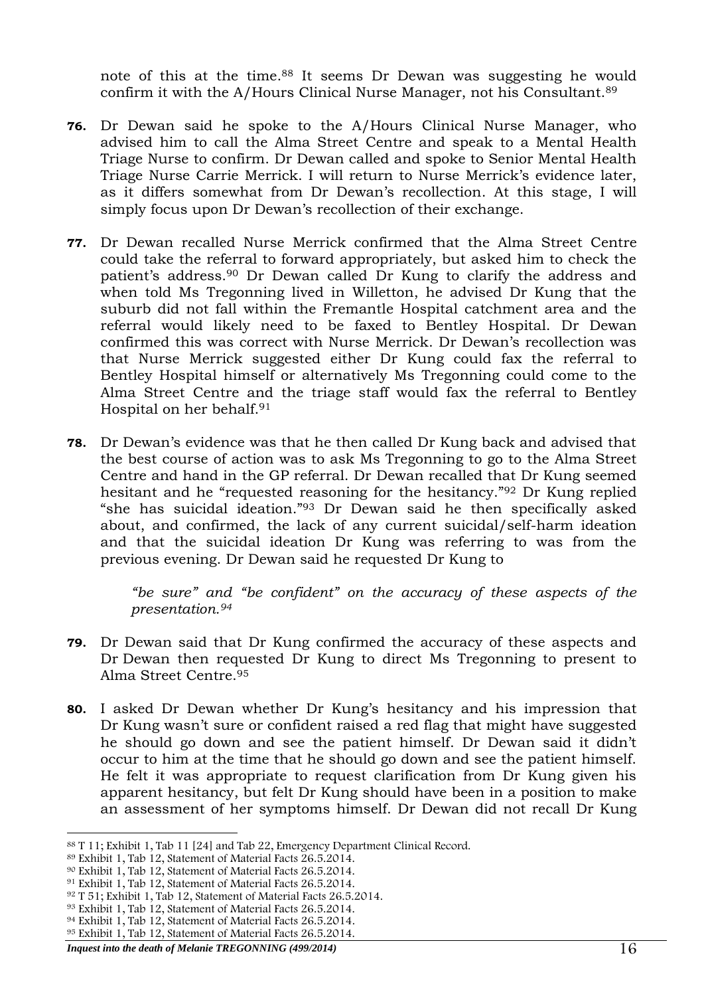note of this at the time. <sup>88</sup> It seems Dr Dewan was suggesting he would confirm it with the A/Hours Clinical Nurse Manager, not his Consultant.<sup>89</sup>

- **76.** Dr Dewan said he spoke to the A/Hours Clinical Nurse Manager, who advised him to call the Alma Street Centre and speak to a Mental Health Triage Nurse to confirm. Dr Dewan called and spoke to Senior Mental Health Triage Nurse Carrie Merrick. I will return to Nurse Merrick's evidence later, as it differs somewhat from Dr Dewan's recollection. At this stage, I will simply focus upon Dr Dewan's recollection of their exchange.
- **77.** Dr Dewan recalled Nurse Merrick confirmed that the Alma Street Centre could take the referral to forward appropriately, but asked him to check the patient's address.<sup>90</sup> Dr Dewan called Dr Kung to clarify the address and when told Ms Tregonning lived in Willetton, he advised Dr Kung that the suburb did not fall within the Fremantle Hospital catchment area and the referral would likely need to be faxed to Bentley Hospital. Dr Dewan confirmed this was correct with Nurse Merrick. Dr Dewan's recollection was that Nurse Merrick suggested either Dr Kung could fax the referral to Bentley Hospital himself or alternatively Ms Tregonning could come to the Alma Street Centre and the triage staff would fax the referral to Bentley Hospital on her behalf.<sup>91</sup>
- **78.** Dr Dewan's evidence was that he then called Dr Kung back and advised that the best course of action was to ask Ms Tregonning to go to the Alma Street Centre and hand in the GP referral. Dr Dewan recalled that Dr Kung seemed hesitant and he "requested reasoning for the hesitancy."<sup>92</sup> Dr Kung replied "she has suicidal ideation."<sup>93</sup> Dr Dewan said he then specifically asked about, and confirmed, the lack of any current suicidal/self-harm ideation and that the suicidal ideation Dr Kung was referring to was from the previous evening. Dr Dewan said he requested Dr Kung to

*"be sure" and "be confident" on the accuracy of these aspects of the presentation.<sup>94</sup>*

- **79.** Dr Dewan said that Dr Kung confirmed the accuracy of these aspects and Dr Dewan then requested Dr Kung to direct Ms Tregonning to present to Alma Street Centre.<sup>95</sup>
- **80.** I asked Dr Dewan whether Dr Kung's hesitancy and his impression that Dr Kung wasn't sure or confident raised a red flag that might have suggested he should go down and see the patient himself. Dr Dewan said it didn't occur to him at the time that he should go down and see the patient himself. He felt it was appropriate to request clarification from Dr Kung given his apparent hesitancy, but felt Dr Kung should have been in a position to make an assessment of her symptoms himself. Dr Dewan did not recall Dr Kung

<sup>-</sup><sup>88</sup> T 11; Exhibit 1, Tab 11 [24] and Tab 22, Emergency Department Clinical Record.

<sup>89</sup> Exhibit 1, Tab 12, Statement of Material Facts 26.5.2014.

<sup>90</sup> Exhibit 1, Tab 12, Statement of Material Facts 26.5.2014.

<sup>91</sup> Exhibit 1, Tab 12, Statement of Material Facts 26.5.2014.

<sup>92</sup> T 51; Exhibit 1, Tab 12, Statement of Material Facts 26.5.2014.

<sup>93</sup> Exhibit 1, Tab 12, Statement of Material Facts 26.5.2014.

<sup>94</sup> Exhibit 1, Tab 12, Statement of Material Facts 26.5.2014.

<sup>95</sup> Exhibit 1, Tab 12, Statement of Material Facts 26.5.2014.

*Inquest into the death of Melanie TREGONNING (499/2014)* 16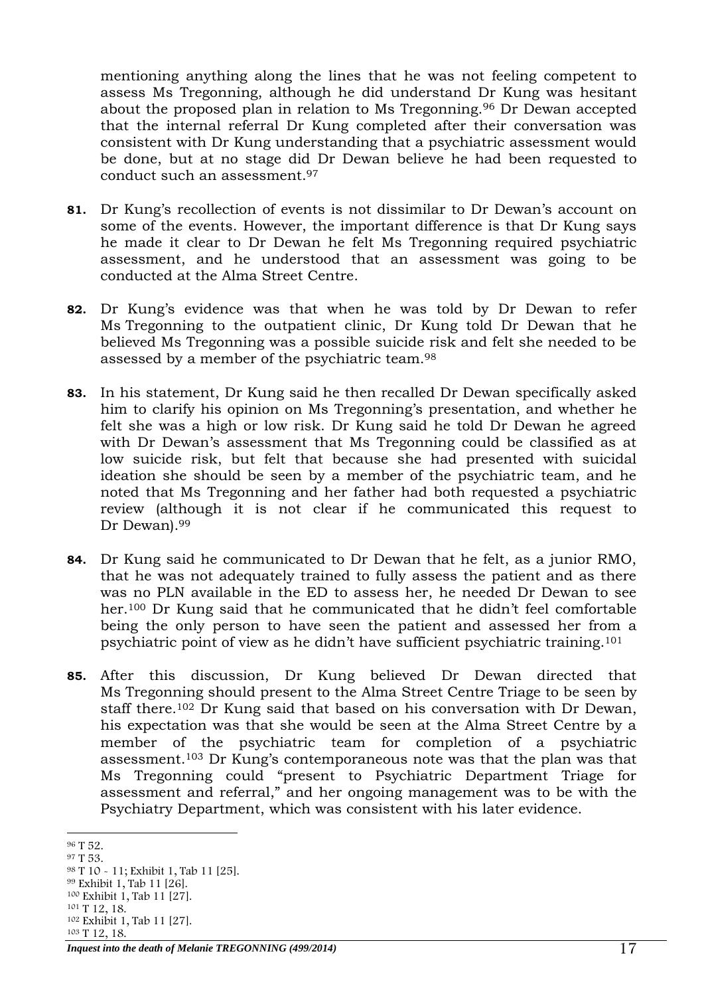mentioning anything along the lines that he was not feeling competent to assess Ms Tregonning, although he did understand Dr Kung was hesitant about the proposed plan in relation to Ms Tregonning.<sup>96</sup> Dr Dewan accepted that the internal referral Dr Kung completed after their conversation was consistent with Dr Kung understanding that a psychiatric assessment would be done, but at no stage did Dr Dewan believe he had been requested to conduct such an assessment.<sup>97</sup>

- **81.** Dr Kung's recollection of events is not dissimilar to Dr Dewan's account on some of the events. However, the important difference is that Dr Kung says he made it clear to Dr Dewan he felt Ms Tregonning required psychiatric assessment, and he understood that an assessment was going to be conducted at the Alma Street Centre.
- **82.** Dr Kung's evidence was that when he was told by Dr Dewan to refer Ms Tregonning to the outpatient clinic, Dr Kung told Dr Dewan that he believed Ms Tregonning was a possible suicide risk and felt she needed to be assessed by a member of the psychiatric team.<sup>98</sup>
- **83.** In his statement, Dr Kung said he then recalled Dr Dewan specifically asked him to clarify his opinion on Ms Tregonning's presentation, and whether he felt she was a high or low risk. Dr Kung said he told Dr Dewan he agreed with Dr Dewan's assessment that Ms Tregonning could be classified as at low suicide risk, but felt that because she had presented with suicidal ideation she should be seen by a member of the psychiatric team, and he noted that Ms Tregonning and her father had both requested a psychiatric review (although it is not clear if he communicated this request to Dr Dewan).<sup>99</sup>
- **84.** Dr Kung said he communicated to Dr Dewan that he felt, as a junior RMO, that he was not adequately trained to fully assess the patient and as there was no PLN available in the ED to assess her, he needed Dr Dewan to see her.<sup>100</sup> Dr Kung said that he communicated that he didn't feel comfortable being the only person to have seen the patient and assessed her from a psychiatric point of view as he didn't have sufficient psychiatric training. 101
- **85.** After this discussion, Dr Kung believed Dr Dewan directed that Ms Tregonning should present to the Alma Street Centre Triage to be seen by staff there.<sup>102</sup> Dr Kung said that based on his conversation with Dr Dewan, his expectation was that she would be seen at the Alma Street Centre by a member of the psychiatric team for completion of a psychiatric assessment.<sup>103</sup> Dr Kung's contemporaneous note was that the plan was that Ms Tregonning could "present to Psychiatric Department Triage for assessment and referral," and her ongoing management was to be with the Psychiatry Department, which was consistent with his later evidence.

<sup>-</sup><sup>96</sup> T 52.

<sup>97</sup> T 53.

<sup>98</sup> T 10 - 11; Exhibit 1, Tab 11 [25]. <sup>99</sup> Exhibit 1, Tab 11 [26]. <sup>100</sup> Exhibit 1, Tab 11 [27]. <sup>101</sup> T 12, 18. <sup>102</sup> Exhibit 1, Tab 11 [27]. <sup>103</sup> T 12, 18.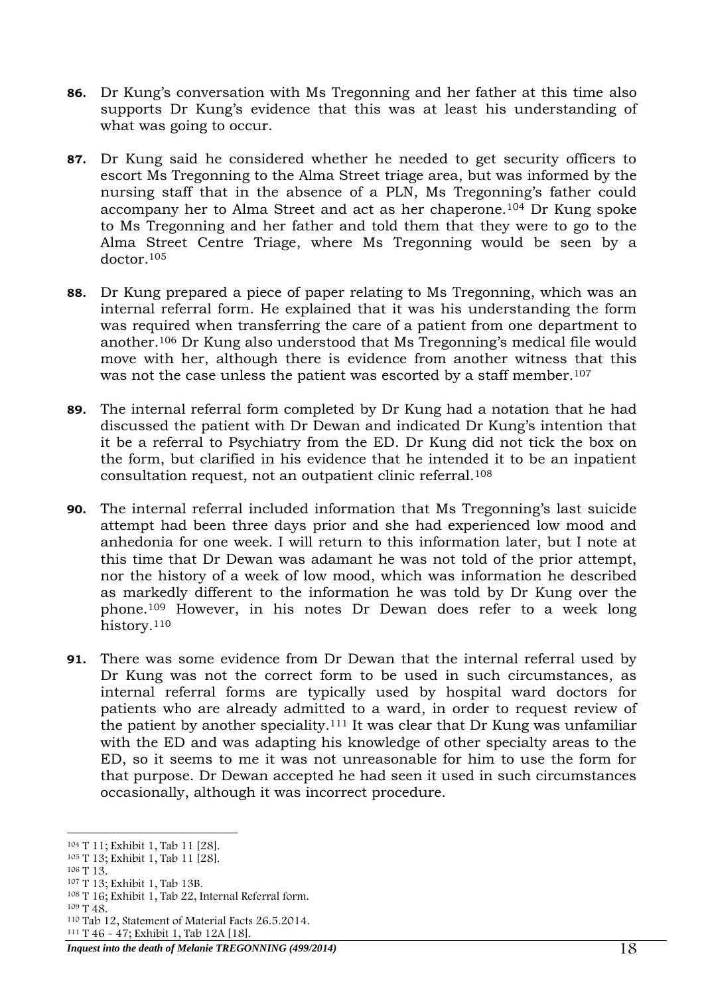- **86.** Dr Kung's conversation with Ms Tregonning and her father at this time also supports Dr Kung's evidence that this was at least his understanding of what was going to occur.
- **87.** Dr Kung said he considered whether he needed to get security officers to escort Ms Tregonning to the Alma Street triage area, but was informed by the nursing staff that in the absence of a PLN, Ms Tregonning's father could accompany her to Alma Street and act as her chaperone.<sup>104</sup> Dr Kung spoke to Ms Tregonning and her father and told them that they were to go to the Alma Street Centre Triage, where Ms Tregonning would be seen by a doctor.<sup>105</sup>
- **88.** Dr Kung prepared a piece of paper relating to Ms Tregonning, which was an internal referral form. He explained that it was his understanding the form was required when transferring the care of a patient from one department to another.<sup>106</sup> Dr Kung also understood that Ms Tregonning's medical file would move with her, although there is evidence from another witness that this was not the case unless the patient was escorted by a staff member. 107
- **89.** The internal referral form completed by Dr Kung had a notation that he had discussed the patient with Dr Dewan and indicated Dr Kung's intention that it be a referral to Psychiatry from the ED. Dr Kung did not tick the box on the form, but clarified in his evidence that he intended it to be an inpatient consultation request, not an outpatient clinic referral.<sup>108</sup>
- **90.** The internal referral included information that Ms Tregonning's last suicide attempt had been three days prior and she had experienced low mood and anhedonia for one week. I will return to this information later, but I note at this time that Dr Dewan was adamant he was not told of the prior attempt, nor the history of a week of low mood, which was information he described as markedly different to the information he was told by Dr Kung over the phone.<sup>109</sup> However, in his notes Dr Dewan does refer to a week long history.<sup>110</sup>
- **91.** There was some evidence from Dr Dewan that the internal referral used by Dr Kung was not the correct form to be used in such circumstances, as internal referral forms are typically used by hospital ward doctors for patients who are already admitted to a ward, in order to request review of the patient by another speciality.<sup>111</sup> It was clear that Dr Kung was unfamiliar with the ED and was adapting his knowledge of other specialty areas to the ED, so it seems to me it was not unreasonable for him to use the form for that purpose. Dr Dewan accepted he had seen it used in such circumstances occasionally, although it was incorrect procedure.

<sup>107</sup> T 13; Exhibit 1, Tab 13B.

<sup>-</sup><sup>104</sup> T 11; Exhibit 1, Tab 11 [28].

<sup>105</sup> T 13; Exhibit 1, Tab 11 [28].

<sup>106</sup> T 13.

<sup>108</sup> T 16; Exhibit 1, Tab 22, Internal Referral form.

<sup>109</sup> T 48.

<sup>110</sup> Tab 12, Statement of Material Facts 26.5.2014.

<sup>111</sup> T 46 - 47; Exhibit 1, Tab 12A [18].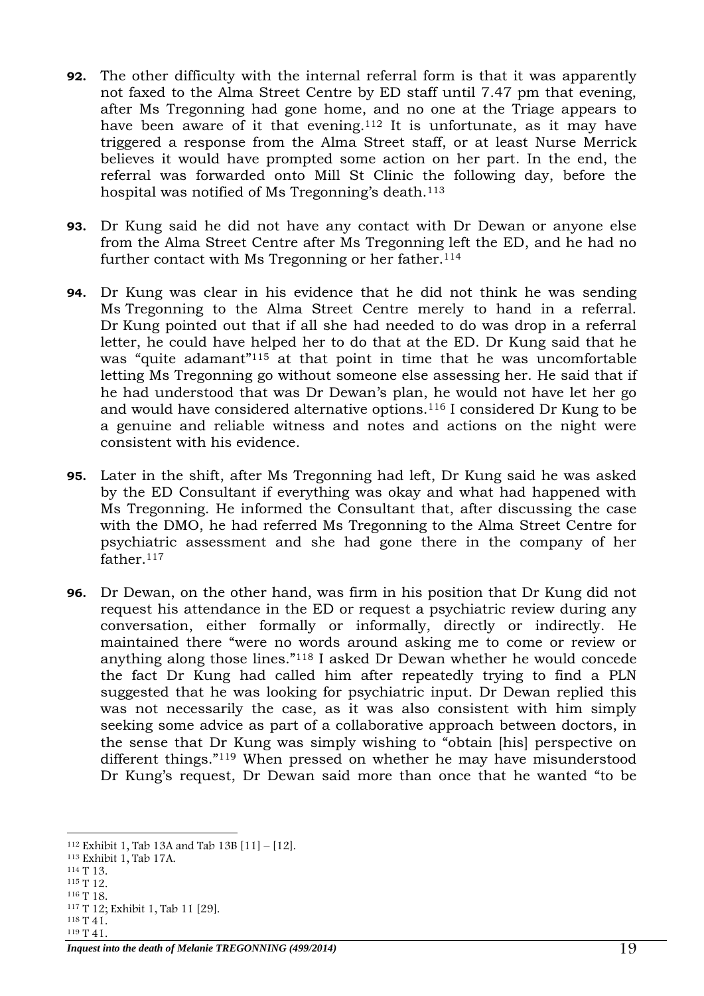- **92.** The other difficulty with the internal referral form is that it was apparently not faxed to the Alma Street Centre by ED staff until 7.47 pm that evening, after Ms Tregonning had gone home, and no one at the Triage appears to have been aware of it that evening.<sup>112</sup> It is unfortunate, as it may have triggered a response from the Alma Street staff, or at least Nurse Merrick believes it would have prompted some action on her part. In the end, the referral was forwarded onto Mill St Clinic the following day, before the hospital was notified of Ms Tregonning's death.<sup>113</sup>
- **93.** Dr Kung said he did not have any contact with Dr Dewan or anyone else from the Alma Street Centre after Ms Tregonning left the ED, and he had no further contact with Ms Tregonning or her father.<sup>114</sup>
- **94.** Dr Kung was clear in his evidence that he did not think he was sending Ms Tregonning to the Alma Street Centre merely to hand in a referral. Dr Kung pointed out that if all she had needed to do was drop in a referral letter, he could have helped her to do that at the ED. Dr Kung said that he was "quite adamant"<sup>115</sup> at that point in time that he was uncomfortable letting Ms Tregonning go without someone else assessing her. He said that if he had understood that was Dr Dewan's plan, he would not have let her go and would have considered alternative options.<sup>116</sup> I considered Dr Kung to be a genuine and reliable witness and notes and actions on the night were consistent with his evidence.
- **95.** Later in the shift, after Ms Tregonning had left, Dr Kung said he was asked by the ED Consultant if everything was okay and what had happened with Ms Tregonning. He informed the Consultant that, after discussing the case with the DMO, he had referred Ms Tregonning to the Alma Street Centre for psychiatric assessment and she had gone there in the company of her father.<sup>117</sup>
- **96.** Dr Dewan, on the other hand, was firm in his position that Dr Kung did not request his attendance in the ED or request a psychiatric review during any conversation, either formally or informally, directly or indirectly. He maintained there "were no words around asking me to come or review or anything along those lines."<sup>118</sup> I asked Dr Dewan whether he would concede the fact Dr Kung had called him after repeatedly trying to find a PLN suggested that he was looking for psychiatric input. Dr Dewan replied this was not necessarily the case, as it was also consistent with him simply seeking some advice as part of a collaborative approach between doctors, in the sense that Dr Kung was simply wishing to "obtain [his] perspective on different things."<sup>119</sup> When pressed on whether he may have misunderstood Dr Kung's request, Dr Dewan said more than once that he wanted "to be

<sup>115</sup> T 12.

<sup>119</sup> T 41.

<sup>-</sup><sup>112</sup> Exhibit 1, Tab 13A and Tab 13B  $[11] - [12]$ .

<sup>113</sup> Exhibit 1, Tab 17A.

<sup>114</sup> T 13.

<sup>116</sup> T 18. <sup>117</sup> T 12; Exhibit 1, Tab 11 [29].

<sup>118</sup> T 41.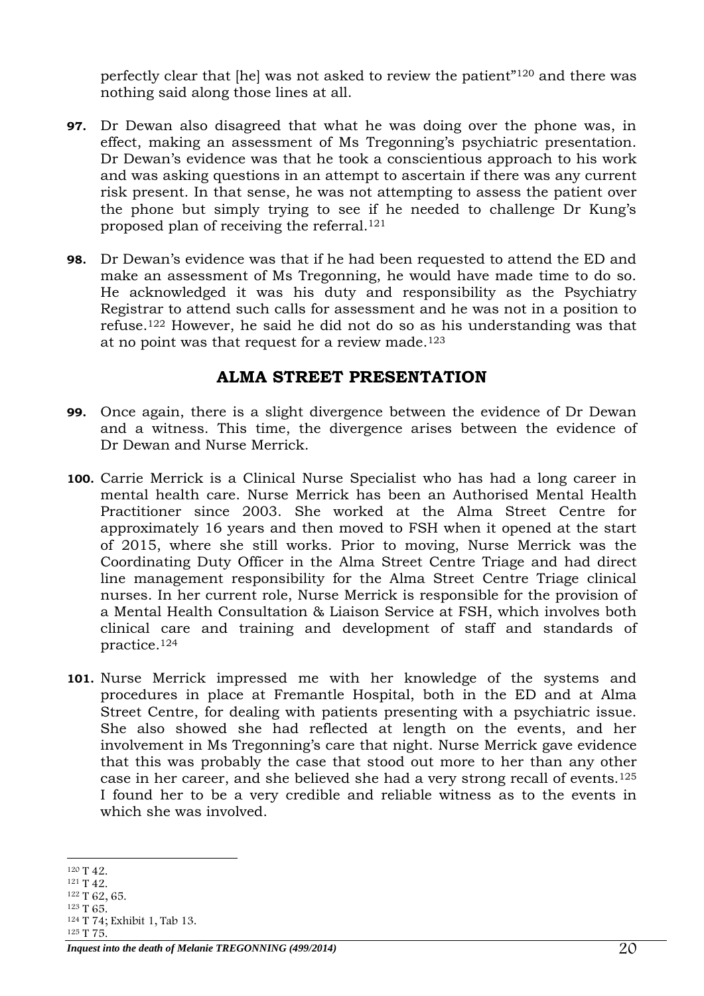perfectly clear that [he] was not asked to review the patient"<sup>120</sup> and there was nothing said along those lines at all.

- **97.** Dr Dewan also disagreed that what he was doing over the phone was, in effect, making an assessment of Ms Tregonning's psychiatric presentation. Dr Dewan's evidence was that he took a conscientious approach to his work and was asking questions in an attempt to ascertain if there was any current risk present. In that sense, he was not attempting to assess the patient over the phone but simply trying to see if he needed to challenge Dr Kung's proposed plan of receiving the referral.<sup>121</sup>
- **98.** Dr Dewan's evidence was that if he had been requested to attend the ED and make an assessment of Ms Tregonning, he would have made time to do so. He acknowledged it was his duty and responsibility as the Psychiatry Registrar to attend such calls for assessment and he was not in a position to refuse. <sup>122</sup> However, he said he did not do so as his understanding was that at no point was that request for a review made.<sup>123</sup>

#### **ALMA STREET PRESENTATION**

- <span id="page-19-0"></span>**99.** Once again, there is a slight divergence between the evidence of Dr Dewan and a witness. This time, the divergence arises between the evidence of Dr Dewan and Nurse Merrick.
- **100.** Carrie Merrick is a Clinical Nurse Specialist who has had a long career in mental health care. Nurse Merrick has been an Authorised Mental Health Practitioner since 2003. She worked at the Alma Street Centre for approximately 16 years and then moved to FSH when it opened at the start of 2015, where she still works. Prior to moving, Nurse Merrick was the Coordinating Duty Officer in the Alma Street Centre Triage and had direct line management responsibility for the Alma Street Centre Triage clinical nurses. In her current role, Nurse Merrick is responsible for the provision of a Mental Health Consultation & Liaison Service at FSH, which involves both clinical care and training and development of staff and standards of practice. 124
- **101.** Nurse Merrick impressed me with her knowledge of the systems and procedures in place at Fremantle Hospital, both in the ED and at Alma Street Centre, for dealing with patients presenting with a psychiatric issue. She also showed she had reflected at length on the events, and her involvement in Ms Tregonning's care that night. Nurse Merrick gave evidence that this was probably the case that stood out more to her than any other case in her career, and she believed she had a very strong recall of events.<sup>125</sup> I found her to be a very credible and reliable witness as to the events in which she was involved.

<sup>124</sup> T 74; Exhibit 1, Tab 13.

<sup>-</sup><sup>120</sup> T 42.

<sup>121</sup> T 42.

<sup>122</sup> T 62, 65. <sup>123</sup> T 65.

<sup>125</sup> T 75.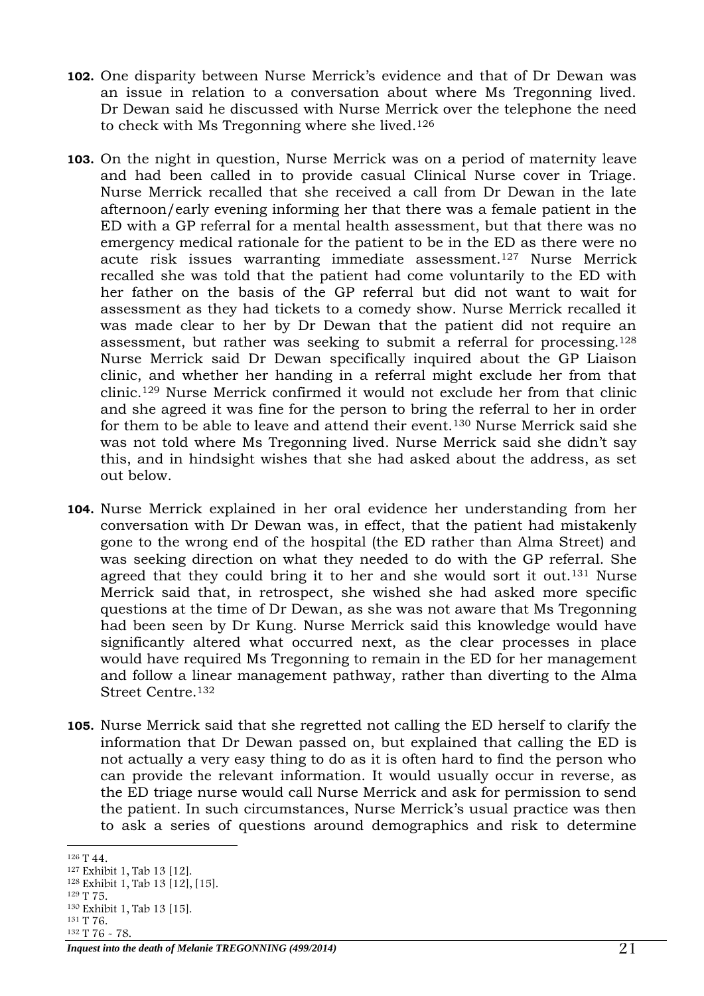- **102.** One disparity between Nurse Merrick's evidence and that of Dr Dewan was an issue in relation to a conversation about where Ms Tregonning lived. Dr Dewan said he discussed with Nurse Merrick over the telephone the need to check with Ms Tregonning where she lived.<sup>126</sup>
- **103.** On the night in question, Nurse Merrick was on a period of maternity leave and had been called in to provide casual Clinical Nurse cover in Triage. Nurse Merrick recalled that she received a call from Dr Dewan in the late afternoon/early evening informing her that there was a female patient in the ED with a GP referral for a mental health assessment, but that there was no emergency medical rationale for the patient to be in the ED as there were no acute risk issues warranting immediate assessment. <sup>127</sup> Nurse Merrick recalled she was told that the patient had come voluntarily to the ED with her father on the basis of the GP referral but did not want to wait for assessment as they had tickets to a comedy show. Nurse Merrick recalled it was made clear to her by Dr Dewan that the patient did not require an assessment, but rather was seeking to submit a referral for processing.<sup>128</sup> Nurse Merrick said Dr Dewan specifically inquired about the GP Liaison clinic, and whether her handing in a referral might exclude her from that clinic.<sup>129</sup> Nurse Merrick confirmed it would not exclude her from that clinic and she agreed it was fine for the person to bring the referral to her in order for them to be able to leave and attend their event.<sup>130</sup> Nurse Merrick said she was not told where Ms Tregonning lived. Nurse Merrick said she didn't say this, and in hindsight wishes that she had asked about the address, as set out below.
- **104.** Nurse Merrick explained in her oral evidence her understanding from her conversation with Dr Dewan was, in effect, that the patient had mistakenly gone to the wrong end of the hospital (the ED rather than Alma Street) and was seeking direction on what they needed to do with the GP referral. She agreed that they could bring it to her and she would sort it out.<sup>131</sup> Nurse Merrick said that, in retrospect, she wished she had asked more specific questions at the time of Dr Dewan, as she was not aware that Ms Tregonning had been seen by Dr Kung. Nurse Merrick said this knowledge would have significantly altered what occurred next, as the clear processes in place would have required Ms Tregonning to remain in the ED for her management and follow a linear management pathway, rather than diverting to the Alma Street Centre.<sup>132</sup>
- **105.** Nurse Merrick said that she regretted not calling the ED herself to clarify the information that Dr Dewan passed on, but explained that calling the ED is not actually a very easy thing to do as it is often hard to find the person who can provide the relevant information. It would usually occur in reverse, as the ED triage nurse would call Nurse Merrick and ask for permission to send the patient. In such circumstances, Nurse Merrick's usual practice was then to ask a series of questions around demographics and risk to determine

<sup>132</sup> T 76 - 78.

<sup>-</sup><sup>126</sup> T 44.

<sup>127</sup> Exhibit 1, Tab 13 [12].

<sup>128</sup> Exhibit 1, Tab 13 [12], [15].

<sup>129</sup> T 75.

<sup>130</sup> Exhibit 1, Tab 13 [15]. <sup>131</sup> T 76.

*Inquest into the death of Melanie TREGONNING (499/2014)* 21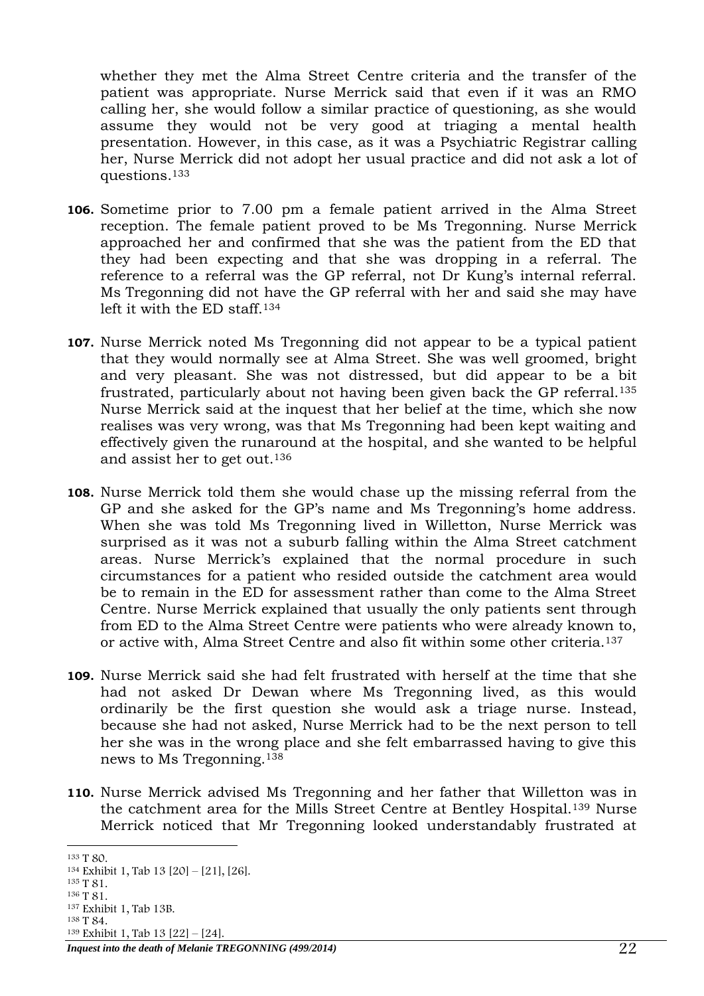whether they met the Alma Street Centre criteria and the transfer of the patient was appropriate. Nurse Merrick said that even if it was an RMO calling her, she would follow a similar practice of questioning, as she would assume they would not be very good at triaging a mental health presentation. However, in this case, as it was a Psychiatric Registrar calling her, Nurse Merrick did not adopt her usual practice and did not ask a lot of questions. 133

- **106.** Sometime prior to 7.00 pm a female patient arrived in the Alma Street reception. The female patient proved to be Ms Tregonning. Nurse Merrick approached her and confirmed that she was the patient from the ED that they had been expecting and that she was dropping in a referral. The reference to a referral was the GP referral, not Dr Kung's internal referral. Ms Tregonning did not have the GP referral with her and said she may have left it with the ED staff. 134
- **107.** Nurse Merrick noted Ms Tregonning did not appear to be a typical patient that they would normally see at Alma Street. She was well groomed, bright and very pleasant. She was not distressed, but did appear to be a bit frustrated, particularly about not having been given back the GP referral.<sup>135</sup> Nurse Merrick said at the inquest that her belief at the time, which she now realises was very wrong, was that Ms Tregonning had been kept waiting and effectively given the runaround at the hospital, and she wanted to be helpful and assist her to get out.<sup>136</sup>
- **108.** Nurse Merrick told them she would chase up the missing referral from the GP and she asked for the GP's name and Ms Tregonning's home address. When she was told Ms Tregonning lived in Willetton, Nurse Merrick was surprised as it was not a suburb falling within the Alma Street catchment areas. Nurse Merrick's explained that the normal procedure in such circumstances for a patient who resided outside the catchment area would be to remain in the ED for assessment rather than come to the Alma Street Centre. Nurse Merrick explained that usually the only patients sent through from ED to the Alma Street Centre were patients who were already known to, or active with, Alma Street Centre and also fit within some other criteria.<sup>137</sup>
- **109.** Nurse Merrick said she had felt frustrated with herself at the time that she had not asked Dr Dewan where Ms Tregonning lived, as this would ordinarily be the first question she would ask a triage nurse. Instead, because she had not asked, Nurse Merrick had to be the next person to tell her she was in the wrong place and she felt embarrassed having to give this news to Ms Tregonning.<sup>138</sup>
- **110.** Nurse Merrick advised Ms Tregonning and her father that Willetton was in the catchment area for the Mills Street Centre at Bentley Hospital.<sup>139</sup> Nurse Merrick noticed that Mr Tregonning looked understandably frustrated at

<sup>138</sup> T 84. <sup>139</sup> Exhibit 1, Tab 13 [22] – [24].

*Inquest into the death of Melanie TREGONNING (499/2014)* 22

<sup>-</sup><sup>133</sup> T 80.

<sup>134</sup> Exhibit 1, Tab 13 [20] – [21], [26].

<sup>135</sup> T 81.

<sup>136</sup> T 81.

<sup>137</sup> Exhibit 1, Tab 13B.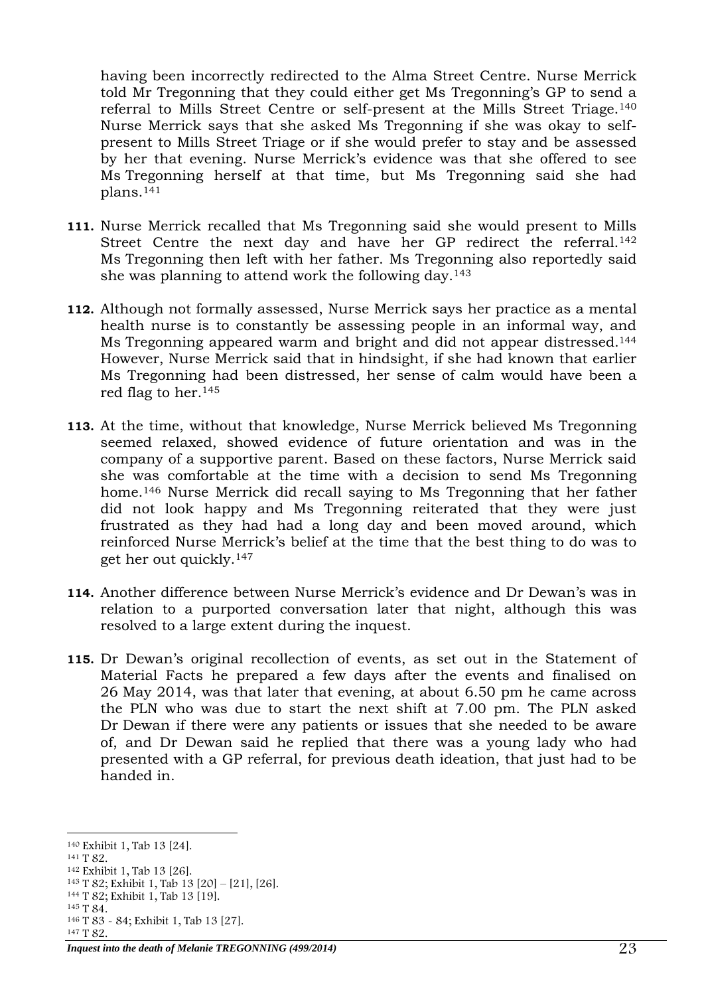having been incorrectly redirected to the Alma Street Centre. Nurse Merrick told Mr Tregonning that they could either get Ms Tregonning's GP to send a referral to Mills Street Centre or self-present at the Mills Street Triage.<sup>140</sup> Nurse Merrick says that she asked Ms Tregonning if she was okay to selfpresent to Mills Street Triage or if she would prefer to stay and be assessed by her that evening. Nurse Merrick's evidence was that she offered to see Ms Tregonning herself at that time, but Ms Tregonning said she had plans.<sup>141</sup>

- **111.** Nurse Merrick recalled that Ms Tregonning said she would present to Mills Street Centre the next day and have her GP redirect the referral.<sup>142</sup> Ms Tregonning then left with her father. Ms Tregonning also reportedly said she was planning to attend work the following day.<sup>143</sup>
- **112.** Although not formally assessed, Nurse Merrick says her practice as a mental health nurse is to constantly be assessing people in an informal way, and Ms Tregonning appeared warm and bright and did not appear distressed.<sup>144</sup> However, Nurse Merrick said that in hindsight, if she had known that earlier Ms Tregonning had been distressed, her sense of calm would have been a red flag to her.<sup>145</sup>
- **113.** At the time, without that knowledge, Nurse Merrick believed Ms Tregonning seemed relaxed, showed evidence of future orientation and was in the company of a supportive parent. Based on these factors, Nurse Merrick said she was comfortable at the time with a decision to send Ms Tregonning home.<sup>146</sup> Nurse Merrick did recall saying to Ms Tregonning that her father did not look happy and Ms Tregonning reiterated that they were just frustrated as they had had a long day and been moved around, which reinforced Nurse Merrick's belief at the time that the best thing to do was to get her out quickly. 147
- **114.** Another difference between Nurse Merrick's evidence and Dr Dewan's was in relation to a purported conversation later that night, although this was resolved to a large extent during the inquest.
- **115.** Dr Dewan's original recollection of events, as set out in the Statement of Material Facts he prepared a few days after the events and finalised on 26 May 2014, was that later that evening, at about 6.50 pm he came across the PLN who was due to start the next shift at 7.00 pm. The PLN asked Dr Dewan if there were any patients or issues that she needed to be aware of, and Dr Dewan said he replied that there was a young lady who had presented with a GP referral, for previous death ideation, that just had to be handed in.

- <sup>141</sup> T 82.
- <sup>142</sup> Exhibit 1, Tab 13 [26].

<sup>146</sup> T 83 - 84; Exhibit 1, Tab 13 [27]. <sup>147</sup> T 82.

<sup>-</sup><sup>140</sup> Exhibit 1, Tab 13 [24].

<sup>143</sup> T 82; Exhibit 1, Tab 13 [20] – [21], [26].

<sup>144</sup> T 82; Exhibit 1, Tab 13 [19].

<sup>145</sup> T 84.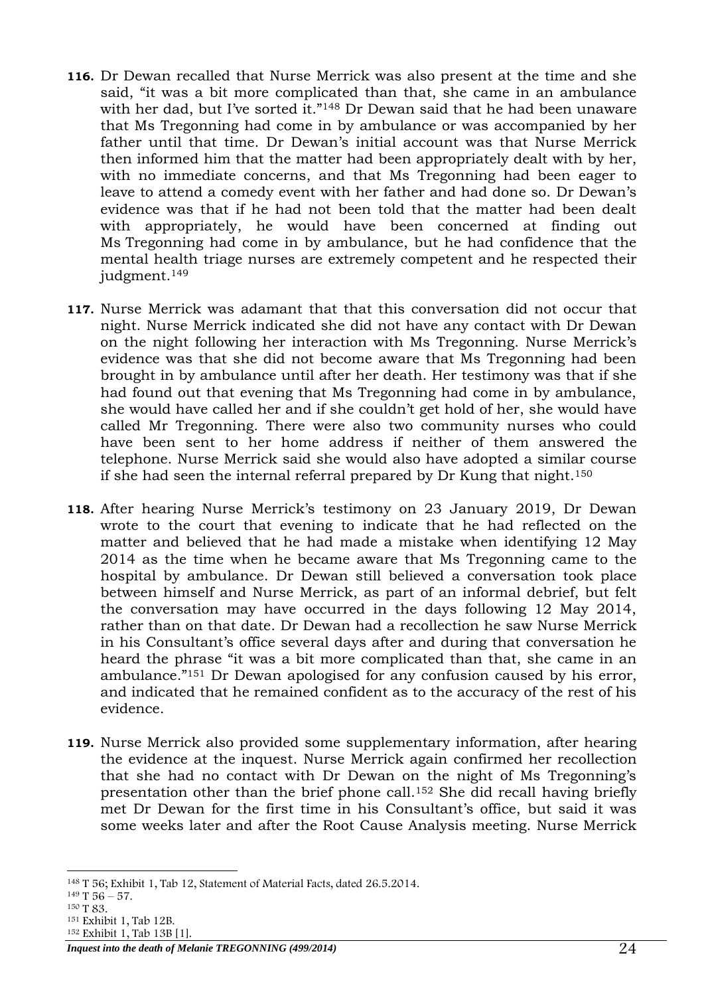- **116.** Dr Dewan recalled that Nurse Merrick was also present at the time and she said, "it was a bit more complicated than that, she came in an ambulance with her dad, but I've sorted it."<sup>148</sup> Dr Dewan said that he had been unaware that Ms Tregonning had come in by ambulance or was accompanied by her father until that time. Dr Dewan's initial account was that Nurse Merrick then informed him that the matter had been appropriately dealt with by her, with no immediate concerns, and that Ms Tregonning had been eager to leave to attend a comedy event with her father and had done so. Dr Dewan's evidence was that if he had not been told that the matter had been dealt with appropriately, he would have been concerned at finding out Ms Tregonning had come in by ambulance, but he had confidence that the mental health triage nurses are extremely competent and he respected their judgment.<sup>149</sup>
- **117.** Nurse Merrick was adamant that that this conversation did not occur that night. Nurse Merrick indicated she did not have any contact with Dr Dewan on the night following her interaction with Ms Tregonning. Nurse Merrick's evidence was that she did not become aware that Ms Tregonning had been brought in by ambulance until after her death. Her testimony was that if she had found out that evening that Ms Tregonning had come in by ambulance, she would have called her and if she couldn't get hold of her, she would have called Mr Tregonning. There were also two community nurses who could have been sent to her home address if neither of them answered the telephone. Nurse Merrick said she would also have adopted a similar course if she had seen the internal referral prepared by Dr Kung that night.<sup>150</sup>
- **118.** After hearing Nurse Merrick's testimony on 23 January 2019, Dr Dewan wrote to the court that evening to indicate that he had reflected on the matter and believed that he had made a mistake when identifying 12 May 2014 as the time when he became aware that Ms Tregonning came to the hospital by ambulance. Dr Dewan still believed a conversation took place between himself and Nurse Merrick, as part of an informal debrief, but felt the conversation may have occurred in the days following 12 May 2014, rather than on that date. Dr Dewan had a recollection he saw Nurse Merrick in his Consultant's office several days after and during that conversation he heard the phrase "it was a bit more complicated than that, she came in an ambulance."<sup>151</sup> Dr Dewan apologised for any confusion caused by his error, and indicated that he remained confident as to the accuracy of the rest of his evidence.
- **119.** Nurse Merrick also provided some supplementary information, after hearing the evidence at the inquest. Nurse Merrick again confirmed her recollection that she had no contact with Dr Dewan on the night of Ms Tregonning's presentation other than the brief phone call.<sup>152</sup> She did recall having briefly met Dr Dewan for the first time in his Consultant's office, but said it was some weeks later and after the Root Cause Analysis meeting. Nurse Merrick

<sup>-</sup><sup>148</sup> T 56; Exhibit 1, Tab 12, Statement of Material Facts, dated 26.5.2014.

 $149$  T 56 – 57.

<sup>150</sup> T 83.

<sup>151</sup> Exhibit 1, Tab 12B.

<sup>152</sup> Exhibit 1, Tab 13B [1].

*Inquest into the death of Melanie TREGONNING (499/2014)* 24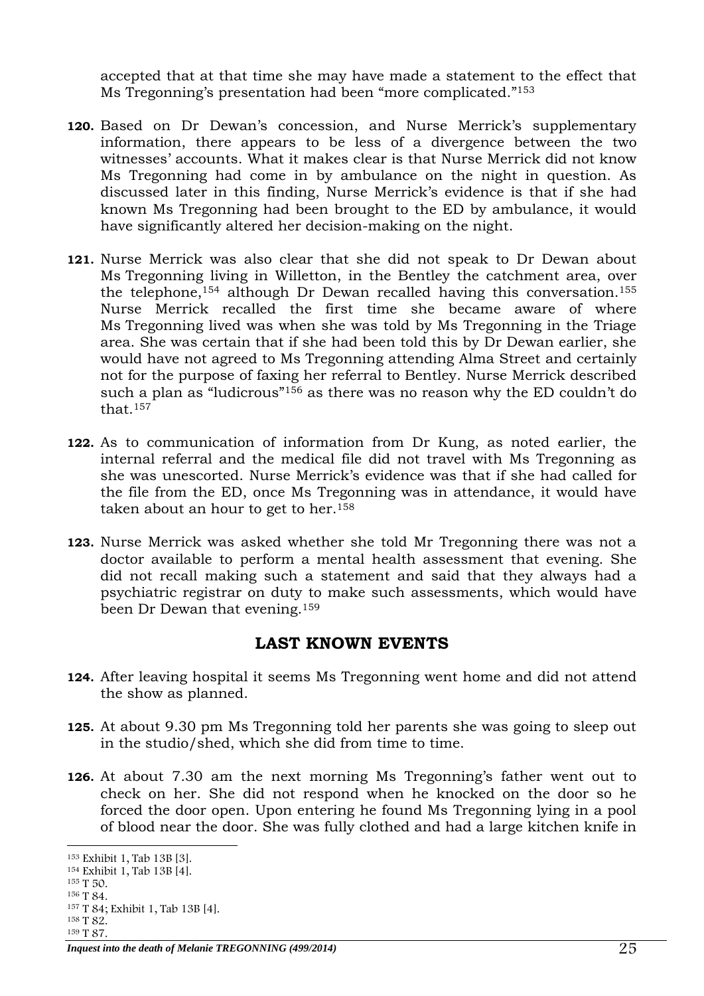accepted that at that time she may have made a statement to the effect that Ms Tregonning's presentation had been "more complicated."<sup>153</sup>

- **120.** Based on Dr Dewan's concession, and Nurse Merrick's supplementary information, there appears to be less of a divergence between the two witnesses' accounts. What it makes clear is that Nurse Merrick did not know Ms Tregonning had come in by ambulance on the night in question. As discussed later in this finding, Nurse Merrick's evidence is that if she had known Ms Tregonning had been brought to the ED by ambulance, it would have significantly altered her decision-making on the night.
- **121.** Nurse Merrick was also clear that she did not speak to Dr Dewan about Ms Tregonning living in Willetton, in the Bentley the catchment area, over the telephone,<sup>154</sup> although Dr Dewan recalled having this conversation.<sup>155</sup> Nurse Merrick recalled the first time she became aware of where Ms Tregonning lived was when she was told by Ms Tregonning in the Triage area. She was certain that if she had been told this by Dr Dewan earlier, she would have not agreed to Ms Tregonning attending Alma Street and certainly not for the purpose of faxing her referral to Bentley. Nurse Merrick described such a plan as "ludicrous"<sup>156</sup> as there was no reason why the ED couldn't do that.<sup>157</sup>
- **122.** As to communication of information from Dr Kung, as noted earlier, the internal referral and the medical file did not travel with Ms Tregonning as she was unescorted. Nurse Merrick's evidence was that if she had called for the file from the ED, once Ms Tregonning was in attendance, it would have taken about an hour to get to her.<sup>158</sup>
- **123.** Nurse Merrick was asked whether she told Mr Tregonning there was not a doctor available to perform a mental health assessment that evening. She did not recall making such a statement and said that they always had a psychiatric registrar on duty to make such assessments, which would have been Dr Dewan that evening.<sup>159</sup>

## **LAST KNOWN EVENTS**

- <span id="page-24-0"></span>**124.** After leaving hospital it seems Ms Tregonning went home and did not attend the show as planned.
- **125.** At about 9.30 pm Ms Tregonning told her parents she was going to sleep out in the studio/shed, which she did from time to time.
- **126.** At about 7.30 am the next morning Ms Tregonning's father went out to check on her. She did not respond when he knocked on the door so he forced the door open. Upon entering he found Ms Tregonning lying in a pool of blood near the door. She was fully clothed and had a large kitchen knife in

<sup>-</sup><sup>153</sup> Exhibit 1, Tab 13B [3].

<sup>154</sup> Exhibit 1, Tab 13B [4].

<sup>155</sup> T 50.

<sup>156</sup> T 84.

<sup>157</sup> T 84; Exhibit 1, Tab 13B [4].

<sup>158</sup> T 82. <sup>159</sup> T 87.

*Inquest into the death of Melanie TREGONNING (499/2014)* 25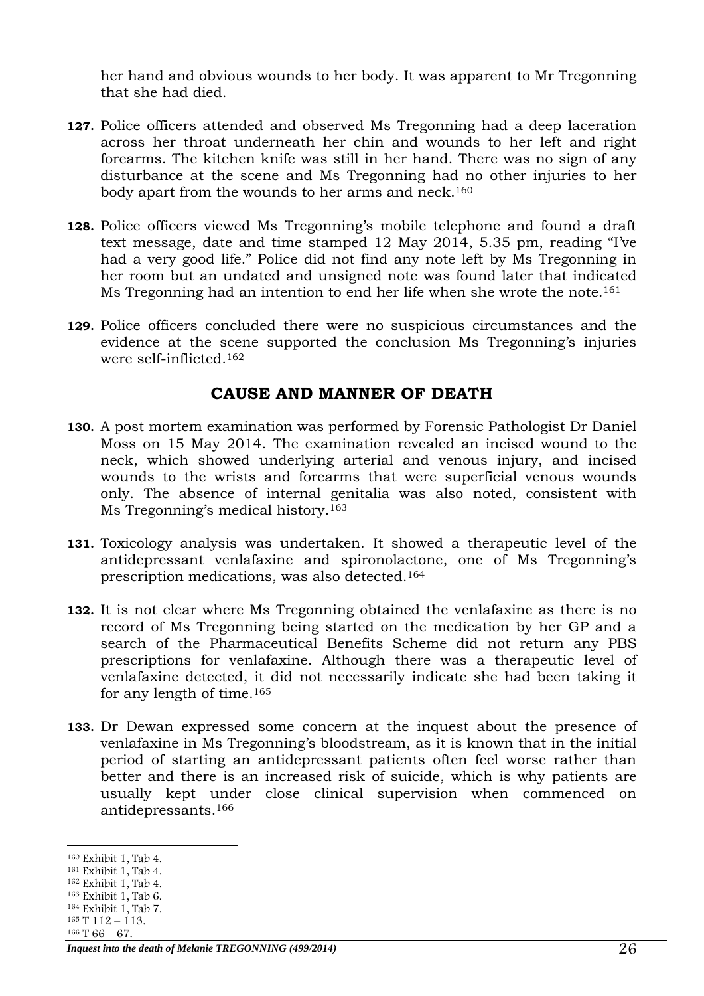her hand and obvious wounds to her body. It was apparent to Mr Tregonning that she had died.

- **127.** Police officers attended and observed Ms Tregonning had a deep laceration across her throat underneath her chin and wounds to her left and right forearms. The kitchen knife was still in her hand. There was no sign of any disturbance at the scene and Ms Tregonning had no other injuries to her body apart from the wounds to her arms and neck.<sup>160</sup>
- **128.** Police officers viewed Ms Tregonning's mobile telephone and found a draft text message, date and time stamped 12 May 2014, 5.35 pm, reading "I've had a very good life." Police did not find any note left by Ms Tregonning in her room but an undated and unsigned note was found later that indicated Ms Tregonning had an intention to end her life when she wrote the note. 161
- **129.** Police officers concluded there were no suspicious circumstances and the evidence at the scene supported the conclusion Ms Tregonning's injuries were self-inflicted.<sup>162</sup>

#### **CAUSE AND MANNER OF DEATH**

- <span id="page-25-0"></span>**130.** A post mortem examination was performed by Forensic Pathologist Dr Daniel Moss on 15 May 2014. The examination revealed an incised wound to the neck, which showed underlying arterial and venous injury, and incised wounds to the wrists and forearms that were superficial venous wounds only. The absence of internal genitalia was also noted, consistent with Ms Tregonning's medical history.<sup>163</sup>
- **131.** Toxicology analysis was undertaken. It showed a therapeutic level of the antidepressant venlafaxine and spironolactone, one of Ms Tregonning's prescription medications, was also detected.<sup>164</sup>
- **132.** It is not clear where Ms Tregonning obtained the venlafaxine as there is no record of Ms Tregonning being started on the medication by her GP and a search of the Pharmaceutical Benefits Scheme did not return any PBS prescriptions for venlafaxine. Although there was a therapeutic level of venlafaxine detected, it did not necessarily indicate she had been taking it for any length of time.<sup>165</sup>
- **133.** Dr Dewan expressed some concern at the inquest about the presence of venlafaxine in Ms Tregonning's bloodstream, as it is known that in the initial period of starting an antidepressant patients often feel worse rather than better and there is an increased risk of suicide, which is why patients are usually kept under close clinical supervision when commenced on antidepressants.<sup>166</sup>

<sup>-</sup><sup>160</sup> Exhibit 1, Tab 4.

<sup>161</sup> Exhibit 1, Tab 4.

<sup>162</sup> Exhibit 1, Tab 4.

<sup>163</sup> Exhibit 1, Tab 6.

<sup>164</sup> Exhibit 1, Tab 7.  $165$  T  $112 - 113$ .

 $166$  T  $66 - 67$ .

*Inquest into the death of Melanie TREGONNING (499/2014)* 26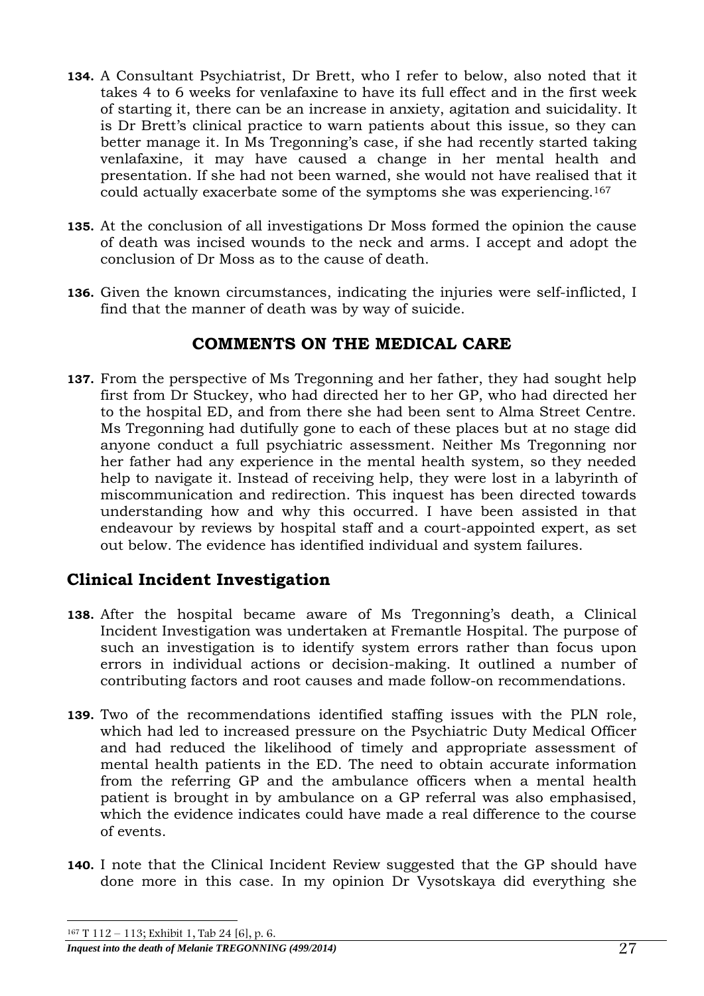- **134.** A Consultant Psychiatrist, Dr Brett, who I refer to below, also noted that it takes 4 to 6 weeks for venlafaxine to have its full effect and in the first week of starting it, there can be an increase in anxiety, agitation and suicidality. It is Dr Brett's clinical practice to warn patients about this issue, so they can better manage it. In Ms Tregonning's case, if she had recently started taking venlafaxine, it may have caused a change in her mental health and presentation. If she had not been warned, she would not have realised that it could actually exacerbate some of the symptoms she was experiencing.<sup>167</sup>
- **135.** At the conclusion of all investigations Dr Moss formed the opinion the cause of death was incised wounds to the neck and arms. I accept and adopt the conclusion of Dr Moss as to the cause of death.
- **136.** Given the known circumstances, indicating the injuries were self-inflicted, I find that the manner of death was by way of suicide.

# **COMMENTS ON THE MEDICAL CARE**

<span id="page-26-0"></span>**137.** From the perspective of Ms Tregonning and her father, they had sought help first from Dr Stuckey, who had directed her to her GP, who had directed her to the hospital ED, and from there she had been sent to Alma Street Centre. Ms Tregonning had dutifully gone to each of these places but at no stage did anyone conduct a full psychiatric assessment. Neither Ms Tregonning nor her father had any experience in the mental health system, so they needed help to navigate it. Instead of receiving help, they were lost in a labyrinth of miscommunication and redirection. This inquest has been directed towards understanding how and why this occurred. I have been assisted in that endeavour by reviews by hospital staff and a court-appointed expert, as set out below. The evidence has identified individual and system failures.

# <span id="page-26-1"></span>**Clinical Incident Investigation**

- **138.** After the hospital became aware of Ms Tregonning's death, a Clinical Incident Investigation was undertaken at Fremantle Hospital. The purpose of such an investigation is to identify system errors rather than focus upon errors in individual actions or decision-making. It outlined a number of contributing factors and root causes and made follow-on recommendations.
- **139.** Two of the recommendations identified staffing issues with the PLN role, which had led to increased pressure on the Psychiatric Duty Medical Officer and had reduced the likelihood of timely and appropriate assessment of mental health patients in the ED. The need to obtain accurate information from the referring GP and the ambulance officers when a mental health patient is brought in by ambulance on a GP referral was also emphasised, which the evidence indicates could have made a real difference to the course of events.
- **140.** I note that the Clinical Incident Review suggested that the GP should have done more in this case. In my opinion Dr Vysotskaya did everything she

*Inquest into the death of Melanie TREGONNING (499/2014)* 27 -<sup>167</sup> T 112 – 113; Exhibit 1, Tab 24 [6], p. 6.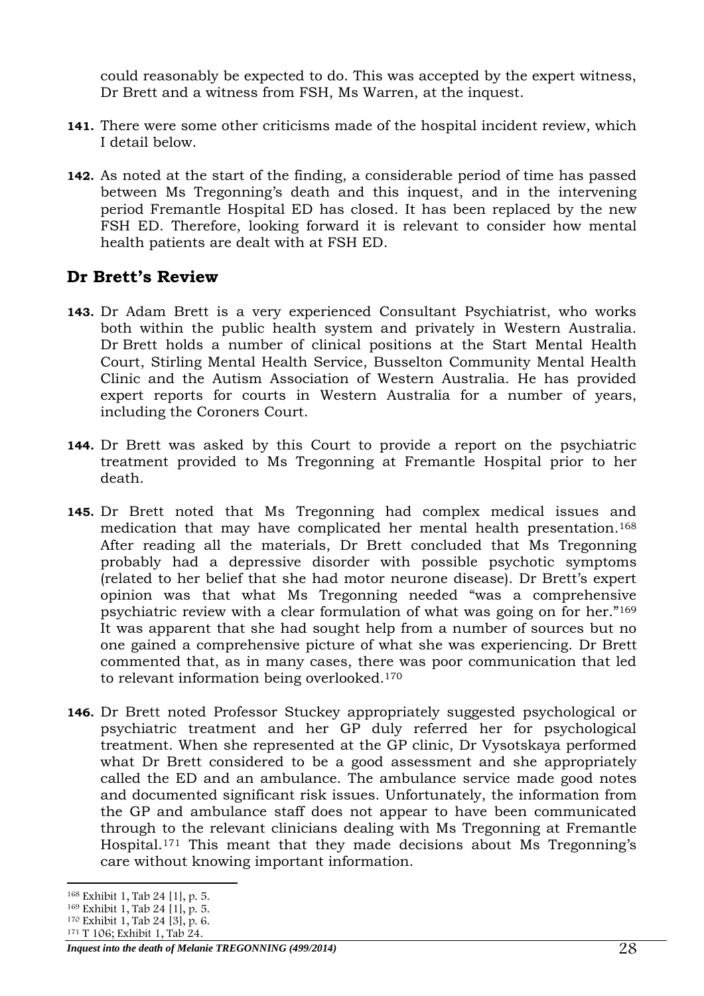could reasonably be expected to do. This was accepted by the expert witness, Dr Brett and a witness from FSH, Ms Warren, at the inquest.

- **141.** There were some other criticisms made of the hospital incident review, which I detail below.
- **142.** As noted at the start of the finding, a considerable period of time has passed between Ms Tregonning's death and this inquest, and in the intervening period Fremantle Hospital ED has closed. It has been replaced by the new FSH ED. Therefore, looking forward it is relevant to consider how mental health patients are dealt with at FSH ED.

# <span id="page-27-0"></span>**Dr Brett's Review**

- **143.** Dr Adam Brett is a very experienced Consultant Psychiatrist, who works both within the public health system and privately in Western Australia. Dr Brett holds a number of clinical positions at the Start Mental Health Court, Stirling Mental Health Service, Busselton Community Mental Health Clinic and the Autism Association of Western Australia. He has provided expert reports for courts in Western Australia for a number of years, including the Coroners Court.
- **144.** Dr Brett was asked by this Court to provide a report on the psychiatric treatment provided to Ms Tregonning at Fremantle Hospital prior to her death.
- **145.** Dr Brett noted that Ms Tregonning had complex medical issues and medication that may have complicated her mental health presentation.<sup>168</sup> After reading all the materials, Dr Brett concluded that Ms Tregonning probably had a depressive disorder with possible psychotic symptoms (related to her belief that she had motor neurone disease). Dr Brett's expert opinion was that what Ms Tregonning needed "was a comprehensive psychiatric review with a clear formulation of what was going on for her."<sup>169</sup> It was apparent that she had sought help from a number of sources but no one gained a comprehensive picture of what she was experiencing. Dr Brett commented that, as in many cases, there was poor communication that led to relevant information being overlooked.<sup>170</sup>
- **146.** Dr Brett noted Professor Stuckey appropriately suggested psychological or psychiatric treatment and her GP duly referred her for psychological treatment. When she represented at the GP clinic, Dr Vysotskaya performed what Dr Brett considered to be a good assessment and she appropriately called the ED and an ambulance. The ambulance service made good notes and documented significant risk issues. Unfortunately, the information from the GP and ambulance staff does not appear to have been communicated through to the relevant clinicians dealing with Ms Tregonning at Fremantle Hospital. <sup>171</sup> This meant that they made decisions about Ms Tregonning's care without knowing important information.

<sup>-</sup><sup>168</sup> Exhibit 1, Tab 24 [1], p. 5.

<sup>169</sup> Exhibit 1, Tab 24 [1], p. 5.

<sup>170</sup> Exhibit 1, Tab 24 [3], p. 6.

<sup>171</sup> T 106; Exhibit 1, Tab 24.

*Inquest into the death of Melanie TREGONNING (499/2014)* 28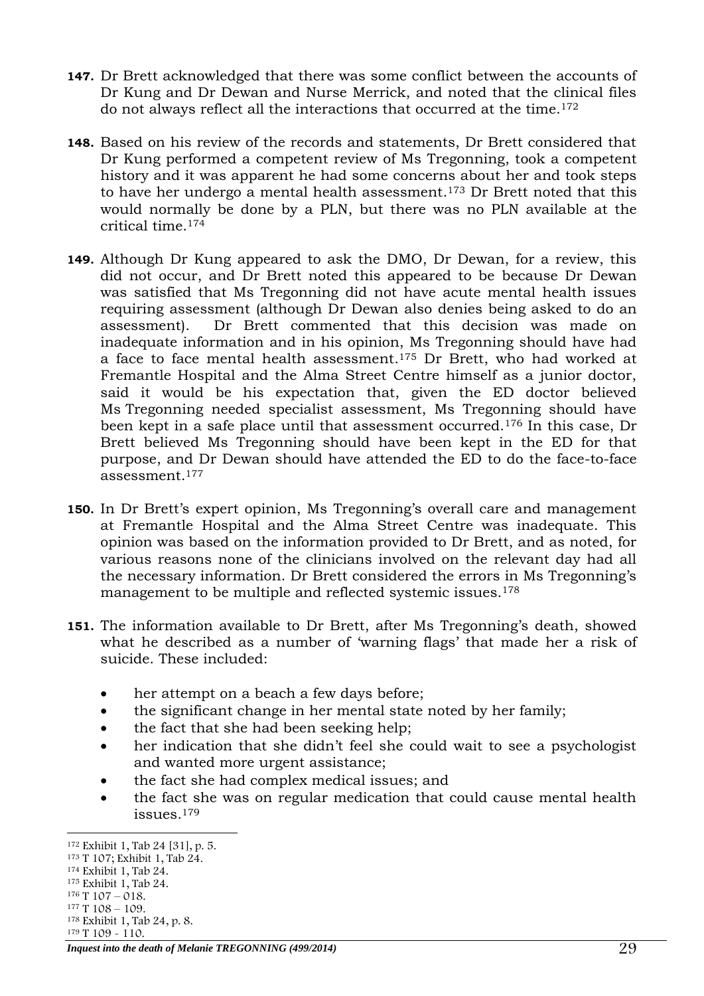- **147.** Dr Brett acknowledged that there was some conflict between the accounts of Dr Kung and Dr Dewan and Nurse Merrick, and noted that the clinical files do not always reflect all the interactions that occurred at the time.<sup>172</sup>
- **148.** Based on his review of the records and statements, Dr Brett considered that Dr Kung performed a competent review of Ms Tregonning, took a competent history and it was apparent he had some concerns about her and took steps to have her undergo a mental health assessment. <sup>173</sup> Dr Brett noted that this would normally be done by a PLN, but there was no PLN available at the critical time. 174
- **149.** Although Dr Kung appeared to ask the DMO, Dr Dewan, for a review, this did not occur, and Dr Brett noted this appeared to be because Dr Dewan was satisfied that Ms Tregonning did not have acute mental health issues requiring assessment (although Dr Dewan also denies being asked to do an assessment). Dr Brett commented that this decision was made on inadequate information and in his opinion, Ms Tregonning should have had a face to face mental health assessment. <sup>175</sup> Dr Brett, who had worked at Fremantle Hospital and the Alma Street Centre himself as a junior doctor, said it would be his expectation that, given the ED doctor believed Ms Tregonning needed specialist assessment, Ms Tregonning should have been kept in a safe place until that assessment occurred.<sup>176</sup> In this case, Dr Brett believed Ms Tregonning should have been kept in the ED for that purpose, and Dr Dewan should have attended the ED to do the face-to-face assessment. 177
- **150.** In Dr Brett's expert opinion, Ms Tregonning's overall care and management at Fremantle Hospital and the Alma Street Centre was inadequate. This opinion was based on the information provided to Dr Brett, and as noted, for various reasons none of the clinicians involved on the relevant day had all the necessary information. Dr Brett considered the errors in Ms Tregonning's management to be multiple and reflected systemic issues.<sup>178</sup>
- **151.** The information available to Dr Brett, after Ms Tregonning's death, showed what he described as a number of 'warning flags' that made her a risk of suicide. These included:
	- her attempt on a beach a few days before;
	- the significant change in her mental state noted by her family;
	- the fact that she had been seeking help;
	- her indication that she didn't feel she could wait to see a psychologist and wanted more urgent assistance;
	- the fact she had complex medical issues; and
	- the fact she was on regular medication that could cause mental health issues.<sup>179</sup>

*Inquest into the death of Melanie TREGONNING (499/2014)* 29

<sup>-</sup><sup>172</sup> Exhibit 1, Tab 24 [31], p. 5.

<sup>173</sup> T 107; Exhibit 1, Tab 24.

<sup>174</sup> Exhibit 1, Tab 24.

<sup>175</sup> Exhibit 1, Tab 24.

<sup>176</sup> T 107 – 018.

<sup>177</sup> T 108 – 109.

<sup>178</sup> Exhibit 1, Tab 24, p. 8. <sup>179</sup> T 109 - 110.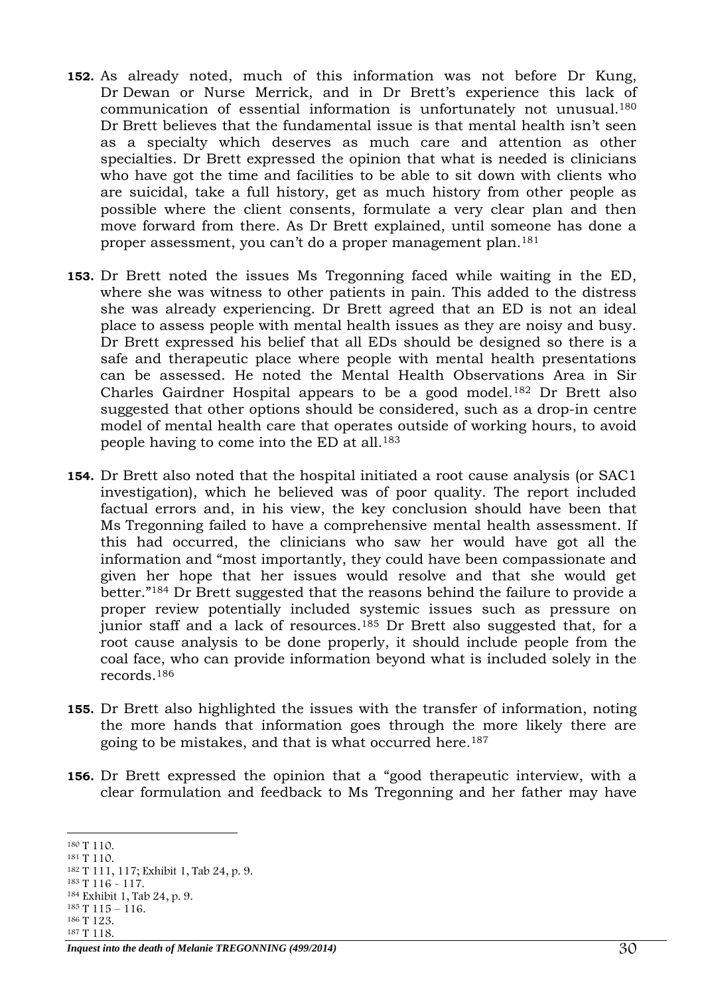- **152.** As already noted, much of this information was not before Dr Kung, Dr Dewan or Nurse Merrick, and in Dr Brett's experience this lack of communication of essential information is unfortunately not unusual.<sup>180</sup> Dr Brett believes that the fundamental issue is that mental health isn't seen as a specialty which deserves as much care and attention as other specialties. Dr Brett expressed the opinion that what is needed is clinicians who have got the time and facilities to be able to sit down with clients who are suicidal, take a full history, get as much history from other people as possible where the client consents, formulate a very clear plan and then move forward from there. As Dr Brett explained, until someone has done a proper assessment, you can't do a proper management plan.<sup>181</sup>
- **153.** Dr Brett noted the issues Ms Tregonning faced while waiting in the ED, where she was witness to other patients in pain. This added to the distress she was already experiencing. Dr Brett agreed that an ED is not an ideal place to assess people with mental health issues as they are noisy and busy. Dr Brett expressed his belief that all EDs should be designed so there is a safe and therapeutic place where people with mental health presentations can be assessed. He noted the Mental Health Observations Area in Sir Charles Gairdner Hospital appears to be a good model.<sup>182</sup> Dr Brett also suggested that other options should be considered, such as a drop-in centre model of mental health care that operates outside of working hours, to avoid people having to come into the ED at all.<sup>183</sup>
- **154.** Dr Brett also noted that the hospital initiated a root cause analysis (or SAC1 investigation), which he believed was of poor quality. The report included factual errors and, in his view, the key conclusion should have been that Ms Tregonning failed to have a comprehensive mental health assessment. If this had occurred, the clinicians who saw her would have got all the information and "most importantly, they could have been compassionate and given her hope that her issues would resolve and that she would get better."<sup>184</sup> Dr Brett suggested that the reasons behind the failure to provide a proper review potentially included systemic issues such as pressure on junior staff and a lack of resources.<sup>185</sup> Dr Brett also suggested that, for a root cause analysis to be done properly, it should include people from the coal face, who can provide information beyond what is included solely in the records.<sup>186</sup>
- **155.** Dr Brett also highlighted the issues with the transfer of information, noting the more hands that information goes through the more likely there are going to be mistakes, and that is what occurred here.<sup>187</sup>
- **156.** Dr Brett expressed the opinion that a "good therapeutic interview, with a clear formulation and feedback to Ms Tregonning and her father may have

- $185$  T  $115 116$ .
- <sup>186</sup> T 123. <sup>187</sup> T 118.

<sup>-</sup><sup>180</sup> T 110.

<sup>181</sup> T 110. <sup>182</sup> T 111, 117; Exhibit 1, Tab 24, p. 9.

<sup>183</sup> T 116 - 117.

<sup>184</sup> Exhibit 1, Tab 24, p. 9.

*Inquest into the death of Melanie TREGONNING (499/2014)*  $30$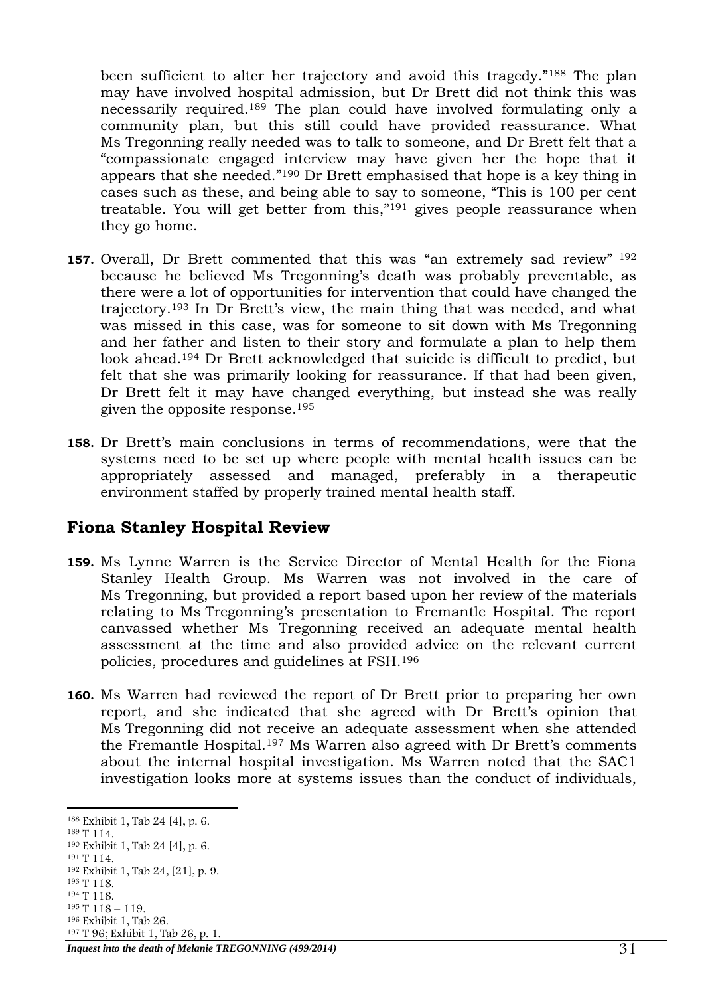been sufficient to alter her trajectory and avoid this tragedy."<sup>188</sup> The plan may have involved hospital admission, but Dr Brett did not think this was necessarily required.<sup>189</sup> The plan could have involved formulating only a community plan, but this still could have provided reassurance. What Ms Tregonning really needed was to talk to someone, and Dr Brett felt that a "compassionate engaged interview may have given her the hope that it appears that she needed."<sup>190</sup> Dr Brett emphasised that hope is a key thing in cases such as these, and being able to say to someone, "This is 100 per cent treatable. You will get better from this,"<sup>191</sup> gives people reassurance when they go home.

- **157.** Overall, Dr Brett commented that this was "an extremely sad review" <sup>192</sup> because he believed Ms Tregonning's death was probably preventable, as there were a lot of opportunities for intervention that could have changed the trajectory.<sup>193</sup> In Dr Brett's view, the main thing that was needed, and what was missed in this case, was for someone to sit down with Ms Tregonning and her father and listen to their story and formulate a plan to help them look ahead.<sup>194</sup> Dr Brett acknowledged that suicide is difficult to predict, but felt that she was primarily looking for reassurance. If that had been given, Dr Brett felt it may have changed everything, but instead she was really given the opposite response. 195
- **158.** Dr Brett's main conclusions in terms of recommendations, were that the systems need to be set up where people with mental health issues can be appropriately assessed and managed, preferably in a therapeutic environment staffed by properly trained mental health staff.

# <span id="page-30-0"></span>**Fiona Stanley Hospital Review**

- **159.** Ms Lynne Warren is the Service Director of Mental Health for the Fiona Stanley Health Group. Ms Warren was not involved in the care of Ms Tregonning, but provided a report based upon her review of the materials relating to Ms Tregonning's presentation to Fremantle Hospital. The report canvassed whether Ms Tregonning received an adequate mental health assessment at the time and also provided advice on the relevant current policies, procedures and guidelines at FSH.<sup>196</sup>
- **160.** Ms Warren had reviewed the report of Dr Brett prior to preparing her own report, and she indicated that she agreed with Dr Brett's opinion that Ms Tregonning did not receive an adequate assessment when she attended the Fremantle Hospital.<sup>197</sup> Ms Warren also agreed with Dr Brett's comments about the internal hospital investigation. Ms Warren noted that the SAC1 investigation looks more at systems issues than the conduct of individuals,

<sup>194</sup> T 118.

<sup>-</sup><sup>188</sup> Exhibit 1, Tab 24 [4], p. 6.

<sup>189</sup> T 114.

<sup>190</sup> Exhibit 1, Tab 24 [4], p. 6.

<sup>&</sup>lt;sup>191</sup> T 114. <sup>192</sup> Exhibit 1, Tab 24, [21], p. 9.

<sup>193</sup> T 118.

 $195$  T  $118 - 119$ .

<sup>196</sup> Exhibit 1, Tab 26.

*Inquest into the death of Melanie TREGONNING (499/2014)*  $31$ <sup>197</sup> T 96; Exhibit 1, Tab 26, p. 1.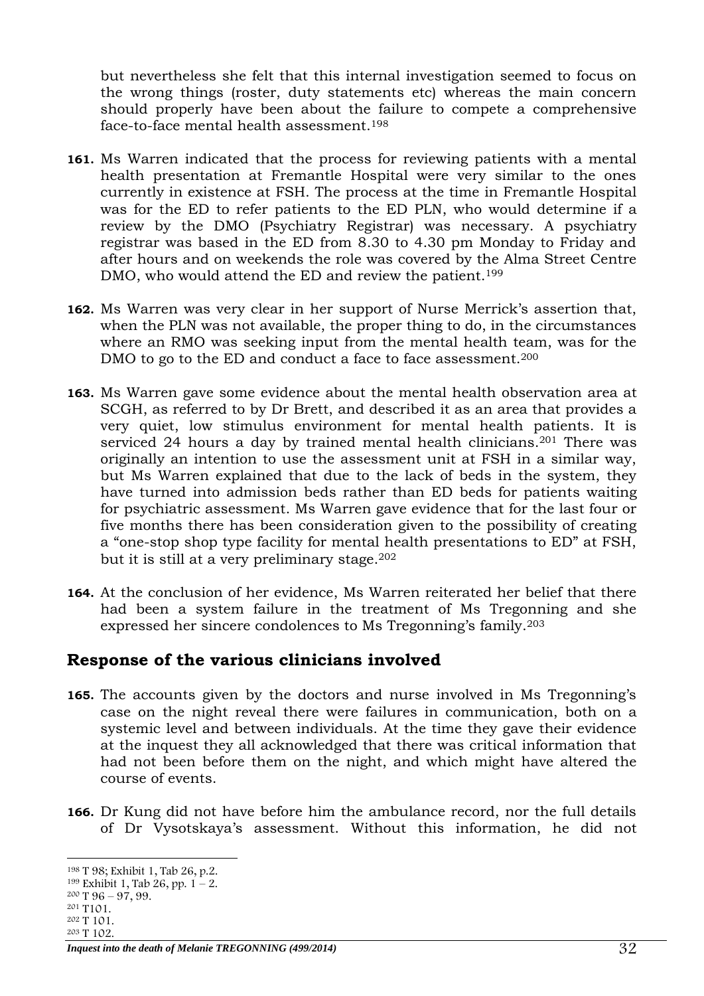but nevertheless she felt that this internal investigation seemed to focus on the wrong things (roster, duty statements etc) whereas the main concern should properly have been about the failure to compete a comprehensive face-to-face mental health assessment.<sup>198</sup>

- **161.** Ms Warren indicated that the process for reviewing patients with a mental health presentation at Fremantle Hospital were very similar to the ones currently in existence at FSH. The process at the time in Fremantle Hospital was for the ED to refer patients to the ED PLN, who would determine if a review by the DMO (Psychiatry Registrar) was necessary. A psychiatry registrar was based in the ED from 8.30 to 4.30 pm Monday to Friday and after hours and on weekends the role was covered by the Alma Street Centre DMO, who would attend the ED and review the patient.<sup>199</sup>
- **162.** Ms Warren was very clear in her support of Nurse Merrick's assertion that, when the PLN was not available, the proper thing to do, in the circumstances where an RMO was seeking input from the mental health team, was for the DMO to go to the ED and conduct a face to face assessment.<sup>200</sup>
- **163.** Ms Warren gave some evidence about the mental health observation area at SCGH, as referred to by Dr Brett, and described it as an area that provides a very quiet, low stimulus environment for mental health patients. It is serviced 24 hours a day by trained mental health clinicians.<sup>201</sup> There was originally an intention to use the assessment unit at FSH in a similar way, but Ms Warren explained that due to the lack of beds in the system, they have turned into admission beds rather than ED beds for patients waiting for psychiatric assessment. Ms Warren gave evidence that for the last four or five months there has been consideration given to the possibility of creating a "one-stop shop type facility for mental health presentations to ED" at FSH, but it is still at a very preliminary stage.<sup>202</sup>
- **164.** At the conclusion of her evidence, Ms Warren reiterated her belief that there had been a system failure in the treatment of Ms Tregonning and she expressed her sincere condolences to Ms Tregonning's family.<sup>203</sup>

# <span id="page-31-0"></span>**Response of the various clinicians involved**

- **165.** The accounts given by the doctors and nurse involved in Ms Tregonning's case on the night reveal there were failures in communication, both on a systemic level and between individuals. At the time they gave their evidence at the inquest they all acknowledged that there was critical information that had not been before them on the night, and which might have altered the course of events.
- **166.** Dr Kung did not have before him the ambulance record, nor the full details of Dr Vysotskaya's assessment. Without this information, he did not

<sup>-</sup><sup>198</sup> T 98; Exhibit 1, Tab 26, p.2.

<sup>&</sup>lt;sup>199</sup> Exhibit 1, Tab 26, pp.  $1 - 2$ .

 $200$  T  $96 - 97, 99$ .

<sup>201</sup> T101. <sup>202</sup> T 101.

<sup>203</sup> T 102.

*Inquest into the death of Melanie TREGONNING (499/2014)* 32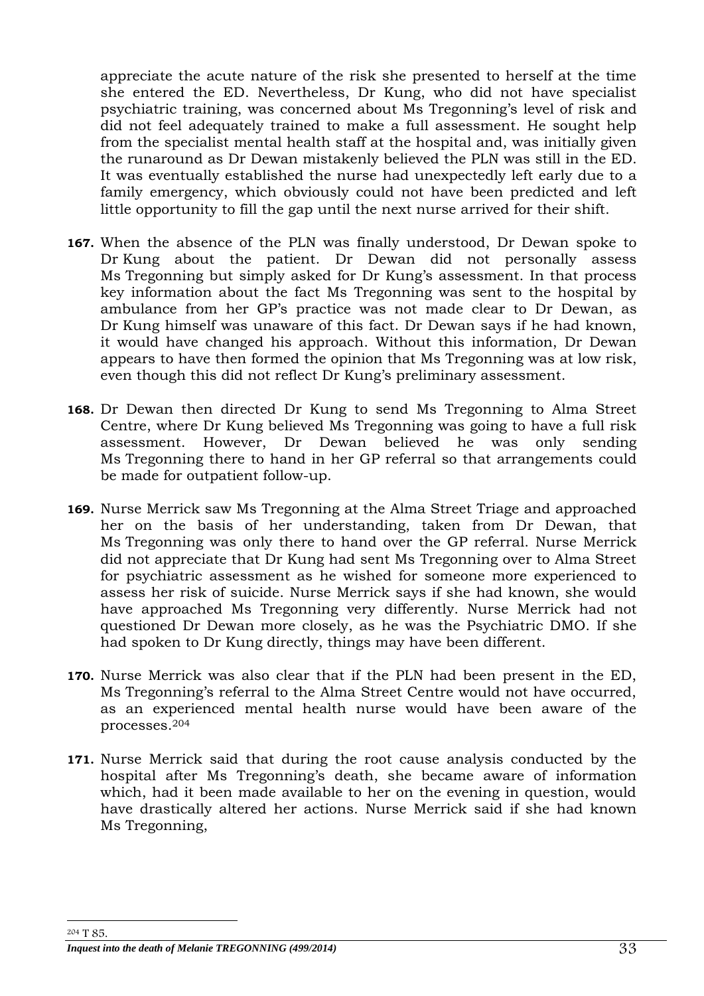appreciate the acute nature of the risk she presented to herself at the time she entered the ED. Nevertheless, Dr Kung, who did not have specialist psychiatric training, was concerned about Ms Tregonning's level of risk and did not feel adequately trained to make a full assessment. He sought help from the specialist mental health staff at the hospital and, was initially given the runaround as Dr Dewan mistakenly believed the PLN was still in the ED. It was eventually established the nurse had unexpectedly left early due to a family emergency, which obviously could not have been predicted and left little opportunity to fill the gap until the next nurse arrived for their shift.

- **167.** When the absence of the PLN was finally understood, Dr Dewan spoke to Dr Kung about the patient. Dr Dewan did not personally assess Ms Tregonning but simply asked for Dr Kung's assessment. In that process key information about the fact Ms Tregonning was sent to the hospital by ambulance from her GP's practice was not made clear to Dr Dewan, as Dr Kung himself was unaware of this fact. Dr Dewan says if he had known, it would have changed his approach. Without this information, Dr Dewan appears to have then formed the opinion that Ms Tregonning was at low risk, even though this did not reflect Dr Kung's preliminary assessment.
- **168.** Dr Dewan then directed Dr Kung to send Ms Tregonning to Alma Street Centre, where Dr Kung believed Ms Tregonning was going to have a full risk assessment. However, Dr Dewan believed he was only sending Ms Tregonning there to hand in her GP referral so that arrangements could be made for outpatient follow-up.
- **169.** Nurse Merrick saw Ms Tregonning at the Alma Street Triage and approached her on the basis of her understanding, taken from Dr Dewan, that Ms Tregonning was only there to hand over the GP referral. Nurse Merrick did not appreciate that Dr Kung had sent Ms Tregonning over to Alma Street for psychiatric assessment as he wished for someone more experienced to assess her risk of suicide. Nurse Merrick says if she had known, she would have approached Ms Tregonning very differently. Nurse Merrick had not questioned Dr Dewan more closely, as he was the Psychiatric DMO. If she had spoken to Dr Kung directly, things may have been different.
- **170.** Nurse Merrick was also clear that if the PLN had been present in the ED, Ms Tregonning's referral to the Alma Street Centre would not have occurred, as an experienced mental health nurse would have been aware of the processes.<sup>204</sup>
- **171.** Nurse Merrick said that during the root cause analysis conducted by the hospital after Ms Tregonning's death, she became aware of information which, had it been made available to her on the evening in question, would have drastically altered her actions. Nurse Merrick said if she had known Ms Tregonning,

-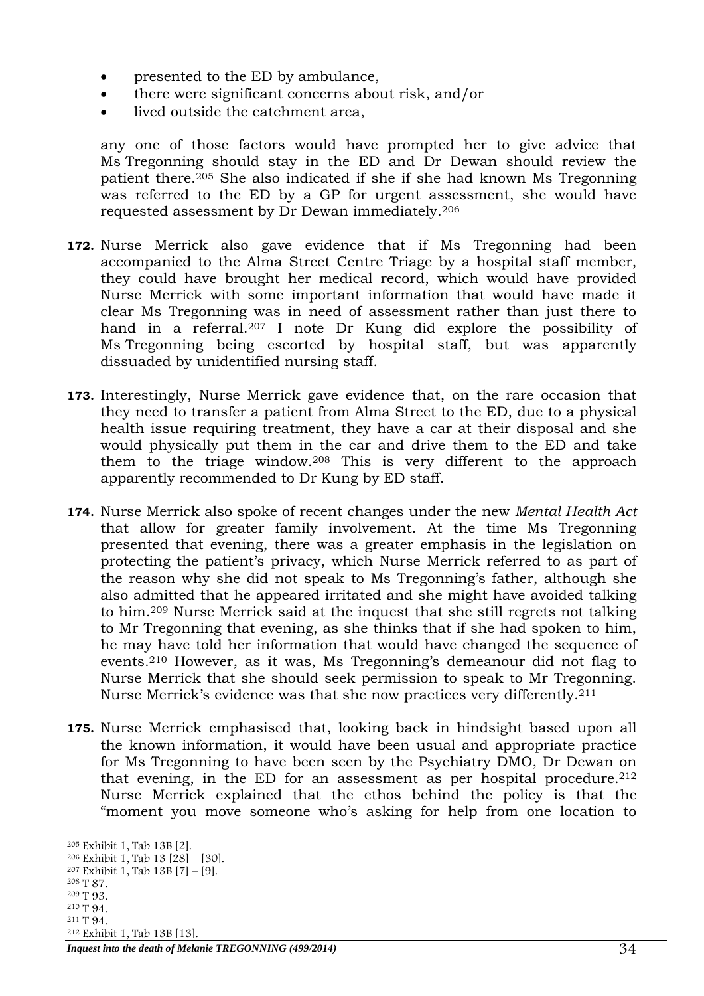- presented to the ED by ambulance,
- there were significant concerns about risk, and/or
- lived outside the catchment area,

any one of those factors would have prompted her to give advice that Ms Tregonning should stay in the ED and Dr Dewan should review the patient there.<sup>205</sup> She also indicated if she if she had known Ms Tregonning was referred to the ED by a GP for urgent assessment, she would have requested assessment by Dr Dewan immediately.<sup>206</sup>

- **172.** Nurse Merrick also gave evidence that if Ms Tregonning had been accompanied to the Alma Street Centre Triage by a hospital staff member, they could have brought her medical record, which would have provided Nurse Merrick with some important information that would have made it clear Ms Tregonning was in need of assessment rather than just there to hand in a referral.<sup>207</sup> I note Dr Kung did explore the possibility of Ms Tregonning being escorted by hospital staff, but was apparently dissuaded by unidentified nursing staff.
- **173.** Interestingly, Nurse Merrick gave evidence that, on the rare occasion that they need to transfer a patient from Alma Street to the ED, due to a physical health issue requiring treatment, they have a car at their disposal and she would physically put them in the car and drive them to the ED and take them to the triage window.<sup>208</sup> This is very different to the approach apparently recommended to Dr Kung by ED staff.
- **174.** Nurse Merrick also spoke of recent changes under the new *Mental Health Act* that allow for greater family involvement. At the time Ms Tregonning presented that evening, there was a greater emphasis in the legislation on protecting the patient's privacy, which Nurse Merrick referred to as part of the reason why she did not speak to Ms Tregonning's father, although she also admitted that he appeared irritated and she might have avoided talking to him.<sup>209</sup> Nurse Merrick said at the inquest that she still regrets not talking to Mr Tregonning that evening, as she thinks that if she had spoken to him, he may have told her information that would have changed the sequence of events.<sup>210</sup> However, as it was, Ms Tregonning's demeanour did not flag to Nurse Merrick that she should seek permission to speak to Mr Tregonning. Nurse Merrick's evidence was that she now practices very differently.<sup>211</sup>
- **175.** Nurse Merrick emphasised that, looking back in hindsight based upon all the known information, it would have been usual and appropriate practice for Ms Tregonning to have been seen by the Psychiatry DMO, Dr Dewan on that evening, in the ED for an assessment as per hospital procedure. 212 Nurse Merrick explained that the ethos behind the policy is that the "moment you move someone who's asking for help from one location to

- <sup>210</sup> T 94. <sup>211</sup> T 94.
- <sup>212</sup> Exhibit 1, Tab 13B [13].

<sup>-</sup><sup>205</sup> Exhibit 1, Tab 13B [2].

<sup>206</sup> Exhibit 1, Tab 13 [28] – [30].

<sup>&</sup>lt;sup>207</sup> Exhibit 1, Tab  $13B$   $|7| - [9]$ .

<sup>208</sup> T 87.

<sup>209</sup> T 93.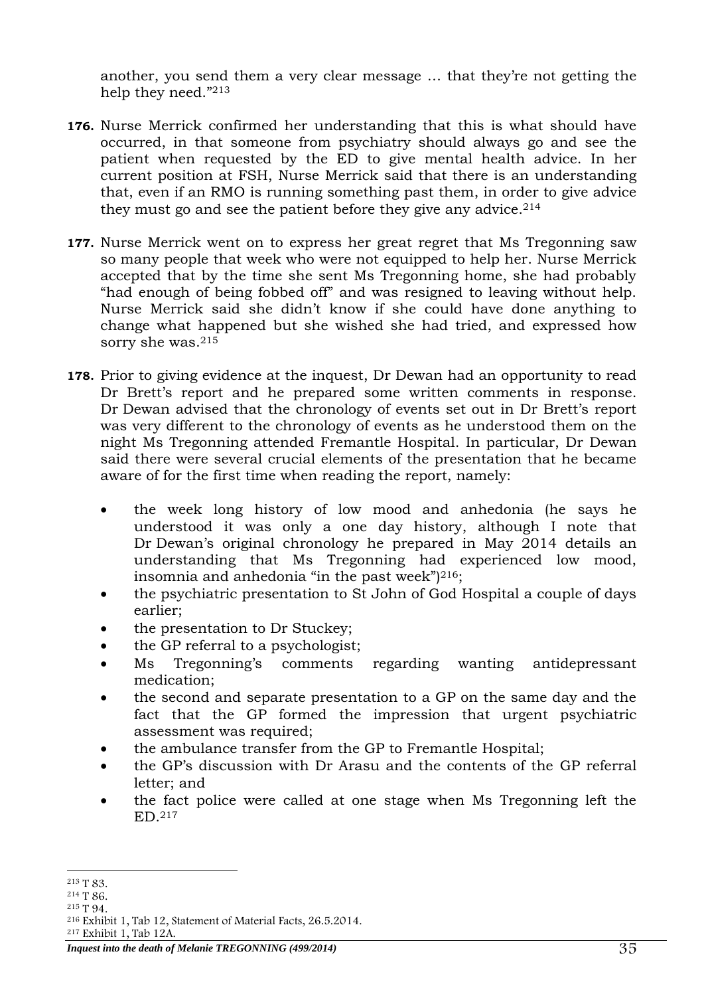another, you send them a very clear message … that they're not getting the help they need."<sup>213</sup>

- **176.** Nurse Merrick confirmed her understanding that this is what should have occurred, in that someone from psychiatry should always go and see the patient when requested by the ED to give mental health advice. In her current position at FSH, Nurse Merrick said that there is an understanding that, even if an RMO is running something past them, in order to give advice they must go and see the patient before they give any advice.  $2^{14}$
- **177.** Nurse Merrick went on to express her great regret that Ms Tregonning saw so many people that week who were not equipped to help her. Nurse Merrick accepted that by the time she sent Ms Tregonning home, she had probably "had enough of being fobbed off" and was resigned to leaving without help. Nurse Merrick said she didn't know if she could have done anything to change what happened but she wished she had tried, and expressed how sorry she was.<sup>215</sup>
- **178.** Prior to giving evidence at the inquest, Dr Dewan had an opportunity to read Dr Brett's report and he prepared some written comments in response. Dr Dewan advised that the chronology of events set out in Dr Brett's report was very different to the chronology of events as he understood them on the night Ms Tregonning attended Fremantle Hospital. In particular, Dr Dewan said there were several crucial elements of the presentation that he became aware of for the first time when reading the report, namely:
	- the week long history of low mood and anhedonia (he says he understood it was only a one day history, although I note that Dr Dewan's original chronology he prepared in May 2014 details an understanding that Ms Tregonning had experienced low mood, insomnia and anhedonia "in the past week") <sup>216</sup>;
	- the psychiatric presentation to St John of God Hospital a couple of days earlier;
	- the presentation to Dr Stuckey;
	- the GP referral to a psychologist;
	- Ms Tregonning's comments regarding wanting antidepressant medication;
	- the second and separate presentation to a GP on the same day and the fact that the GP formed the impression that urgent psychiatric assessment was required;
	- the ambulance transfer from the GP to Fremantle Hospital;
	- the GP's discussion with Dr Arasu and the contents of the GP referral letter; and
	- the fact police were called at one stage when Ms Tregonning left the ED.<sup>217</sup>

<sup>-</sup><sup>213</sup> T 83.

<sup>214</sup> T 86.

<sup>215</sup> T 94.

<sup>216</sup> Exhibit 1, Tab 12, Statement of Material Facts, 26.5.2014.

<sup>217</sup> Exhibit 1, Tab 12A.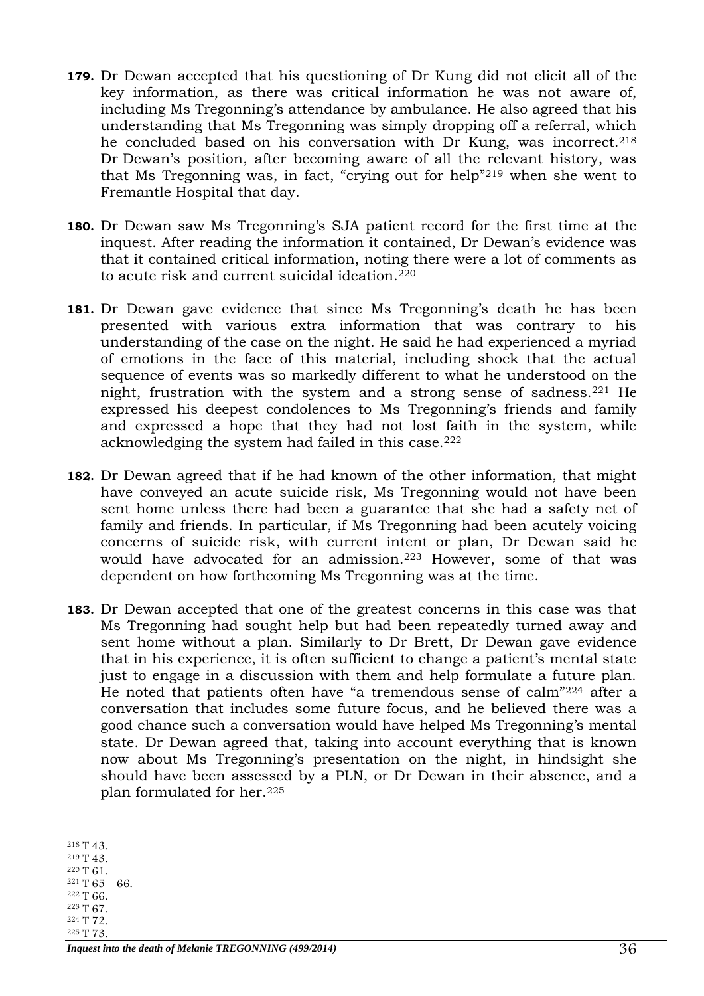- **179.** Dr Dewan accepted that his questioning of Dr Kung did not elicit all of the key information, as there was critical information he was not aware of, including Ms Tregonning's attendance by ambulance. He also agreed that his understanding that Ms Tregonning was simply dropping off a referral, which he concluded based on his conversation with Dr Kung, was incorrect.<sup>218</sup> Dr Dewan's position, after becoming aware of all the relevant history, was that Ms Tregonning was, in fact, "crying out for help"<sup>219</sup> when she went to Fremantle Hospital that day.
- **180.** Dr Dewan saw Ms Tregonning's SJA patient record for the first time at the inquest. After reading the information it contained, Dr Dewan's evidence was that it contained critical information, noting there were a lot of comments as to acute risk and current suicidal ideation.<sup>220</sup>
- **181.** Dr Dewan gave evidence that since Ms Tregonning's death he has been presented with various extra information that was contrary to his understanding of the case on the night. He said he had experienced a myriad of emotions in the face of this material, including shock that the actual sequence of events was so markedly different to what he understood on the night, frustration with the system and a strong sense of sadness.<sup>221</sup> He expressed his deepest condolences to Ms Tregonning's friends and family and expressed a hope that they had not lost faith in the system, while acknowledging the system had failed in this case.<sup>222</sup>
- **182.** Dr Dewan agreed that if he had known of the other information, that might have conveyed an acute suicide risk, Ms Tregonning would not have been sent home unless there had been a guarantee that she had a safety net of family and friends. In particular, if Ms Tregonning had been acutely voicing concerns of suicide risk, with current intent or plan, Dr Dewan said he would have advocated for an admission.<sup>223</sup> However, some of that was dependent on how forthcoming Ms Tregonning was at the time.
- **183.** Dr Dewan accepted that one of the greatest concerns in this case was that Ms Tregonning had sought help but had been repeatedly turned away and sent home without a plan. Similarly to Dr Brett, Dr Dewan gave evidence that in his experience, it is often sufficient to change a patient's mental state just to engage in a discussion with them and help formulate a future plan. He noted that patients often have "a tremendous sense of calm"<sup>224</sup> after a conversation that includes some future focus, and he believed there was a good chance such a conversation would have helped Ms Tregonning's mental state. Dr Dewan agreed that, taking into account everything that is known now about Ms Tregonning's presentation on the night, in hindsight she should have been assessed by a PLN, or Dr Dewan in their absence, and a plan formulated for her.<sup>225</sup>

- <sup>220</sup> T 61.
- $221$  T 65 66.
- <sup>222</sup> T 66. <sup>223</sup> T 67.
- <sup>224</sup> T 72.
- <sup>225</sup> T 73.

<sup>-</sup><sup>218</sup> T 43.

<sup>219</sup> T 43.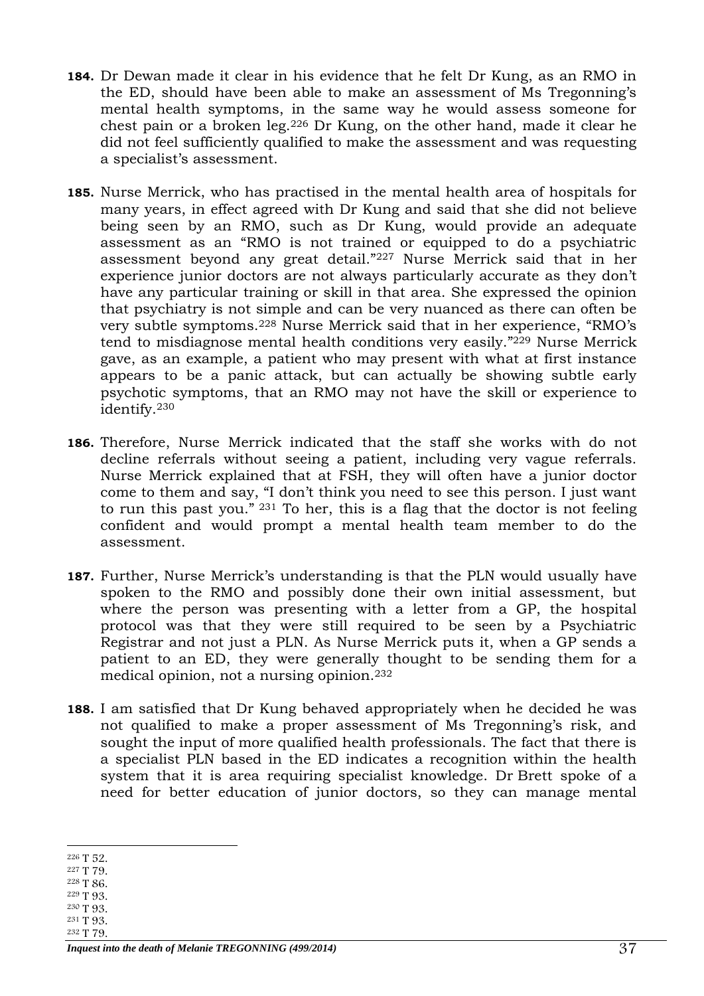- **184.** Dr Dewan made it clear in his evidence that he felt Dr Kung, as an RMO in the ED, should have been able to make an assessment of Ms Tregonning's mental health symptoms, in the same way he would assess someone for chest pain or a broken leg.<sup>226</sup> Dr Kung, on the other hand, made it clear he did not feel sufficiently qualified to make the assessment and was requesting a specialist's assessment.
- **185.** Nurse Merrick, who has practised in the mental health area of hospitals for many years, in effect agreed with Dr Kung and said that she did not believe being seen by an RMO, such as Dr Kung, would provide an adequate assessment as an "RMO is not trained or equipped to do a psychiatric assessment beyond any great detail."<sup>227</sup> Nurse Merrick said that in her experience junior doctors are not always particularly accurate as they don't have any particular training or skill in that area. She expressed the opinion that psychiatry is not simple and can be very nuanced as there can often be very subtle symptoms.<sup>228</sup> Nurse Merrick said that in her experience, "RMO's tend to misdiagnose mental health conditions very easily."<sup>229</sup> Nurse Merrick gave, as an example, a patient who may present with what at first instance appears to be a panic attack, but can actually be showing subtle early psychotic symptoms, that an RMO may not have the skill or experience to identify.<sup>230</sup>
- **186.** Therefore, Nurse Merrick indicated that the staff she works with do not decline referrals without seeing a patient, including very vague referrals. Nurse Merrick explained that at FSH, they will often have a junior doctor come to them and say, "I don't think you need to see this person. I just want to run this past you." <sup>231</sup> To her, this is a flag that the doctor is not feeling confident and would prompt a mental health team member to do the assessment.
- **187.** Further, Nurse Merrick's understanding is that the PLN would usually have spoken to the RMO and possibly done their own initial assessment, but where the person was presenting with a letter from a GP, the hospital protocol was that they were still required to be seen by a Psychiatric Registrar and not just a PLN. As Nurse Merrick puts it, when a GP sends a patient to an ED, they were generally thought to be sending them for a medical opinion, not a nursing opinion.<sup>232</sup>
- **188.** I am satisfied that Dr Kung behaved appropriately when he decided he was not qualified to make a proper assessment of Ms Tregonning's risk, and sought the input of more qualified health professionals. The fact that there is a specialist PLN based in the ED indicates a recognition within the health system that it is area requiring specialist knowledge. Dr Brett spoke of a need for better education of junior doctors, so they can manage mental

- <sup>228</sup> T 86.
- <sup>229</sup> T 93. <sup>230</sup> T 93.
- <sup>231</sup> T 93.
- <sup>232</sup> T 79.

<sup>-</sup><sup>226</sup> T 52.

<sup>227</sup> T 79.

*Inquest into the death of Melanie TREGONNING (499/2014)* 37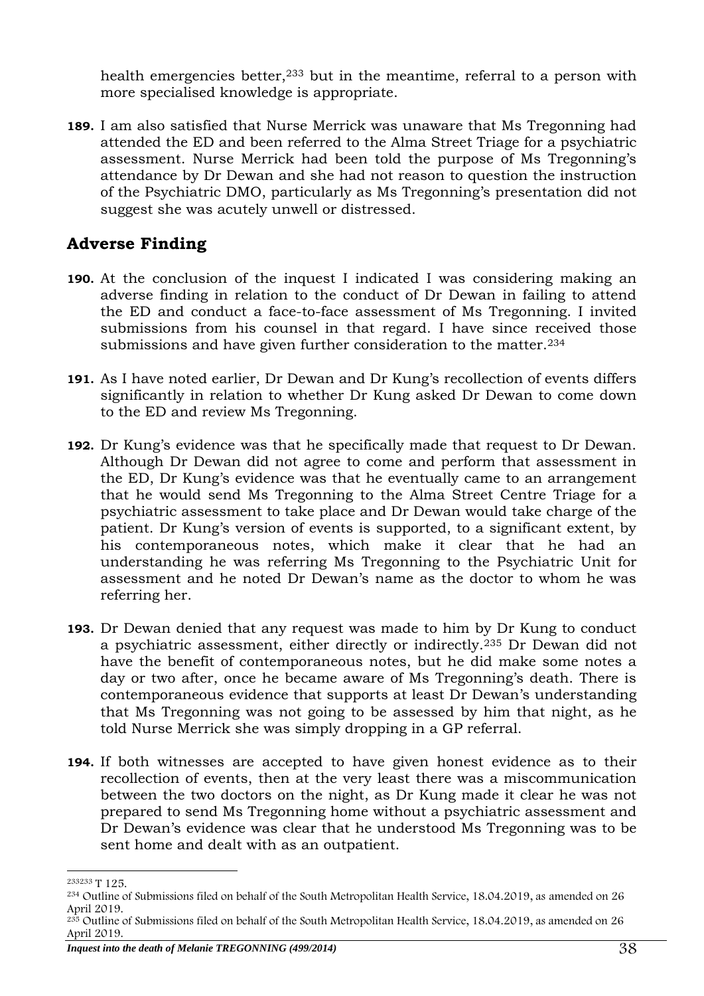health emergencies better,<sup>233</sup> but in the meantime, referral to a person with more specialised knowledge is appropriate.

**189.** I am also satisfied that Nurse Merrick was unaware that Ms Tregonning had attended the ED and been referred to the Alma Street Triage for a psychiatric assessment. Nurse Merrick had been told the purpose of Ms Tregonning's attendance by Dr Dewan and she had not reason to question the instruction of the Psychiatric DMO, particularly as Ms Tregonning's presentation did not suggest she was acutely unwell or distressed.

# <span id="page-37-0"></span>**Adverse Finding**

- **190.** At the conclusion of the inquest I indicated I was considering making an adverse finding in relation to the conduct of Dr Dewan in failing to attend the ED and conduct a face-to-face assessment of Ms Tregonning. I invited submissions from his counsel in that regard. I have since received those submissions and have given further consideration to the matter.<sup>234</sup>
- **191.** As I have noted earlier, Dr Dewan and Dr Kung's recollection of events differs significantly in relation to whether Dr Kung asked Dr Dewan to come down to the ED and review Ms Tregonning.
- **192.** Dr Kung's evidence was that he specifically made that request to Dr Dewan. Although Dr Dewan did not agree to come and perform that assessment in the ED, Dr Kung's evidence was that he eventually came to an arrangement that he would send Ms Tregonning to the Alma Street Centre Triage for a psychiatric assessment to take place and Dr Dewan would take charge of the patient. Dr Kung's version of events is supported, to a significant extent, by his contemporaneous notes, which make it clear that he had an understanding he was referring Ms Tregonning to the Psychiatric Unit for assessment and he noted Dr Dewan's name as the doctor to whom he was referring her.
- **193.** Dr Dewan denied that any request was made to him by Dr Kung to conduct a psychiatric assessment, either directly or indirectly.<sup>235</sup> Dr Dewan did not have the benefit of contemporaneous notes, but he did make some notes a day or two after, once he became aware of Ms Tregonning's death. There is contemporaneous evidence that supports at least Dr Dewan's understanding that Ms Tregonning was not going to be assessed by him that night, as he told Nurse Merrick she was simply dropping in a GP referral.
- **194.** If both witnesses are accepted to have given honest evidence as to their recollection of events, then at the very least there was a miscommunication between the two doctors on the night, as Dr Kung made it clear he was not prepared to send Ms Tregonning home without a psychiatric assessment and Dr Dewan's evidence was clear that he understood Ms Tregonning was to be sent home and dealt with as an outpatient.

<sup>-</sup><sup>233233</sup> T 125.

<sup>234</sup> Outline of Submissions filed on behalf of the South Metropolitan Health Service, 18.04.2019, as amended on 26 April 2019.

<sup>&</sup>lt;sup>235</sup> Outline of Submissions filed on behalf of the South Metropolitan Health Service, 18.04.2019, as amended on 26 April 2019.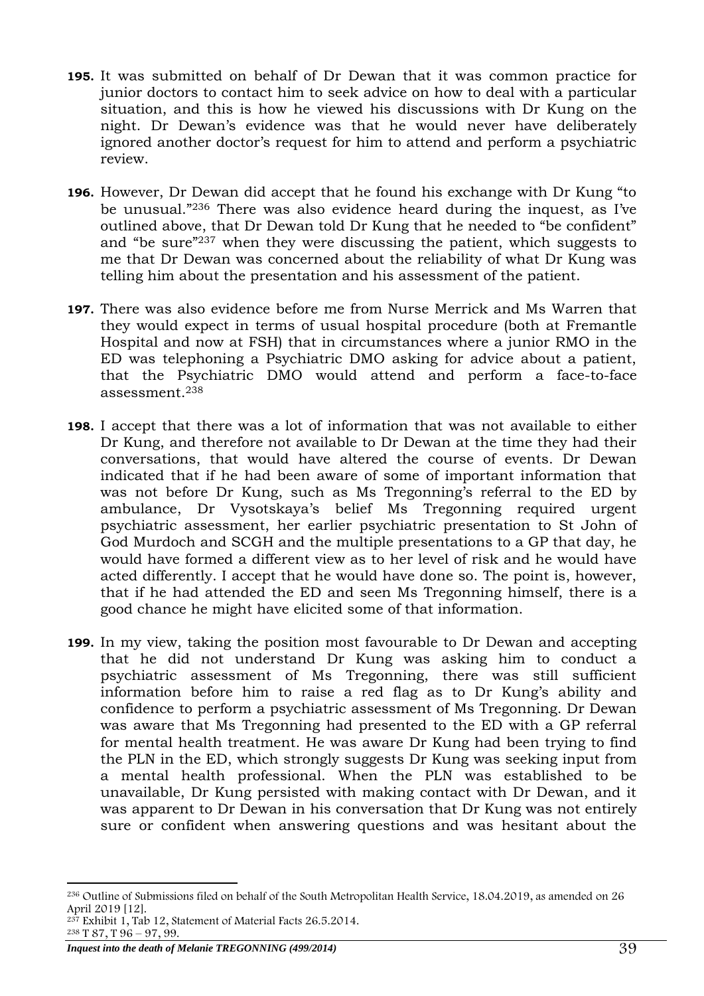- **195.** It was submitted on behalf of Dr Dewan that it was common practice for junior doctors to contact him to seek advice on how to deal with a particular situation, and this is how he viewed his discussions with Dr Kung on the night. Dr Dewan's evidence was that he would never have deliberately ignored another doctor's request for him to attend and perform a psychiatric review.
- **196.** However, Dr Dewan did accept that he found his exchange with Dr Kung "to be unusual." <sup>236</sup> There was also evidence heard during the inquest, as I've outlined above, that Dr Dewan told Dr Kung that he needed to "be confident" and "be sure"<sup>237</sup> when they were discussing the patient, which suggests to me that Dr Dewan was concerned about the reliability of what Dr Kung was telling him about the presentation and his assessment of the patient.
- **197.** There was also evidence before me from Nurse Merrick and Ms Warren that they would expect in terms of usual hospital procedure (both at Fremantle Hospital and now at FSH) that in circumstances where a junior RMO in the ED was telephoning a Psychiatric DMO asking for advice about a patient, that the Psychiatric DMO would attend and perform a face-to-face assessment.<sup>238</sup>
- **198.** I accept that there was a lot of information that was not available to either Dr Kung, and therefore not available to Dr Dewan at the time they had their conversations, that would have altered the course of events. Dr Dewan indicated that if he had been aware of some of important information that was not before Dr Kung, such as Ms Tregonning's referral to the ED by ambulance, Dr Vysotskaya's belief Ms Tregonning required urgent psychiatric assessment, her earlier psychiatric presentation to St John of God Murdoch and SCGH and the multiple presentations to a GP that day, he would have formed a different view as to her level of risk and he would have acted differently. I accept that he would have done so. The point is, however, that if he had attended the ED and seen Ms Tregonning himself, there is a good chance he might have elicited some of that information.
- **199.** In my view, taking the position most favourable to Dr Dewan and accepting that he did not understand Dr Kung was asking him to conduct a psychiatric assessment of Ms Tregonning, there was still sufficient information before him to raise a red flag as to Dr Kung's ability and confidence to perform a psychiatric assessment of Ms Tregonning. Dr Dewan was aware that Ms Tregonning had presented to the ED with a GP referral for mental health treatment. He was aware Dr Kung had been trying to find the PLN in the ED, which strongly suggests Dr Kung was seeking input from a mental health professional. When the PLN was established to be unavailable, Dr Kung persisted with making contact with Dr Dewan, and it was apparent to Dr Dewan in his conversation that Dr Kung was not entirely sure or confident when answering questions and was hesitant about the

<sup>-</sup><sup>236</sup> Outline of Submissions filed on behalf of the South Metropolitan Health Service, 18.04.2019, as amended on 26 April 2019 [12].

<sup>&</sup>lt;sup>237</sup> Exhibit 1, Tab 12, Statement of Material Facts 26.5.2014.

 $238$  T 87, T  $96 - 97$ , 99.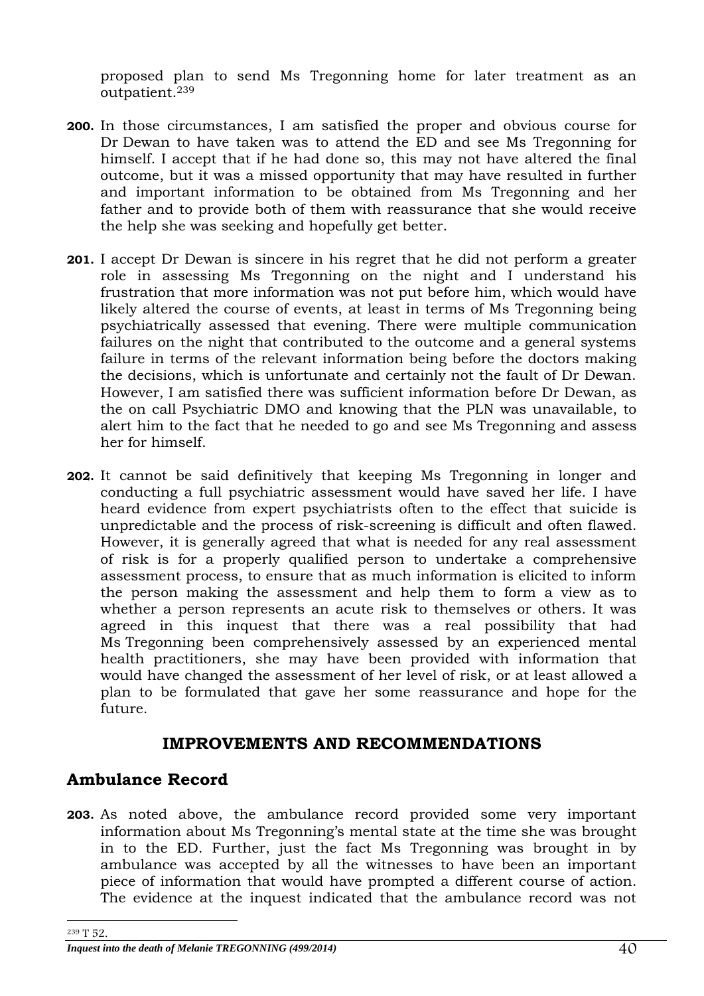proposed plan to send Ms Tregonning home for later treatment as an outpatient.<sup>239</sup>

- **200.** In those circumstances, I am satisfied the proper and obvious course for Dr Dewan to have taken was to attend the ED and see Ms Tregonning for himself. I accept that if he had done so, this may not have altered the final outcome, but it was a missed opportunity that may have resulted in further and important information to be obtained from Ms Tregonning and her father and to provide both of them with reassurance that she would receive the help she was seeking and hopefully get better.
- **201.** I accept Dr Dewan is sincere in his regret that he did not perform a greater role in assessing Ms Tregonning on the night and I understand his frustration that more information was not put before him, which would have likely altered the course of events, at least in terms of Ms Tregonning being psychiatrically assessed that evening. There were multiple communication failures on the night that contributed to the outcome and a general systems failure in terms of the relevant information being before the doctors making the decisions, which is unfortunate and certainly not the fault of Dr Dewan. However, I am satisfied there was sufficient information before Dr Dewan, as the on call Psychiatric DMO and knowing that the PLN was unavailable, to alert him to the fact that he needed to go and see Ms Tregonning and assess her for himself.
- **202.** It cannot be said definitively that keeping Ms Tregonning in longer and conducting a full psychiatric assessment would have saved her life. I have heard evidence from expert psychiatrists often to the effect that suicide is unpredictable and the process of risk-screening is difficult and often flawed. However, it is generally agreed that what is needed for any real assessment of risk is for a properly qualified person to undertake a comprehensive assessment process, to ensure that as much information is elicited to inform the person making the assessment and help them to form a view as to whether a person represents an acute risk to themselves or others. It was agreed in this inquest that there was a real possibility that had Ms Tregonning been comprehensively assessed by an experienced mental health practitioners, she may have been provided with information that would have changed the assessment of her level of risk, or at least allowed a plan to be formulated that gave her some reassurance and hope for the future.

## **IMPROVEMENTS AND RECOMMENDATIONS**

## <span id="page-39-1"></span><span id="page-39-0"></span>**Ambulance Record**

**203.** As noted above, the ambulance record provided some very important information about Ms Tregonning's mental state at the time she was brought in to the ED. Further, just the fact Ms Tregonning was brought in by ambulance was accepted by all the witnesses to have been an important piece of information that would have prompted a different course of action. The evidence at the inquest indicated that the ambulance record was not

<sup>-</sup><sup>239</sup> T 52.

*Inquest into the death of Melanie TREGONNING (499/2014)*  $40$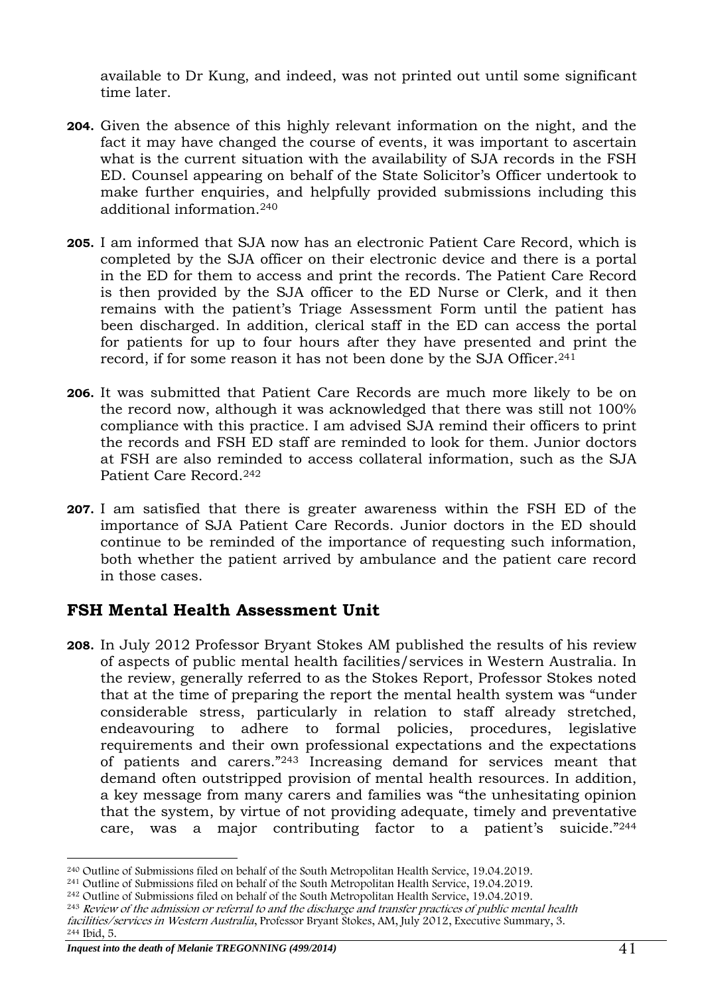available to Dr Kung, and indeed, was not printed out until some significant time later.

- **204.** Given the absence of this highly relevant information on the night, and the fact it may have changed the course of events, it was important to ascertain what is the current situation with the availability of SJA records in the FSH ED. Counsel appearing on behalf of the State Solicitor's Officer undertook to make further enquiries, and helpfully provided submissions including this additional information.<sup>240</sup>
- **205.** I am informed that SJA now has an electronic Patient Care Record, which is completed by the SJA officer on their electronic device and there is a portal in the ED for them to access and print the records. The Patient Care Record is then provided by the SJA officer to the ED Nurse or Clerk, and it then remains with the patient's Triage Assessment Form until the patient has been discharged. In addition, clerical staff in the ED can access the portal for patients for up to four hours after they have presented and print the record, if for some reason it has not been done by the SJA Officer.<sup>241</sup>
- **206.** It was submitted that Patient Care Records are much more likely to be on the record now, although it was acknowledged that there was still not 100% compliance with this practice. I am advised SJA remind their officers to print the records and FSH ED staff are reminded to look for them. Junior doctors at FSH are also reminded to access collateral information, such as the SJA Patient Care Record.<sup>242</sup>
- **207.** I am satisfied that there is greater awareness within the FSH ED of the importance of SJA Patient Care Records. Junior doctors in the ED should continue to be reminded of the importance of requesting such information, both whether the patient arrived by ambulance and the patient care record in those cases.

# <span id="page-40-0"></span>**FSH Mental Health Assessment Unit**

**208.** In July 2012 Professor Bryant Stokes AM published the results of his review of aspects of public mental health facilities/services in Western Australia. In the review, generally referred to as the Stokes Report, Professor Stokes noted that at the time of preparing the report the mental health system was "under considerable stress, particularly in relation to staff already stretched, endeavouring to adhere to formal policies, procedures, legislative requirements and their own professional expectations and the expectations of patients and carers."<sup>243</sup> Increasing demand for services meant that demand often outstripped provision of mental health resources. In addition, a key message from many carers and families was "the unhesitating opinion that the system, by virtue of not providing adequate, timely and preventative care, was a major contributing factor to a patient's suicide."<sup>244</sup>

<sup>-</sup><sup>240</sup> Outline of Submissions filed on behalf of the South Metropolitan Health Service, 19.04.2019.

<sup>241</sup> Outline of Submissions filed on behalf of the South Metropolitan Health Service, 19.04.2019.

<sup>242</sup> Outline of Submissions filed on behalf of the South Metropolitan Health Service, 19.04.2019.

<sup>&</sup>lt;sup>243</sup> Review of the admission or referral to and the discharge and transfer practices of public mental health

facilities/services in Western Australia, Professor Bryant Stokes, AM, July 2012, Executive Summary, 3. <sup>244</sup> Ibid, 5.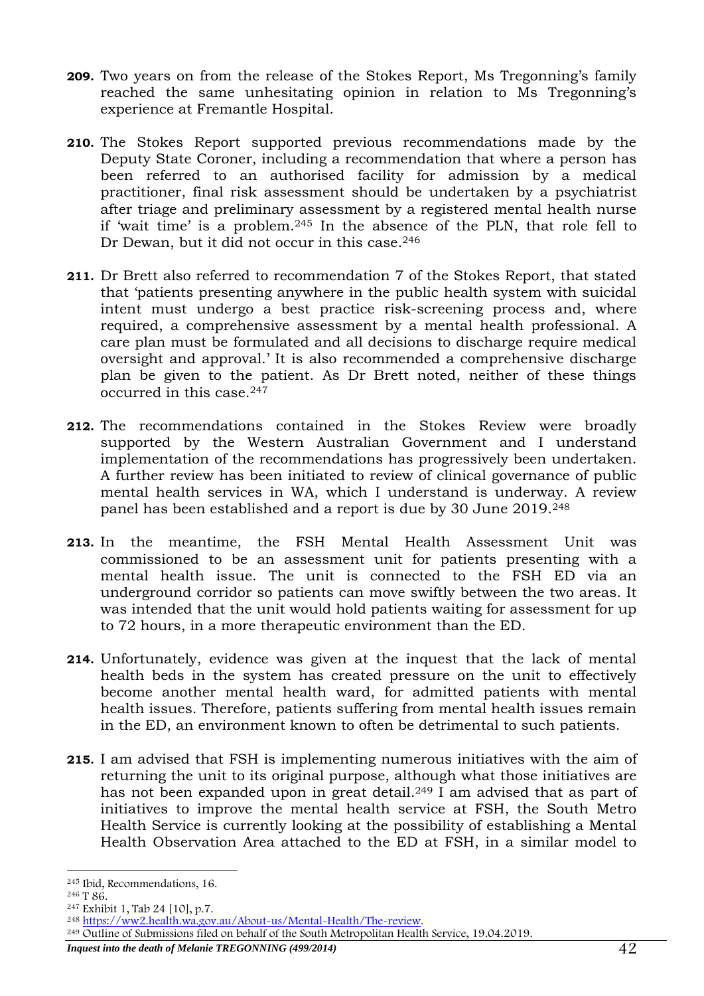- **209.** Two years on from the release of the Stokes Report, Ms Tregonning's family reached the same unhesitating opinion in relation to Ms Tregonning's experience at Fremantle Hospital.
- **210.** The Stokes Report supported previous recommendations made by the Deputy State Coroner, including a recommendation that where a person has been referred to an authorised facility for admission by a medical practitioner, final risk assessment should be undertaken by a psychiatrist after triage and preliminary assessment by a registered mental health nurse if 'wait time' is a problem.<sup>245</sup> In the absence of the PLN, that role fell to Dr Dewan, but it did not occur in this case.<sup>246</sup>
- **211.** Dr Brett also referred to recommendation 7 of the Stokes Report, that stated that 'patients presenting anywhere in the public health system with suicidal intent must undergo a best practice risk-screening process and, where required, a comprehensive assessment by a mental health professional. A care plan must be formulated and all decisions to discharge require medical oversight and approval.' It is also recommended a comprehensive discharge plan be given to the patient. As Dr Brett noted, neither of these things occurred in this case.<sup>247</sup>
- **212.** The recommendations contained in the Stokes Review were broadly supported by the Western Australian Government and I understand implementation of the recommendations has progressively been undertaken. A further review has been initiated to review of clinical governance of public mental health services in WA, which I understand is underway. A review panel has been established and a report is due by 30 June 2019.<sup>248</sup>
- **213.** In the meantime, the FSH Mental Health Assessment Unit was commissioned to be an assessment unit for patients presenting with a mental health issue. The unit is connected to the FSH ED via an underground corridor so patients can move swiftly between the two areas. It was intended that the unit would hold patients waiting for assessment for up to 72 hours, in a more therapeutic environment than the ED.
- **214.** Unfortunately, evidence was given at the inquest that the lack of mental health beds in the system has created pressure on the unit to effectively become another mental health ward, for admitted patients with mental health issues. Therefore, patients suffering from mental health issues remain in the ED, an environment known to often be detrimental to such patients.
- **215.** I am advised that FSH is implementing numerous initiatives with the aim of returning the unit to its original purpose, although what those initiatives are has not been expanded upon in great detail.<sup>249</sup> I am advised that as part of initiatives to improve the mental health service at FSH, the South Metro Health Service is currently looking at the possibility of establishing a Mental Health Observation Area attached to the ED at FSH, in a similar model to

<sup>249</sup> Outline of Submissions filed on behalf of the South Metropolitan Health Service, 19.04.2019.

<sup>-</sup><sup>245</sup> Ibid, Recommendations, 16.

<sup>246</sup> T 86.

<sup>247</sup> Exhibit 1, Tab 24 [10], p.7.

<sup>248</sup> [https://ww2.health.wa.gov.au/About-us/Mental-Health/The-review.](https://ww2.health.wa.gov.au/About-us/Mental-Health/The-review)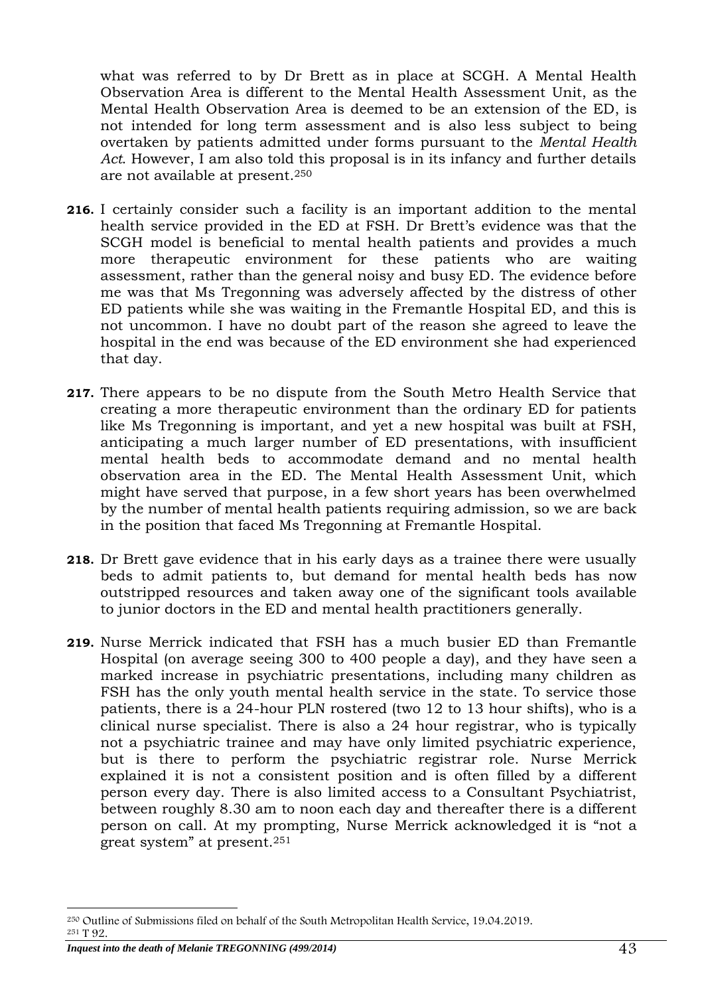what was referred to by Dr Brett as in place at SCGH. A Mental Health Observation Area is different to the Mental Health Assessment Unit, as the Mental Health Observation Area is deemed to be an extension of the ED, is not intended for long term assessment and is also less subject to being overtaken by patients admitted under forms pursuant to the *Mental Health Act*. However, I am also told this proposal is in its infancy and further details are not available at present.<sup>250</sup>

- **216.** I certainly consider such a facility is an important addition to the mental health service provided in the ED at FSH. Dr Brett's evidence was that the SCGH model is beneficial to mental health patients and provides a much more therapeutic environment for these patients who are waiting assessment, rather than the general noisy and busy ED. The evidence before me was that Ms Tregonning was adversely affected by the distress of other ED patients while she was waiting in the Fremantle Hospital ED, and this is not uncommon. I have no doubt part of the reason she agreed to leave the hospital in the end was because of the ED environment she had experienced that day.
- **217.** There appears to be no dispute from the South Metro Health Service that creating a more therapeutic environment than the ordinary ED for patients like Ms Tregonning is important, and yet a new hospital was built at FSH, anticipating a much larger number of ED presentations, with insufficient mental health beds to accommodate demand and no mental health observation area in the ED. The Mental Health Assessment Unit, which might have served that purpose, in a few short years has been overwhelmed by the number of mental health patients requiring admission, so we are back in the position that faced Ms Tregonning at Fremantle Hospital.
- **218.** Dr Brett gave evidence that in his early days as a trainee there were usually beds to admit patients to, but demand for mental health beds has now outstripped resources and taken away one of the significant tools available to junior doctors in the ED and mental health practitioners generally.
- **219.** Nurse Merrick indicated that FSH has a much busier ED than Fremantle Hospital (on average seeing 300 to 400 people a day), and they have seen a marked increase in psychiatric presentations, including many children as FSH has the only youth mental health service in the state. To service those patients, there is a 24-hour PLN rostered (two 12 to 13 hour shifts), who is a clinical nurse specialist. There is also a 24 hour registrar, who is typically not a psychiatric trainee and may have only limited psychiatric experience, but is there to perform the psychiatric registrar role. Nurse Merrick explained it is not a consistent position and is often filled by a different person every day. There is also limited access to a Consultant Psychiatrist, between roughly 8.30 am to noon each day and thereafter there is a different person on call. At my prompting, Nurse Merrick acknowledged it is "not a great system" at present.<sup>251</sup>

<sup>-</sup><sup>250</sup> Outline of Submissions filed on behalf of the South Metropolitan Health Service, 19.04.2019. <sup>251</sup> T 92.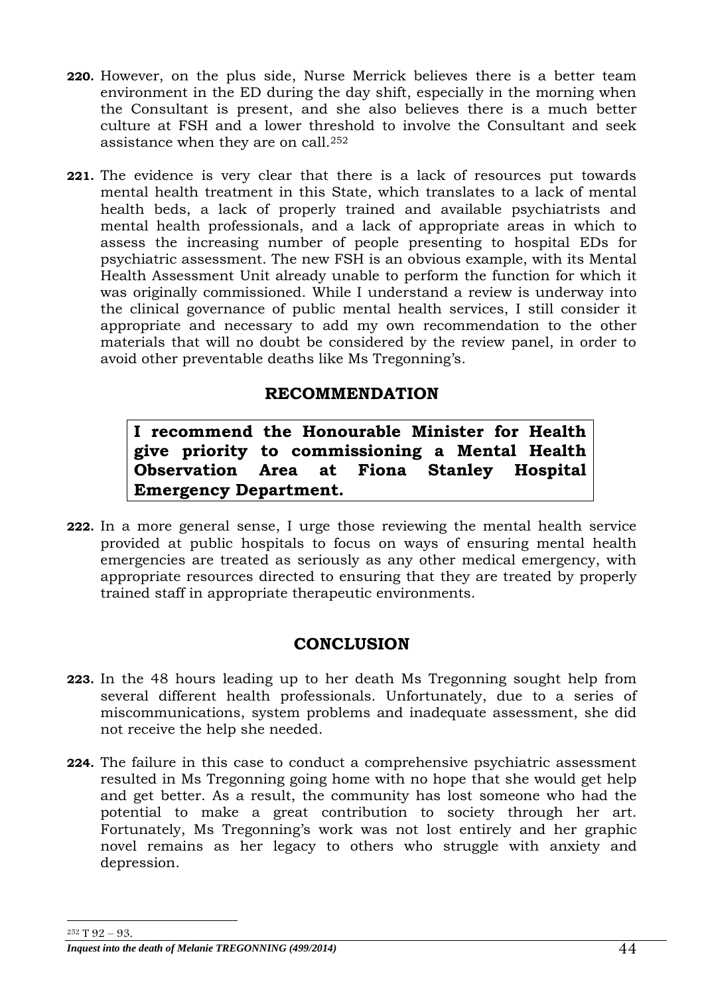- **220.** However, on the plus side, Nurse Merrick believes there is a better team environment in the ED during the day shift, especially in the morning when the Consultant is present, and she also believes there is a much better culture at FSH and a lower threshold to involve the Consultant and seek assistance when they are on call.<sup>252</sup>
- **221.** The evidence is very clear that there is a lack of resources put towards mental health treatment in this State, which translates to a lack of mental health beds, a lack of properly trained and available psychiatrists and mental health professionals, and a lack of appropriate areas in which to assess the increasing number of people presenting to hospital EDs for psychiatric assessment. The new FSH is an obvious example, with its Mental Health Assessment Unit already unable to perform the function for which it was originally commissioned. While I understand a review is underway into the clinical governance of public mental health services, I still consider it appropriate and necessary to add my own recommendation to the other materials that will no doubt be considered by the review panel, in order to avoid other preventable deaths like Ms Tregonning's.

# **RECOMMENDATION**

<span id="page-43-0"></span>**I recommend the Honourable Minister for Health give priority to commissioning a Mental Health Observation Area at Fiona Stanley Hospital Emergency Department.**

**222.** In a more general sense, I urge those reviewing the mental health service provided at public hospitals to focus on ways of ensuring mental health emergencies are treated as seriously as any other medical emergency, with appropriate resources directed to ensuring that they are treated by properly trained staff in appropriate therapeutic environments.

# **CONCLUSION**

- <span id="page-43-1"></span>**223.** In the 48 hours leading up to her death Ms Tregonning sought help from several different health professionals. Unfortunately, due to a series of miscommunications, system problems and inadequate assessment, she did not receive the help she needed.
- **224.** The failure in this case to conduct a comprehensive psychiatric assessment resulted in Ms Tregonning going home with no hope that she would get help and get better. As a result, the community has lost someone who had the potential to make a great contribution to society through her art. Fortunately, Ms Tregonning's work was not lost entirely and her graphic novel remains as her legacy to others who struggle with anxiety and depression.